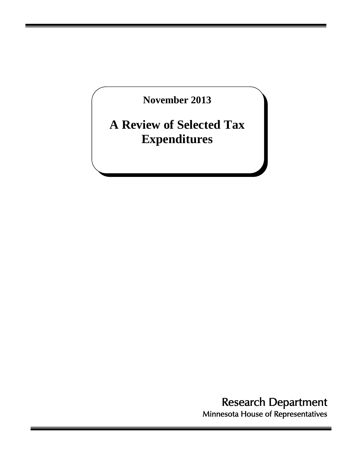**November 2013** 

# **A Review of Selected Tax Expenditures**

Research Department<br>Minnesota House of Representatives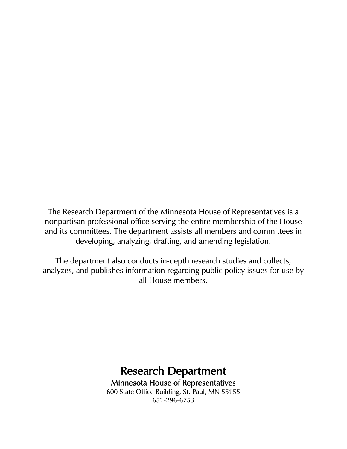The Research Department of the Minnesota House of Representatives is a nonpartisan professional office serving the entire membership of the House and its committees. The department assists all members and committees in developing, analyzing, drafting, and amending legislation.

The department also conducts in-depth research studies and collects, analyzes, and publishes information regarding public policy issues for use by all House members.

## Research Department Minnesota House of Representatives 600 State Office Building, St. Paul, MN 55155 651-296-6753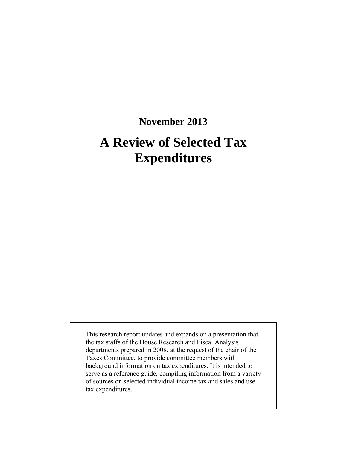## **November 2013**

# **A Review of Selected Tax Expenditures**

This research report updates and expands on a presentation that the tax staffs of the House Research and Fiscal Analysis departments prepared in 2008, at the request of the chair of the Taxes Committee, to provide committee members with background information on tax expenditures. It is intended to serve as a reference guide, compiling information from a variety of sources on selected individual income tax and sales and use tax expenditures.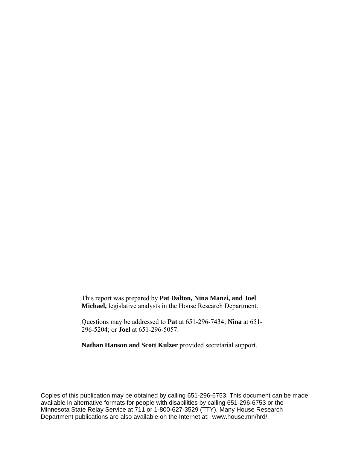This report was prepared by **Pat Dalton, Nina Manzi, and Joel Michael,** legislative analysts in the House Research Department.

Questions may be addressed to **Pat** at 651-296-7434; **Nina** at 651- 296-5204; or **Joel** at 651-296-5057.

**Nathan Hanson and Scott Kulzer** provided secretarial support.

Copies of this publication may be obtained by calling 651-296-6753. This document can be made available in alternative formats for people with disabilities by calling 651-296-6753 or the Minnesota State Relay Service at 711 or 1-800-627-3529 (TTY). Many House Research Department publications are also available on the Internet at: www.house.mn/hrd/.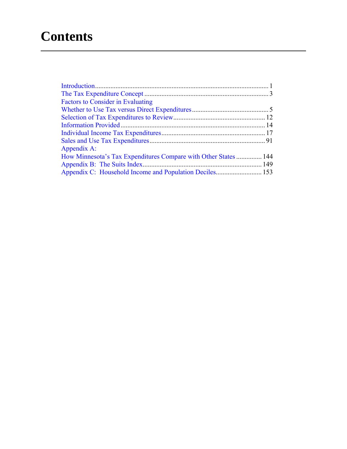# **Contents**

| <b>Factors to Consider in Evaluating</b>                       |  |
|----------------------------------------------------------------|--|
|                                                                |  |
|                                                                |  |
|                                                                |  |
|                                                                |  |
|                                                                |  |
| Appendix A:                                                    |  |
| How Minnesota's Tax Expenditures Compare with Other States 144 |  |
|                                                                |  |
|                                                                |  |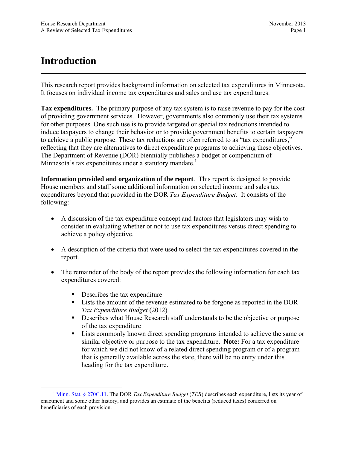## <span id="page-6-0"></span>**Introduction**

This research report provides background information on selected tax expenditures in Minnesota. It focuses on individual income tax expenditures and sales and use tax expenditures.

**Tax expenditures.** The primary purpose of any tax system is to raise revenue to pay for the cost of providing government services. However, governments also commonly use their tax systems for other purposes. One such use is to provide targeted or special tax reductions intended to induce taxpayers to change their behavior or to provide government benefits to certain taxpayers to achieve a public purpose. These tax reductions are often referred to as "tax expenditures," reflecting that they are alternatives to direct expenditure programs to achieving these objectives. The Department of Revenue (DOR) biennially publishes a budget or compendium of Minnesota's tax expenditures under a statutory mandate.<sup>1</sup>

**Information provided and organization of the report**. This report is designed to provide House members and staff some additional information on selected income and sales tax expenditures beyond that provided in the DOR *Tax Expenditure Budget*. It consists of the following:

- A discussion of the tax expenditure concept and factors that legislators may wish to consider in evaluating whether or not to use tax expenditures versus direct spending to achieve a policy objective.
- A description of the criteria that were used to select the tax expenditures covered in the report.
- The remainder of the body of the report provides the following information for each tax expenditures covered:
	- Describes the tax expenditure
	- Lists the amount of the revenue estimated to be forgone as reported in the DOR *Tax Expenditure Budget* (2012)
	- Describes what House Research staff understands to be the objective or purpose of the tax expenditure
	- **Lists commonly known direct spending programs intended to achieve the same or** similar objective or purpose to the tax expenditure. **Note:** For a tax expenditure for which we did not know of a related direct spending program or of a program that is generally available across the state, there will be no entry under this heading for the tax expenditure.

 <sup>1</sup> [Minn. Stat. § 270C.11](https://www.revisor.mn.gov/statutes/?id=270C.11). The DOR *Tax Expenditure Budget* (*TEB*) describes each expenditure, lists its year of enactment and some other history, and provides an estimate of the benefits (reduced taxes) conferred on beneficiaries of each provision.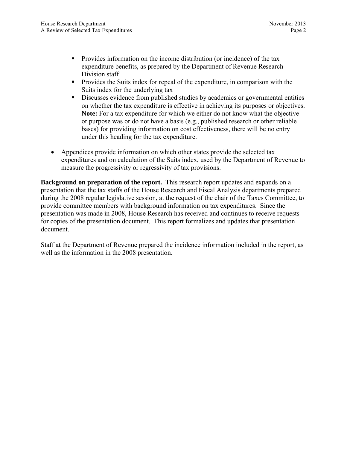- **Provides information on the income distribution (or incidence) of the tax** expenditure benefits, as prepared by the Department of Revenue Research Division staff
- **Provides the Suits index for repeal of the expenditure, in comparison with the** Suits index for the underlying tax
- Discusses evidence from published studies by academics or governmental entities on whether the tax expenditure is effective in achieving its purposes or objectives. **Note:** For a tax expenditure for which we either do not know what the objective or purpose was or do not have a basis (e.g., published research or other reliable bases) for providing information on cost effectiveness, there will be no entry under this heading for the tax expenditure.
- Appendices provide information on which other states provide the selected tax expenditures and on calculation of the Suits index, used by the Department of Revenue to measure the progressivity or regressivity of tax provisions.

**Background on preparation of the report.** This research report updates and expands on a presentation that the tax staffs of the House Research and Fiscal Analysis departments prepared during the 2008 regular legislative session, at the request of the chair of the Taxes Committee, to provide committee members with background information on tax expenditures. Since the presentation was made in 2008, House Research has received and continues to receive requests for copies of the presentation document. This report formalizes and updates that presentation document.

Staff at the Department of Revenue prepared the incidence information included in the report, as well as the information in the 2008 presentation.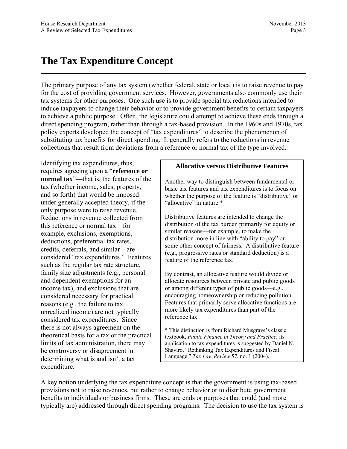## <span id="page-8-0"></span>**The Tax Expenditure Concept**

The primary purpose of any tax system (whether federal, state or local) is to raise revenue to pay for the cost of providing government services. However, governments also commonly use their tax systems for other purposes. One such use is to provide special tax reductions intended to induce taxpayers to change their behavior or to provide government benefits to certain taxpayers to achieve a public purpose. Often, the legislature could attempt to achieve these ends through a direct spending program, rather than through a tax-based provision. In the 1960s and 1970s, tax policy experts developed the concept of "tax expenditures" to describe the phenomenon of substituting tax benefits for direct spending. It generally refers to the reductions in revenue collections that result from deviations from a reference or normal tax of the type involved.

Identifying tax expenditures, thus, requires agreeing upon a "**reference or normal tax**"—that is, the features of the tax (whether income, sales, property, and so forth) that would be imposed under generally accepted theory, if the only purpose were to raise revenue. Reductions in revenue collected from this reference or normal tax—for example, exclusions, exemptions, deductions, preferential tax rates, credits, deferrals, and similar—are considered "tax expenditures." Features such as the regular tax rate structure, family size adjustments (e.g., personal and dependent exemptions for an income tax), and exclusions that are considered necessary for practical reasons (e.g., the failure to tax unrealized income) are not typically considered tax expenditures. Since there is not always agreement on the theoretical basis for a tax or the practical limits of tax administration, there may be controversy or disagreement in determining what is and isn't a tax expenditure.

#### **Allocative versus Distributive Features**

Another way to distinguish between fundamental or basic tax features and tax expenditures is to focus on whether the purpose of the feature is "distributive" or "allocative" in nature.\*

Distributive features are intended to change the distribution of the tax burden primarily for equity or similar reasons—for example, to make the distribution more in line with "ability to pay" or some other concept of fairness. A distributive feature (e.g., progressive rates or standard deduction) is a feature of the reference tax.

By contrast, an allocative feature would divide or allocate resources between private and public goods or among different types of public goods—e.g., encouraging homeownership or reducing pollution. Features that primarily serve allocative functions are more likely tax expenditures than part of the reference tax.

\* This distinction is from Richard Musgrave's classic textbook, *Public Finance in Theory and Practice*; its application to tax expenditures is suggested by Daniel N. Shaviro, "Rethinking Tax Expenditures and Fiscal Language," *Tax Law Review* 57, no. 1 (2004).

A key notion underlying the tax expenditure concept is that the government is using tax-based provisions not to raise revenues, but rather to change behavior or to distribute government benefits to individuals or business firms. These are ends or purposes that could (and more typically are) addressed through direct spending programs. The decision to use the tax system is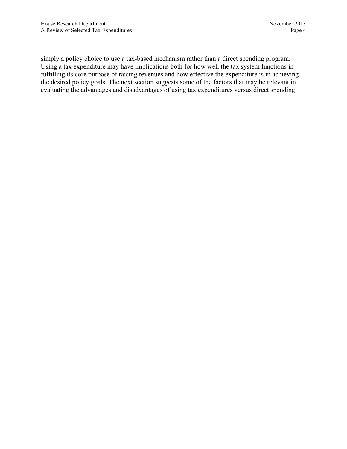simply a policy choice to use a tax-based mechanism rather than a direct spending program. Using a tax expenditure may have implications both for how well the tax system functions in fulfilling its core purpose of raising revenues and how effective the expenditure is in achieving the desired policy goals. The next section suggests some of the factors that may be relevant in evaluating the advantages and disadvantages of using tax expenditures versus direct spending.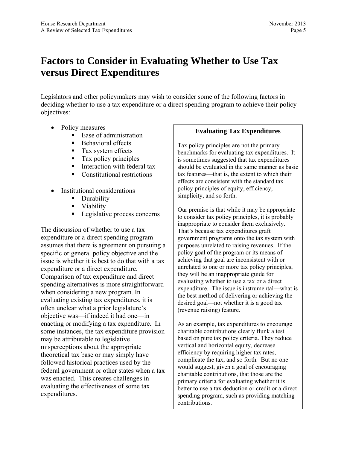## <span id="page-10-0"></span>**Factors to Consider in Evaluating Whether to Use Tax versus Direct Expenditures**

Legislators and other policymakers may wish to consider some of the following factors in deciding whether to use a tax expenditure or a direct spending program to achieve their policy objectives:

- Policy measures
	- $\blacksquare$  Ease of administration
	- Behavioral effects
	- **Tax system effects**
	- **Tax policy principles**
	- **Interaction with federal tax**
	- **Constitutional restrictions**
- Institutional considerations
	- **Durability**
	- **viability**
	- **Legislative process concerns**

The discussion of whether to use a tax expenditure or a direct spending program assumes that there is agreement on pursuing a specific or general policy objective and the issue is whether it is best to do that with a tax expenditure or a direct expenditure. Comparison of tax expenditure and direct spending alternatives is more straightforward when considering a new program. In evaluating existing tax expenditures, it is often unclear what a prior legislature's objective was—if indeed it had one—in enacting or modifying a tax expenditure. In some instances, the tax expenditure provision may be attributable to legislative misperceptions about the appropriate theoretical tax base or may simply have followed historical practices used by the federal government or other states when a tax was enacted. This creates challenges in evaluating the effectiveness of some tax expenditures.

### **Evaluating Tax Expenditures**

Tax policy principles are not the primary benchmarks for evaluating tax expenditures. It is sometimes suggested that tax expenditures should be evaluated in the same manner as basic tax features—that is, the extent to which their effects are consistent with the standard tax policy principles of equity, efficiency, simplicity, and so forth.

Our premise is that while it may be appropriate to consider tax policy principles, it is probably inappropriate to consider them exclusively. That's because tax expenditures graft government programs onto the tax system with purposes unrelated to raising revenues. If the policy goal of the program or its means of achieving that goal are inconsistent with or unrelated to one or more tax policy principles, they will be an inappropriate guide for evaluating whether to use a tax or a direct expenditure. The issue is instrumental—what is the best method of delivering or achieving the desired goal—not whether it is a good tax (revenue raising) feature.

As an example, tax expenditures to encourage charitable contributions clearly flunk a test based on pure tax policy criteria. They reduce vertical and horizontal equity, decrease efficiency by requiring higher tax rates, complicate the tax, and so forth. But no one would suggest, given a goal of encouraging charitable contributions, that those are the primary criteria for evaluating whether it is better to use a tax deduction or credit or a direct spending program, such as providing matching contributions.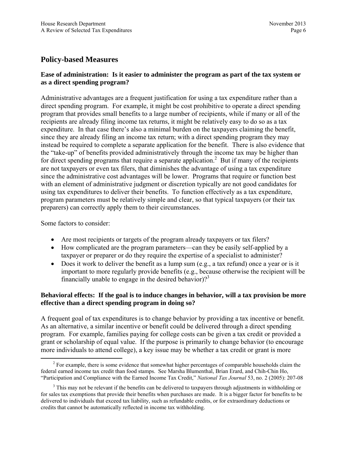## **Policy-based Measures**

## **Ease of administration: Is it easier to administer the program as part of the tax system or as a direct spending program?**

Administrative advantages are a frequent justification for using a tax expenditure rather than a direct spending program. For example, it might be cost prohibitive to operate a direct spending program that provides small benefits to a large number of recipients, while if many or all of the recipients are already filing income tax returns, it might be relatively easy to do so as a tax expenditure. In that case there's also a minimal burden on the taxpayers claiming the benefit, since they are already filing an income tax return; with a direct spending program they may instead be required to complete a separate application for the benefit. There is also evidence that the "take-up" of benefits provided administratively through the income tax may be higher than for direct spending programs that require a separate application.<sup>2</sup> But if many of the recipients are not taxpayers or even tax filers, that diminishes the advantage of using a tax expenditure since the administrative cost advantages will be lower. Programs that require or function best with an element of administrative judgment or discretion typically are not good candidates for using tax expenditures to deliver their benefits. To function effectively as a tax expenditure, program parameters must be relatively simple and clear, so that typical taxpayers (or their tax preparers) can correctly apply them to their circumstances.

Some factors to consider:

- Are most recipients or targets of the program already taxpayers or tax filers?
- How complicated are the program parameters—can they be easily self-applied by a taxpayer or preparer or do they require the expertise of a specialist to administer?
- Does it work to deliver the benefit as a lump sum (e.g., a tax refund) once a year or is it important to more regularly provide benefits (e.g., because otherwise the recipient will be financially unable to engage in the desired behavior)?<sup>3</sup>

## **Behavioral effects: If the goal is to induce changes in behavior, will a tax provision be more effective than a direct spending program in doing so?**

A frequent goal of tax expenditures is to change behavior by providing a tax incentive or benefit. As an alternative, a similar incentive or benefit could be delivered through a direct spending program. For example, families paying for college costs can be given a tax credit or provided a grant or scholarship of equal value. If the purpose is primarily to change behavior (to encourage more individuals to attend college), a key issue may be whether a tax credit or grant is more

 <sup>2</sup> <sup>2</sup> For example, there is some evidence that somewhat higher percentages of comparable households claim the federal earned income tax credit than food stamps. See Marsha Blumenthal, Brian Erard, and Chih-Chin Ho, "Participation and Compliance with the Earned Income Tax Credit," *National Tax Journal* 53, no. 2 (2005): 207-08

<sup>&</sup>lt;sup>3</sup> This may not be relevant if the benefits can be delivered to taxpayers through adjustments in withholding or for sales tax exemptions that provide their benefits when purchases are made. It is a bigger factor for benefits to be delivered to individuals that exceed tax liability, such as refundable credits, or for extraordinary deductions or credits that cannot be automatically reflected in income tax withholding.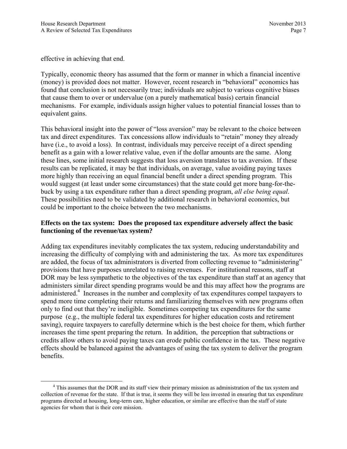effective in achieving that end.

Typically, economic theory has assumed that the form or manner in which a financial incentive (money) is provided does not matter. However, recent research in "behavioral" economics has found that conclusion is not necessarily true; individuals are subject to various cognitive biases that cause them to over or undervalue (on a purely mathematical basis) certain financial mechanisms. For example, individuals assign higher values to potential financial losses than to equivalent gains.

This behavioral insight into the power of "loss aversion" may be relevant to the choice between tax and direct expenditures. Tax concessions allow individuals to "retain" money they already have (i.e., to avoid a loss). In contrast, individuals may perceive receipt of a direct spending benefit as a gain with a lower relative value, even if the dollar amounts are the same. Along these lines, some initial research suggests that loss aversion translates to tax aversion. If these results can be replicated, it may be that individuals, on average, value avoiding paying taxes more highly than receiving an equal financial benefit under a direct spending program. This would suggest (at least under some circumstances) that the state could get more bang-for-thebuck by using a tax expenditure rather than a direct spending program, *all else being equal*. These possibilities need to be validated by additional research in behavioral economics, but could be important to the choice between the two mechanisms.

## **Effects on the tax system: Does the proposed tax expenditure adversely affect the basic functioning of the revenue/tax system?**

Adding tax expenditures inevitably complicates the tax system, reducing understandability and increasing the difficulty of complying with and administering the tax. As more tax expenditures are added, the focus of tax administrators is diverted from collecting revenue to "administering" provisions that have purposes unrelated to raising revenues. For institutional reasons, staff at DOR may be less sympathetic to the objectives of the tax expenditure than staff at an agency that administers similar direct spending programs would be and this may affect how the programs are administered.<sup>4</sup> Increases in the number and complexity of tax expenditures compel taxpayers to spend more time completing their returns and familiarizing themselves with new programs often only to find out that they're ineligible. Sometimes competing tax expenditures for the same purpose (e.g., the multiple federal tax expenditures for higher education costs and retirement saving), require taxpayers to carefully determine which is the best choice for them, which further increases the time spent preparing the return. In addition, the perception that subtractions or credits allow others to avoid paying taxes can erode public confidence in the tax. These negative effects should be balanced against the advantages of using the tax system to deliver the program benefits.

 $\overline{4}$ <sup>4</sup> This assumes that the DOR and its staff view their primary mission as administration of the tax system and collection of revenue for the state. If that is true, it seems they will be less invested in ensuring that tax expenditure programs directed at housing, long-term care, higher education, or similar are effective than the staff of state agencies for whom that is their core mission.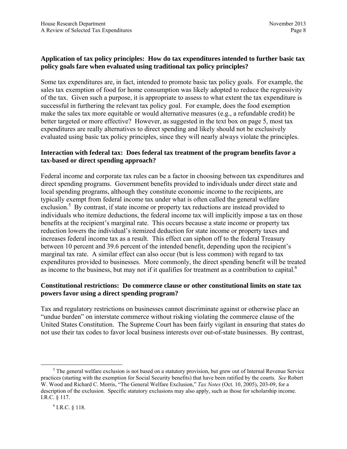## **Application of tax policy principles: How do tax expenditures intended to further basic tax policy goals fare when evaluated using traditional tax policy principles?**

Some tax expenditures are, in fact, intended to promote basic tax policy goals. For example, the sales tax exemption of food for home consumption was likely adopted to reduce the regressivity of the tax. Given such a purpose, it is appropriate to assess to what extent the tax expenditure is successful in furthering the relevant tax policy goal. For example, does the food exemption make the sales tax more equitable or would alternative measures (e.g., a refundable credit) be better targeted or more effective? However, as suggested in the text box on page 5, most tax expenditures are really alternatives to direct spending and likely should not be exclusively evaluated using basic tax policy principles, since they will nearly always violate the principles.

## **Interaction with federal tax: Does federal tax treatment of the program benefits favor a tax-based or direct spending approach?**

Federal income and corporate tax rules can be a factor in choosing between tax expenditures and direct spending programs. Government benefits provided to individuals under direct state and local spending programs, although they constitute economic income to the recipients, are typically exempt from federal income tax under what is often called the general welfare exclusion.<sup>5</sup> By contrast, if state income or property tax reductions are instead provided to individuals who itemize deductions, the federal income tax will implicitly impose a tax on those benefits at the recipient's marginal rate. This occurs because a state income or property tax reduction lowers the individual's itemized deduction for state income or property taxes and increases federal income tax as a result. This effect can siphon off to the federal Treasury between 10 percent and 39.6 percent of the intended benefit, depending upon the recipient's marginal tax rate. A similar effect can also occur (but is less common) with regard to tax expenditures provided to businesses. More commonly, the direct spending benefit will be treated as income to the business, but may not if it qualifies for treatment as a contribution to capital.<sup>6</sup>

### **Constitutional restrictions: Do commerce clause or other constitutional limits on state tax powers favor using a direct spending program?**

Tax and regulatory restrictions on businesses cannot discriminate against or otherwise place an "undue burden" on interstate commerce without risking violating the commerce clause of the United States Constitution. The Supreme Court has been fairly vigilant in ensuring that states do not use their tax codes to favor local business interests over out-of-state businesses. By contrast,

 $rac{1}{5}$ <sup>5</sup> The general welfare exclusion is not based on a statutory provision, but grew out of Internal Revenue Service practices (starting with the exemption for Social Security benefits) that have been ratified by the courts. *See* Robert W. Wood and Richard C. Morris, "The General Welfare Exclusion," *Tax Notes* (Oct. 10, 2005), 203-09, for a description of the exclusion. Specific statutory exclusions may also apply, such as those for scholarship income. I.R.C. § 117.

 $6$  I.R.C. § 118.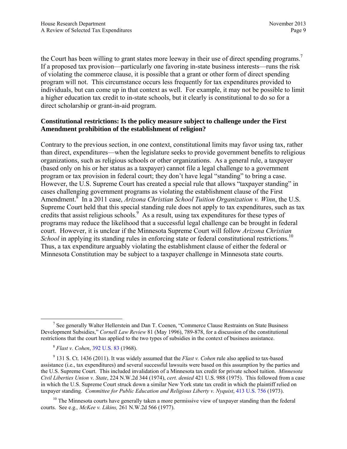the Court has been willing to grant states more leeway in their use of direct spending programs.<sup>7</sup> If a proposed tax provision—particularly one favoring in-state business interests—runs the risk of violating the commerce clause, it is possible that a grant or other form of direct spending program will not. This circumstance occurs less frequently for tax expenditures provided to individuals, but can come up in that context as well. For example, it may not be possible to limit a higher education tax credit to in-state schools, but it clearly is constitutional to do so for a direct scholarship or grant-in-aid program.

### **Constitutional restrictions: Is the policy measure subject to challenge under the First Amendment prohibition of the establishment of religion?**

Contrary to the previous section, in one context, constitutional limits may favor using tax, rather than direct, expenditures—when the legislature seeks to provide government benefits to religious organizations, such as religious schools or other organizations. As a general rule, a taxpayer (based only on his or her status as a taxpayer) cannot file a legal challenge to a government program or tax provision in federal court; they don't have legal "standing" to bring a case. However, the U.S. Supreme Court has created a special rule that allows "taxpayer standing" in cases challenging government programs as violating the establishment clause of the First Amendment.<sup>8</sup> In a 2011 case, *Arizona Christian School Tuition Organization v. Winn*, the U.S. Supreme Court held that this special standing rule does not apply to tax expenditures, such as tax credits that assist religious schools.<sup>9</sup> As a result, using tax expenditures for these types of programs may reduce the likelihood that a successful legal challenge can be brought in federal court. However, it is unclear if the Minnesota Supreme Court will follow *Arizona Christian School* in applying its standing rules in enforcing state or federal constitutional restrictions.<sup>10</sup> Thus, a tax expenditure arguably violating the establishment clause of either the federal or Minnesota Constitution may be subject to a taxpayer challenge in Minnesota state courts.

 $\frac{1}{7}$  $\frac{7}{1}$  See generally Walter Hellerstein and Dan T. Coenen, "Commerce Clause Restraints on State Business Development Subsidies," *Cornell Law Review* 81 (May 1996), 789-878, for a discussion of the constitutional restrictions that the court has applied to the two types of subsidies in the context of business assistance.

<sup>8</sup> *Flast v. Cohen*, [392 U.S. 83](http://caselaw.lp.findlaw.com/cgi-bin/getcase.pl?court=us&vol=392&invol=83) (1968).

<sup>9</sup> 131 S. Ct. 1436 (2011). It was widely assumed that the *Flast v. Cohen* rule also applied to tax-based assistance (i.e., tax expenditures) and several successful lawsuits were based on this assumption by the parties and the U.S. Supreme Court. This included invalidation of a Minnesota tax credit for private school tuition. *Minnesota Civil Liberties Union v. State*, 224 N.W.2d 344 (1974), *cert. denied* 421 U.S. 988 (1975). This followed from a case in which the U.S. Supreme Court struck down a similar New York state tax credit in which the plaintiff relied on taxpayer standing. *Committee for Public Education and Religious Liberty v. Nyquist*, [413 U.S. 756](http://www.law.cornell.edu/supremecourt/text/413/756) (1973).

 $10$  The Minnesota courts have generally taken a more permissive view of taxpayer standing than the federal courts. See e.g.*, McKee v. Likins,* 261 N.W.2d 566 (1977).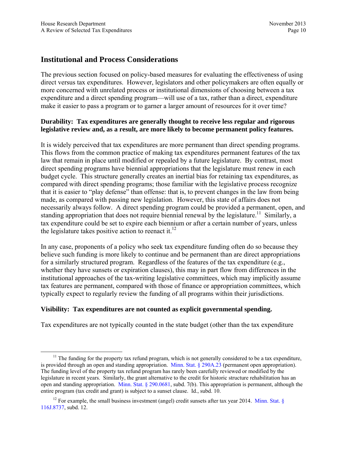## **Institutional and Process Considerations**

The previous section focused on policy-based measures for evaluating the effectiveness of using direct versus tax expenditures. However, legislators and other policymakers are often equally or more concerned with unrelated process or institutional dimensions of choosing between a tax expenditure and a direct spending program—will use of a tax, rather than a direct, expenditure make it easier to pass a program or to garner a larger amount of resources for it over time?

## **Durability: Tax expenditures are generally thought to receive less regular and rigorous legislative review and, as a result, are more likely to become permanent policy features.**

It is widely perceived that tax expenditures are more permanent than direct spending programs. This flows from the common practice of making tax expenditures permanent features of the tax law that remain in place until modified or repealed by a future legislature. By contrast, most direct spending programs have biennial appropriations that the legislature must renew in each budget cycle. This structure generally creates an inertial bias for retaining tax expenditures, as compared with direct spending programs; those familiar with the legislative process recognize that it is easier to "play defense" than offense: that is, to prevent changes in the law from being made, as compared with passing new legislation. However, this state of affairs does not necessarily always follow. A direct spending program could be provided a permanent, open, and standing appropriation that does not require biennial renewal by the legislature.<sup>11</sup> Similarly, a tax expenditure could be set to expire each biennium or after a certain number of years, unless the legislature takes positive action to reenact it.<sup>12</sup>

In any case, proponents of a policy who seek tax expenditure funding often do so because they believe such funding is more likely to continue and be permanent than are direct appropriations for a similarly structured program. Regardless of the features of the tax expenditure (e.g., whether they have sunsets or expiration clauses), this may in part flow from differences in the institutional approaches of the tax-writing legislative committees, which may implicitly assume tax features are permanent, compared with those of finance or appropriation committees, which typically expect to regularly review the funding of all programs within their jurisdictions.

#### **Visibility: Tax expenditures are not counted as explicit governmental spending.**

Tax expenditures are not typically counted in the state budget (other than the tax expenditure

 $11$  The funding for the property tax refund program, which is not generally considered to be a tax expenditure, is provided through an open and standing appropriation. [Minn. Stat. § 290A.23](https://www.revisor.mn.gov/statutes/?id=290A.23) (permanent open appropriation). The funding level of the property tax refund program has rarely been carefully reviewed or modified by the legislature in recent years. Similarly, the grant alternative to the credit for historic structure rehabilitation has an open and standing appropriation. [Minn. Stat. § 290.0681,](https://www.revisor.mn.gov/statutes/?id=290.0681) subd. 7(b). This appropriation is permanent, although the entire program (tax credit and grant) is subject to a sunset clause. Id., subd. 10.

<sup>&</sup>lt;sup>12</sup> For example, the small business investment (angel) credit sunsets after tax year 2014. Minn. Stat.  $\S$ [116J.8737,](https://www.revisor.mn.gov/statutes/?id=116J.8737) subd. 12.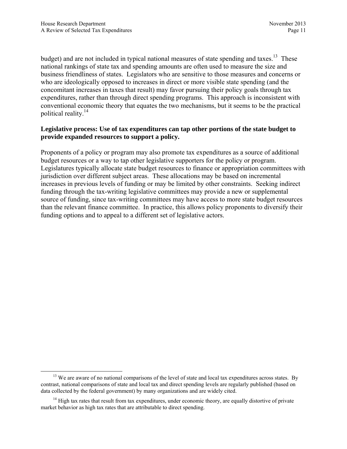budget) and are not included in typical national measures of state spending and taxes.<sup>13</sup> These national rankings of state tax and spending amounts are often used to measure the size and business friendliness of states. Legislators who are sensitive to those measures and concerns or who are ideologically opposed to increases in direct or more visible state spending (and the concomitant increases in taxes that result) may favor pursuing their policy goals through tax expenditures, rather than through direct spending programs. This approach is inconsistent with conventional economic theory that equates the two mechanisms, but it seems to be the practical political reality.14

### **Legislative process: Use of tax expenditures can tap other portions of the state budget to provide expanded resources to support a policy.**

Proponents of a policy or program may also promote tax expenditures as a source of additional budget resources or a way to tap other legislative supporters for the policy or program. Legislatures typically allocate state budget resources to finance or appropriation committees with jurisdiction over different subject areas. These allocations may be based on incremental increases in previous levels of funding or may be limited by other constraints. Seeking indirect funding through the tax-writing legislative committees may provide a new or supplemental source of funding, since tax-writing committees may have access to more state budget resources than the relevant finance committee. In practice, this allows policy proponents to diversify their funding options and to appeal to a different set of legislative actors.

<sup>&</sup>lt;sup>13</sup> We are aware of no national comparisons of the level of state and local tax expenditures across states. By contrast, national comparisons of state and local tax and direct spending levels are regularly published (based on data collected by the federal government) by many organizations and are widely cited.

<sup>&</sup>lt;sup>14</sup> High tax rates that result from tax expenditures, under economic theory, are equally distortive of private market behavior as high tax rates that are attributable to direct spending.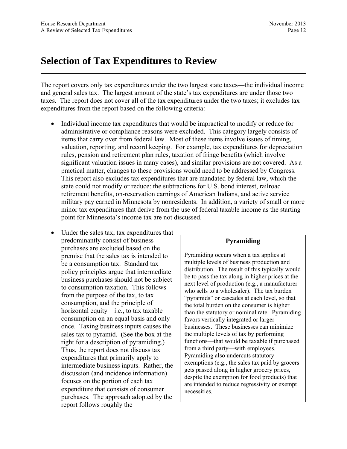## <span id="page-17-0"></span>**Selection of Tax Expenditures to Review**

The report covers only tax expenditures under the two largest state taxes—the individual income and general sales tax. The largest amount of the state's tax expenditures are under those two taxes. The report does not cover all of the tax expenditures under the two taxes; it excludes tax expenditures from the report based on the following criteria:

- Individual income tax expenditures that would be impractical to modify or reduce for administrative or compliance reasons were excluded. This category largely consists of items that carry over from federal law. Most of these items involve issues of timing, valuation, reporting, and record keeping. For example, tax expenditures for depreciation rules, pension and retirement plan rules, taxation of fringe benefits (which involve significant valuation issues in many cases), and similar provisions are not covered. As a practical matter, changes to these provisions would need to be addressed by Congress. This report also excludes tax expenditures that are mandated by federal law, which the state could not modify or reduce: the subtractions for U.S. bond interest, railroad retirement benefits, on-reservation earnings of American Indians, and active service military pay earned in Minnesota by nonresidents. In addition, a variety of small or more minor tax expenditures that derive from the use of federal taxable income as the starting point for Minnesota's income tax are not discussed.
- Under the sales tax, tax expenditures that predominantly consist of business purchases are excluded based on the premise that the sales tax is intended to be a consumption tax. Standard tax policy principles argue that intermediate business purchases should not be subject to consumption taxation. This follows from the purpose of the tax, to tax consumption, and the principle of horizontal equity—i.e., to tax taxable consumption on an equal basis and only once. Taxing business inputs causes the sales tax to pyramid. (See the box at the right for a description of pyramiding.) Thus, the report does not discuss tax expenditures that primarily apply to intermediate business inputs. Rather, the discussion (and incidence information) focuses on the portion of each tax expenditure that consists of consumer purchases. The approach adopted by the report follows roughly the

#### **Pyramiding**

Pyramiding occurs when a tax applies at multiple levels of business production and distribution. The result of this typically would be to pass the tax along in higher prices at the next level of production (e.g., a manufacturer who sells to a wholesaler). The tax burden "pyramids" or cascades at each level, so that the total burden on the consumer is higher than the statutory or nominal rate. Pyramiding favors vertically integrated or larger businesses. These businesses can minimize the multiple levels of tax by performing functions—that would be taxable if purchased from a third party—with employees. Pyramiding also undercuts statutory exemptions (e.g., the sales tax paid by grocers gets passed along in higher grocery prices, despite the exemption for food products) that are intended to reduce regressivity or exempt necessities.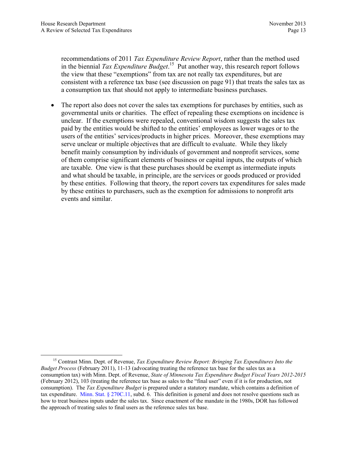recommendations of 2011 *Tax Expenditure Review Report*, rather than the method used in the biennial *Tax Expenditure Budget*. 15 Put another way, this research report follows the view that these "exemptions" from tax are not really tax expenditures, but are consistent with a reference tax base (see discussion on page 91) that treats the sales tax as a consumption tax that should not apply to intermediate business purchases.

 The report also does not cover the sales tax exemptions for purchases by entities, such as governmental units or charities. The effect of repealing these exemptions on incidence is unclear. If the exemptions were repealed, conventional wisdom suggests the sales tax paid by the entities would be shifted to the entities' employees as lower wages or to the users of the entities' services/products in higher prices. Moreover, these exemptions may serve unclear or multiple objectives that are difficult to evaluate. While they likely benefit mainly consumption by individuals of government and nonprofit services, some of them comprise significant elements of business or capital inputs, the outputs of which are taxable. One view is that these purchases should be exempt as intermediate inputs and what should be taxable, in principle, are the services or goods produced or provided by these entities. Following that theory, the report covers tax expenditures for sales made by these entities to purchasers, such as the exemption for admissions to nonprofit arts events and similar.

 <sup>15</sup> Contrast Minn. Dept. of Revenue, *Tax Expenditure Review Report: Bringing Tax Expenditures Into the Budget Process* (February 2011), 11-13 (advocating treating the reference tax base for the sales tax as a consumption tax) with Minn. Dept. of Revenue, *State of Minnesota Tax Expenditure Budget Fiscal Years 2012-2015* (February 2012), 103 (treating the reference tax base as sales to the "final user" even if it is for production, not consumption). The *Tax Expenditure Budget* is prepared under a statutory mandate, which contains a definition of tax expenditure. [Minn. Stat. § 270C.11](https://www.revisor.mn.gov/statutes/?id=270C.11), subd. 6. This definition is general and does not resolve questions such as how to treat business inputs under the sales tax. Since enactment of the mandate in the 1980s, DOR has followed the approach of treating sales to final users as the reference sales tax base.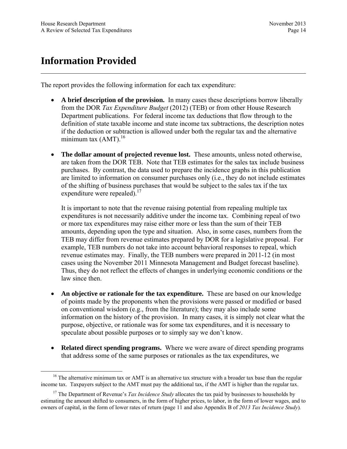## <span id="page-19-0"></span>**Information Provided**

The report provides the following information for each tax expenditure:

- **A brief description of the provision.** In many cases these descriptions borrow liberally from the DOR *Tax Expenditure Budget* (2012) (TEB) or from other House Research Department publications. For federal income tax deductions that flow through to the definition of state taxable income and state income tax subtractions, the description notes if the deduction or subtraction is allowed under both the regular tax and the alternative minimum tax  $(AMT)$ .<sup>16</sup>
- **The dollar amount of projected revenue lost.** These amounts, unless noted otherwise, are taken from the DOR TEB. Note that TEB estimates for the sales tax include business purchases. By contrast, the data used to prepare the incidence graphs in this publication are limited to information on consumer purchases only (i.e., they do not include estimates of the shifting of business purchases that would be subject to the sales tax if the tax expenditure were repealed). $17$

It is important to note that the revenue raising potential from repealing multiple tax expenditures is not necessarily additive under the income tax. Combining repeal of two or more tax expenditures may raise either more or less than the sum of their TEB amounts, depending upon the type and situation. Also, in some cases, numbers from the TEB may differ from revenue estimates prepared by DOR for a legislative proposal. For example, TEB numbers do not take into account behavioral responses to repeal, which revenue estimates may. Finally, the TEB numbers were prepared in 2011-12 (in most cases using the November 2011 Minnesota Management and Budget forecast baseline). Thus, they do not reflect the effects of changes in underlying economic conditions or the law since then.

- **An objective or rationale for the tax expenditure.** These are based on our knowledge of points made by the proponents when the provisions were passed or modified or based on conventional wisdom (e.g., from the literature); they may also include some information on the history of the provision. In many cases, it is simply not clear what the purpose, objective, or rationale was for some tax expenditures, and it is necessary to speculate about possible purposes or to simply say we don't know.
- **Related direct spending programs.** Where we were aware of direct spending programs that address some of the same purposes or rationales as the tax expenditures, we

<sup>&</sup>lt;sup>16</sup> The alternative minimum tax or AMT is an alternative tax structure with a broader tax base than the regular income tax. Taxpayers subject to the AMT must pay the additional tax, if the AMT is higher than the regular tax.

<sup>&</sup>lt;sup>17</sup> The Department of Revenue's *Tax Incidence Study* allocates the tax paid by businesses to households by estimating the amount shifted to consumers, in the form of higher prices, to labor, in the form of lower wages, and to owners of capital, in the form of lower rates of return (page 11 and also Appendix B of *2013 Tax Incidence Study*)*.*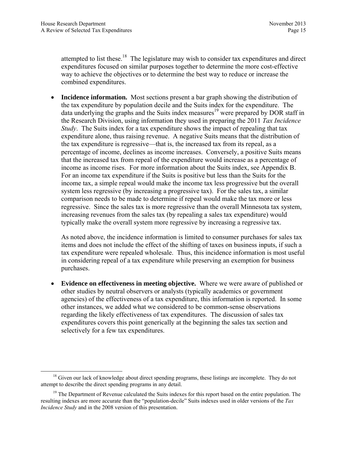attempted to list these.<sup>18</sup> The legislature may wish to consider tax expenditures and direct expenditures focused on similar purposes together to determine the more cost-effective way to achieve the objectives or to determine the best way to reduce or increase the combined expenditures.

 **Incidence information.** Most sections present a bar graph showing the distribution of the tax expenditure by population decile and the Suits index for the expenditure. The data underlying the graphs and the Suits index measures<sup>19</sup> were prepared by DOR staff in the Research Division, using information they used in preparing the 2011 *Tax Incidence Study*. The Suits index for a tax expenditure shows the impact of repealing that tax expenditure alone, thus raising revenue. A negative Suits means that the distribution of the tax expenditure is regressive—that is, the increased tax from its repeal, as a percentage of income, declines as income increases. Conversely, a positive Suits means that the increased tax from repeal of the expenditure would increase as a percentage of income as income rises. For more information about the Suits index, see Appendix B. For an income tax expenditure if the Suits is positive but less than the Suits for the income tax, a simple repeal would make the income tax less progressive but the overall system less regressive (by increasing a progressive tax). For the sales tax, a similar comparison needs to be made to determine if repeal would make the tax more or less regressive. Since the sales tax is more regressive than the overall Minnesota tax system, increasing revenues from the sales tax (by repealing a sales tax expenditure) would typically make the overall system more regressive by increasing a regressive tax.

As noted above, the incidence information is limited to consumer purchases for sales tax items and does not include the effect of the shifting of taxes on business inputs, if such a tax expenditure were repealed wholesale. Thus, this incidence information is most useful in considering repeal of a tax expenditure while preserving an exemption for business purchases.

 **Evidence on effectiveness in meeting objective.** Where we were aware of published or other studies by neutral observers or analysts (typically academics or government agencies) of the effectiveness of a tax expenditure, this information is reported. In some other instances, we added what we considered to be common-sense observations regarding the likely effectiveness of tax expenditures. The discussion of sales tax expenditures covers this point generically at the beginning the sales tax section and selectively for a few tax expenditures.

 $18$  Given our lack of knowledge about direct spending programs, these listings are incomplete. They do not attempt to describe the direct spending programs in any detail.

<sup>&</sup>lt;sup>19</sup> The Department of Revenue calculated the Suits indexes for this report based on the entire population. The resulting indexes are more accurate than the "population-decile" Suits indexes used in older versions of the *Tax Incidence Study* and in the 2008 version of this presentation.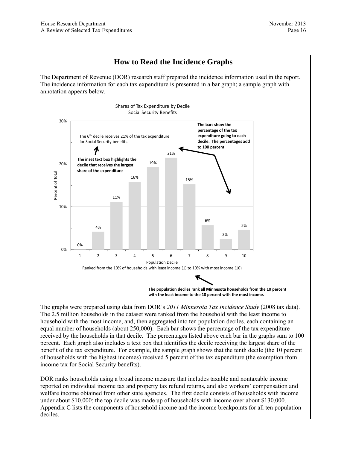## **How to Read the Incidence Graphs**

The Department of Revenue (DOR) research staff prepared the incidence information used in the report. The incidence information for each tax expenditure is presented in a bar graph; a sample graph with annotation appears below.



The graphs were prepared using data from DOR's *2011 Minnesota Tax Incidence Study* (2008 tax data). The 2.5 million households in the dataset were ranked from the household with the least income to household with the most income, and, then aggregated into ten population deciles, each containing an equal number of households (about 250,000). Each bar shows the percentage of the tax expenditure received by the households in that decile. The percentages listed above each bar in the graphs sum to 100 percent. Each graph also includes a text box that identifies the decile receiving the largest share of the benefit of the tax expenditure. For example, the sample graph shows that the tenth decile (the 10 percent of households with the highest incomes) received 5 percent of the tax expenditure (the exemption from income tax for Social Security benefits).

DOR ranks households using a broad income measure that includes taxable and nontaxable income reported on individual income tax and property tax refund returns, and also workers' compensation and welfare income obtained from other state agencies. The first decile consists of households with income under about \$10,000; the top decile was made up of households with income over about \$130,000. Appendix C lists the components of household income and the income breakpoints for all ten population deciles.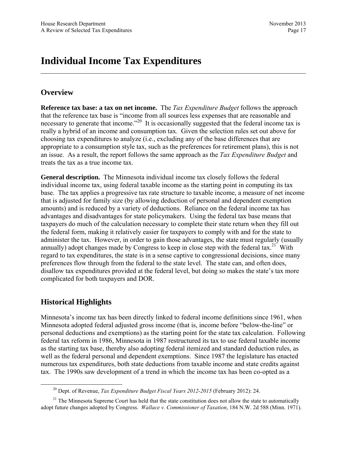## <span id="page-22-0"></span>**Individual Income Tax Expenditures**

## **Overview**

**Reference tax base: a tax on net income.** The *Tax Expenditure Budget* follows the approach that the reference tax base is "income from all sources less expenses that are reasonable and necessary to generate that income.<sup>220</sup> It is occasionally suggested that the federal income tax is really a hybrid of an income and consumption tax. Given the selection rules set out above for choosing tax expenditures to analyze (i.e., excluding any of the base differences that are appropriate to a consumption style tax, such as the preferences for retirement plans), this is not an issue. As a result, the report follows the same approach as the *Tax Expenditure Budget* and treats the tax as a true income tax.

**General description.** The Minnesota individual income tax closely follows the federal individual income tax, using federal taxable income as the starting point in computing its tax base. The tax applies a progressive tax rate structure to taxable income, a measure of net income that is adjusted for family size (by allowing deduction of personal and dependent exemption amounts) and is reduced by a variety of deductions. Reliance on the federal income tax has advantages and disadvantages for state policymakers. Using the federal tax base means that taxpayers do much of the calculation necessary to complete their state return when they fill out the federal form, making it relatively easier for taxpayers to comply with and for the state to administer the tax. However, in order to gain those advantages, the state must regularly (usually annually) adopt changes made by Congress to keep in close step with the federal tax.<sup>21</sup> With regard to tax expenditures, the state is in a sense captive to congressional decisions, since many preferences flow through from the federal to the state level. The state can, and often does, disallow tax expenditures provided at the federal level, but doing so makes the state's tax more complicated for both taxpayers and DOR.

## **Historical Highlights**

Minnesota's income tax has been directly linked to federal income definitions since 1961, when Minnesota adopted federal adjusted gross income (that is, income before "below-the-line" or personal deductions and exemptions) as the starting point for the state tax calculation. Following federal tax reform in 1986, Minnesota in 1987 restructured its tax to use federal taxable income as the starting tax base, thereby also adopting federal itemized and standard deduction rules, as well as the federal personal and dependent exemptions. Since 1987 the legislature has enacted numerous tax expenditures, both state deductions from taxable income and state credits against tax. The 1990s saw development of a trend in which the income tax has been co-opted as a

 <sup>20</sup> Dept. of Revenue, *Tax Expenditure Budget Fiscal Years 2012-2015* (February 2012): 24.

 $21$  The Minnesota Supreme Court has held that the state constitution does not allow the state to automatically adopt future changes adopted by Congress. *Wallace v. Commissioner of Taxation*, 184 N.W. 2d 588 (Minn. 1971).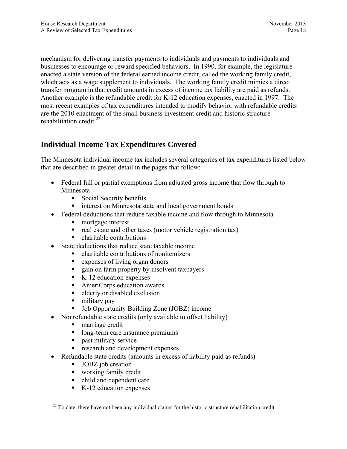mechanism for delivering transfer payments to individuals and payments to individuals and businesses to encourage or reward specified behaviors. In 1990, for example, the legislature enacted a state version of the federal earned income credit, called the working family credit, which acts as a wage supplement to individuals. The working family credit mimics a direct transfer program in that credit amounts in excess of income tax liability are paid as refunds. Another example is the refundable credit for K-12 education expenses, enacted in 1997. The most recent examples of tax expenditures intended to modify behavior with refundable credits are the 2010 enactment of the small business investment credit and historic structure rehabilitation credit $^{22}$ .

## **Individual Income Tax Expenditures Covered**

The Minnesota individual income tax includes several categories of tax expenditures listed below that are described in greater detail in the pages that follow:

- Federal full or partial exemptions from adjusted gross income that flow through to Minnesota
	- Social Security benefits
	- **imerest on Minnesota state and local government bonds**
- Federal deductions that reduce taxable income and flow through to Minnesota
	- mortgage interest
	- $\blacksquare$  real estate and other taxes (motor vehicle registration tax)
	- charitable contributions
- State deductions that reduce state taxable income
	- charitable contributions of nonitemizers
	- expenses of living organ donors
	- **quare-** gain on farm property by insolvent taxpayers
	- $\blacksquare$  K-12 education expenses
	- AmeriCorps education awards
	- elderly or disabled exclusion
	- $\blacksquare$  military pay
	- Job Opportunity Building Zone (JOBZ) income
- Nonrefundable state credits (only available to offset liability)
	- **marriage credit**
	- long-term care insurance premiums
	- **past military service**
	- **research and development expenses**
- Refundable state credits (amounts in excess of liability paid as refunds)
	- **JOBZ** job creation
	- working family credit
	- child and dependent care
	- $\blacksquare$  K-12 education expenses

 $22$  To date, there have not been any individual claims for the historic structure rehabilitation credit.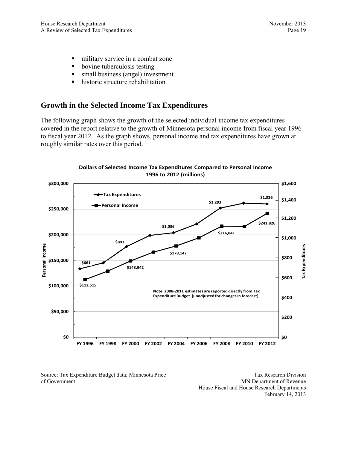- military service in a combat zone
- bovine tuberculosis testing
- small business (angel) investment
- historic structure rehabilitation

## **Growth in the Selected Income Tax Expenditures**

The following graph shows the growth of the selected individual income tax expenditures covered in the report relative to the growth of Minnesota personal income from fiscal year 1996 to fiscal year 2012. As the graph shows, personal income and tax expenditures have grown at roughly similar rates over this period.



**Dollars of Selected Income Tax Expenditures Compared to Personal Income 1996 to 2012 (millions) Dollars of Selected Income Tax Expenditures Compared to Personal Income 1996 to 2012 (millions)**

Source: Tax Expenditure Budget data; Minnesota Price of Government

Tax Research Division MN Department of Revenue House Fiscal and House Research Departments February 14, 2013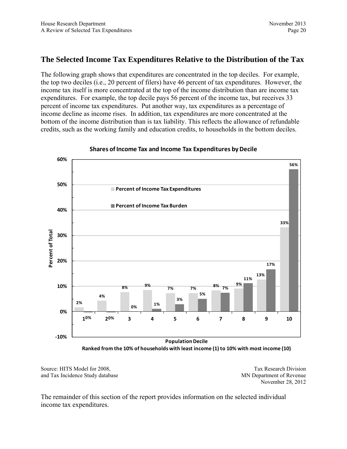## **The Selected Income Tax Expenditures Relative to the Distribution of the Tax**

The following graph shows that expenditures are concentrated in the top deciles. For example, the top two deciles (i.e., 20 percent of filers) have 46 percent of tax expenditures. However, the income tax itself is more concentrated at the top of the income distribution than are income tax expenditures. For example, the top decile pays 56 percent of the income tax, but receives 33 percent of income tax expenditures. Put another way, tax expenditures as a percentage of income decline as income rises. In addition, tax expenditures are more concentrated at the bottom of the income distribution than is tax liability. This reflects the allowance of refundable credits, such as the working family and education credits, to households in the bottom deciles.



**Shares ofIncome Tax and Income Tax Expenditures by Decile**

**Ranked from the 10% of households with least income (1) to 10% with most income (10)**

Source: HITS Model for 2008, and Tax Incidence Study database

Tax Research Division MN Department of Revenue November 28, 2012

The remainder of this section of the report provides information on the selected individual income tax expenditures.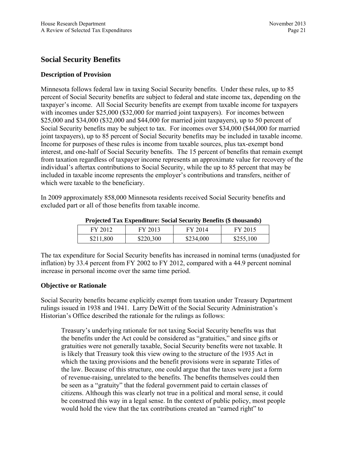## **Social Security Benefits**

#### **Description of Provision**

Minnesota follows federal law in taxing Social Security benefits. Under these rules, up to 85 percent of Social Security benefits are subject to federal and state income tax, depending on the taxpayer's income. All Social Security benefits are exempt from taxable income for taxpayers with incomes under \$25,000 (\$32,000 for married joint taxpayers). For incomes between \$25,000 and \$34,000 (\$32,000 and \$44,000 for married joint taxpayers), up to 50 percent of Social Security benefits may be subject to tax. For incomes over \$34,000 (\$44,000 for married joint taxpayers), up to 85 percent of Social Security benefits may be included in taxable income. Income for purposes of these rules is income from taxable sources, plus tax-exempt bond interest, and one-half of Social Security benefits. The 15 percent of benefits that remain exempt from taxation regardless of taxpayer income represents an approximate value for recovery of the individual's aftertax contributions to Social Security, while the up to 85 percent that may be included in taxable income represents the employer's contributions and transfers, neither of which were taxable to the beneficiary.

In 2009 approximately 858,000 Minnesota residents received Social Security benefits and excluded part or all of those benefits from taxable income.

| I reflected Tax Expenditure. Social Security Defierts (5 thousands) |           |           |           |  |  |
|---------------------------------------------------------------------|-----------|-----------|-----------|--|--|
| FY 2012                                                             | FY 2013   | FY 2014   | FY 2015   |  |  |
| \$211,800                                                           | \$220,300 | \$234,000 | \$255,100 |  |  |

**Projected Tax Expenditure: Social Security Benefits (\$ thousands)** 

The tax expenditure for Social Security benefits has increased in nominal terms (unadjusted for inflation) by 33.4 percent from FY 2002 to FY 2012, compared with a 44.9 percent nominal increase in personal income over the same time period.

#### **Objective or Rationale**

Social Security benefits became explicitly exempt from taxation under Treasury Department rulings issued in 1938 and 1941. Larry DeWitt of the Social Security Administration's Historian's Office described the rationale for the rulings as follows:

Treasury's underlying rationale for not taxing Social Security benefits was that the benefits under the Act could be considered as "gratuities," and since gifts or gratuities were not generally taxable, Social Security benefits were not taxable. It is likely that Treasury took this view owing to the structure of the 1935 Act in which the taxing provisions and the benefit provisions were in separate Titles of the law. Because of this structure, one could argue that the taxes were just a form of revenue-raising, unrelated to the benefits. The benefits themselves could then be seen as a "gratuity" that the federal government paid to certain classes of citizens. Although this was clearly not true in a political and moral sense, it could be construed this way in a legal sense. In the context of public policy, most people would hold the view that the tax contributions created an "earned right" to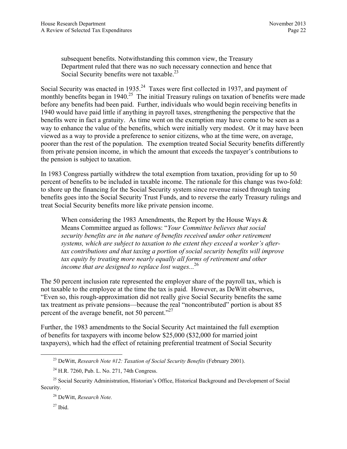subsequent benefits. Notwithstanding this common view, the Treasury Department ruled that there was no such necessary connection and hence that Social Security benefits were not taxable.<sup>23</sup>

Social Security was enacted in 1935.<sup>24</sup> Taxes were first collected in 1937, and payment of monthly benefits began in  $1940$ .<sup>25</sup> The initial Treasury rulings on taxation of benefits were made before any benefits had been paid. Further, individuals who would begin receiving benefits in 1940 would have paid little if anything in payroll taxes, strengthening the perspective that the benefits were in fact a gratuity. As time went on the exemption may have come to be seen as a way to enhance the value of the benefits, which were initially very modest. Or it may have been viewed as a way to provide a preference to senior citizens, who at the time were, on average, poorer than the rest of the population. The exemption treated Social Security benefits differently from private pension income, in which the amount that exceeds the taxpayer's contributions to the pension is subject to taxation.

In 1983 Congress partially withdrew the total exemption from taxation, providing for up to 50 percent of benefits to be included in taxable income. The rationale for this change was two-fold: to shore up the financing for the Social Security system since revenue raised through taxing benefits goes into the Social Security Trust Funds, and to reverse the early Treasury rulings and treat Social Security benefits more like private pension income.

When considering the 1983 Amendments, the Report by the House Ways  $\&$ Means Committee argued as follows: "*Your Committee believes that social security benefits are in the nature of benefits received under other retirement systems, which are subject to taxation to the extent they exceed a worker's aftertax contributions and that taxing a portion of social security benefits will improve tax equity by treating more nearly equally all forms of retirement and other income that are designed to replace lost wages...*<sup>26</sup>

The 50 percent inclusion rate represented the employer share of the payroll tax, which is not taxable to the employee at the time the tax is paid. However, as DeWitt observes, "Even so, this rough-approximation did not really give Social Security benefits the same tax treatment as private pensions—because the real "noncontributed" portion is about 85 percent of the average benefit, not 50 percent."<sup>27</sup>

Further, the 1983 amendments to the Social Security Act maintained the full exemption of benefits for taxpayers with income below \$25,000 (\$32,000 for married joint taxpayers), which had the effect of retaining preferential treatment of Social Security

 <sup>23</sup> DeWitt, *Research Note #12: Taxation of Social Security Benefits* (February 2001).

<sup>24</sup> H.R. 7260, Pub. L. No. 271, 74th Congress.

<sup>&</sup>lt;sup>25</sup> Social Security Administration, Historian's Office, Historical Background and Development of Social Security.

<sup>26</sup> DeWitt, *Research Note.*

 $27$  Ibid.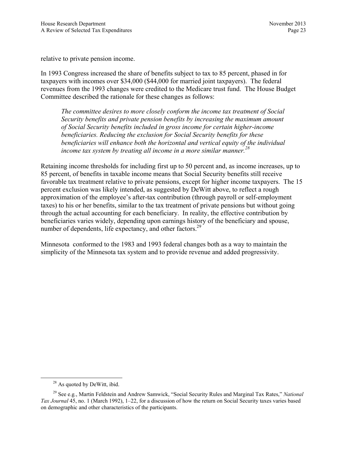relative to private pension income.

In 1993 Congress increased the share of benefits subject to tax to 85 percent, phased in for taxpayers with incomes over \$34,000 (\$44,000 for married joint taxpayers). The federal revenues from the 1993 changes were credited to the Medicare trust fund. The House Budget Committee described the rationale for these changes as follows:

*The committee desires to more closely conform the income tax treatment of Social Security benefits and private pension benefits by increasing the maximum amount of Social Security benefits included in gross income for certain higher-income beneficiaries. Reducing the exclusion for Social Security benefits for these beneficiaries will enhance both the horizontal and vertical equity of the individual income tax system by treating all income in a more similar manner.*<sup>28</sup>

Retaining income thresholds for including first up to 50 percent and, as income increases, up to 85 percent, of benefits in taxable income means that Social Security benefits still receive favorable tax treatment relative to private pensions, except for higher income taxpayers. The 15 percent exclusion was likely intended, as suggested by DeWitt above, to reflect a rough approximation of the employee's after-tax contribution (through payroll or self-employment taxes) to his or her benefits, similar to the tax treatment of private pensions but without going through the actual accounting for each beneficiary. In reality, the effective contribution by beneficiaries varies widely, depending upon earnings history of the beneficiary and spouse, number of dependents, life expectancy, and other factors.<sup>29</sup>

Minnesota conformed to the 1983 and 1993 federal changes both as a way to maintain the simplicity of the Minnesota tax system and to provide revenue and added progressivity.

<sup>&</sup>lt;sup>28</sup> As quoted by DeWitt, ibid.

<sup>29</sup> See e.g*.*, Martin Feldstein and Andrew Samwick, "Social Security Rules and Marginal Tax Rates," *National Tax Journal* 45, no. 1 (March 1992), 1–22, for a discussion of how the return on Social Security taxes varies based on demographic and other characteristics of the participants.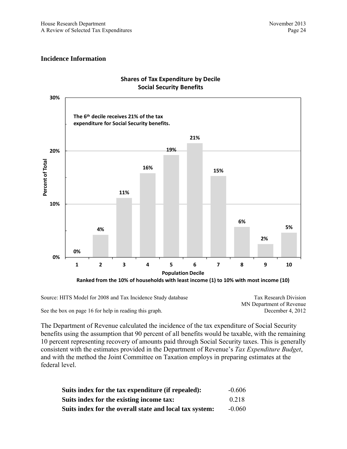#### **Incidence Information**



## **Shares of Tax Expenditure by Decile Social Security Benefits**

Source: HITS Model for 2008 and Tax Incidence Study database

See the box on page 16 for help in reading this graph.

Tax Research Division MN Department of Revenue December 4, 2012

The Department of Revenue calculated the incidence of the tax expenditure of Social Security benefits using the assumption that 90 percent of all benefits would be taxable, with the remaining 10 percent representing recovery of amounts paid through Social Security taxes. This is generally consistent with the estimates provided in the Department of Revenue's *Tax Expenditure Budget*, and with the method the Joint Committee on Taxation employs in preparing estimates at the federal level.

| Suits index for the tax expenditure (if repealed):      | $-0.606$ |
|---------------------------------------------------------|----------|
| Suits index for the existing income tax:                | 0.218    |
| Suits index for the overall state and local tax system: | $-0.060$ |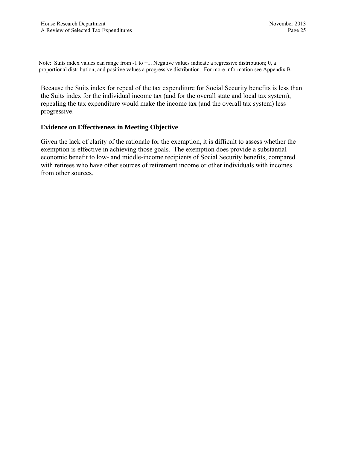Note: Suits index values can range from -1 to +1. Negative values indicate a regressive distribution; 0, a proportional distribution; and positive values a progressive distribution. For more information see Appendix B.

Because the Suits index for repeal of the tax expenditure for Social Security benefits is less than the Suits index for the individual income tax (and for the overall state and local tax system), repealing the tax expenditure would make the income tax (and the overall tax system) less progressive.

#### **Evidence on Effectiveness in Meeting Objective**

Given the lack of clarity of the rationale for the exemption, it is difficult to assess whether the exemption is effective in achieving those goals. The exemption does provide a substantial economic benefit to low- and middle-income recipients of Social Security benefits, compared with retirees who have other sources of retirement income or other individuals with incomes from other sources.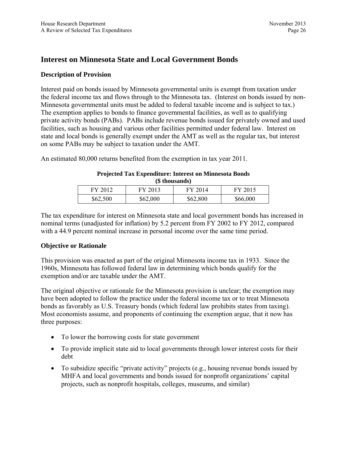## **Interest on Minnesota State and Local Government Bonds**

### **Description of Provision**

Interest paid on bonds issued by Minnesota governmental units is exempt from taxation under the federal income tax and flows through to the Minnesota tax. (Interest on bonds issued by non-Minnesota governmental units must be added to federal taxable income and is subject to tax.) The exemption applies to bonds to finance governmental facilities, as well as to qualifying private activity bonds (PABs). PABs include revenue bonds issued for privately owned and used facilities, such as housing and various other facilities permitted under federal law. Interest on state and local bonds is generally exempt under the AMT as well as the regular tax, but interest on some PABs may be subject to taxation under the AMT.

An estimated 80,000 returns benefited from the exemption in tax year 2011.

#### **Projected Tax Expenditure: Interest on Minnesota Bonds (\$ thousands)**

| FY 2012  | FY 2013  | FY 2014  | FY 2015  |
|----------|----------|----------|----------|
| \$62,500 | \$62,000 | \$62,800 | \$66,000 |

The tax expenditure for interest on Minnesota state and local government bonds has increased in nominal terms (unadjusted for inflation) by 5.2 percent from FY 2002 to FY 2012, compared with a 44.9 percent nominal increase in personal income over the same time period.

## **Objective or Rationale**

This provision was enacted as part of the original Minnesota income tax in 1933. Since the 1960s, Minnesota has followed federal law in determining which bonds qualify for the exemption and/or are taxable under the AMT.

The original objective or rationale for the Minnesota provision is unclear; the exemption may have been adopted to follow the practice under the federal income tax or to treat Minnesota bonds as favorably as U.S. Treasury bonds (which federal law prohibits states from taxing). Most economists assume, and proponents of continuing the exemption argue, that it now has three purposes:

- To lower the borrowing costs for state government
- To provide implicit state aid to local governments through lower interest costs for their debt
- To subsidize specific "private activity" projects (e.g., housing revenue bonds issued by MHFA and local governments and bonds issued for nonprofit organizations' capital projects, such as nonprofit hospitals, colleges, museums, and similar)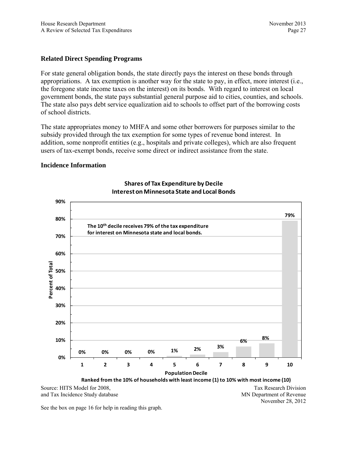#### **Related Direct Spending Programs**

For state general obligation bonds, the state directly pays the interest on these bonds through appropriations. A tax exemption is another way for the state to pay, in effect, more interest (i.e., the foregone state income taxes on the interest) on its bonds. With regard to interest on local government bonds, the state pays substantial general purpose aid to cities, counties, and schools. The state also pays debt service equalization aid to schools to offset part of the borrowing costs of school districts.

The state appropriates money to MHFA and some other borrowers for purposes similar to the subsidy provided through the tax exemption for some types of revenue bond interest. In addition, some nonprofit entities (e.g., hospitals and private colleges), which are also frequent users of tax-exempt bonds, receive some direct or indirect assistance from the state.

#### **Incidence Information**



### **Shares of Tax Expenditure byDecile Intereston Minnesota State and Local Bonds**

Source: HITS Model for 2008, and Tax Incidence Study database

Tax Research Division MN Department of Revenue November 28, 2012

See the box on page 16 for help in reading this graph.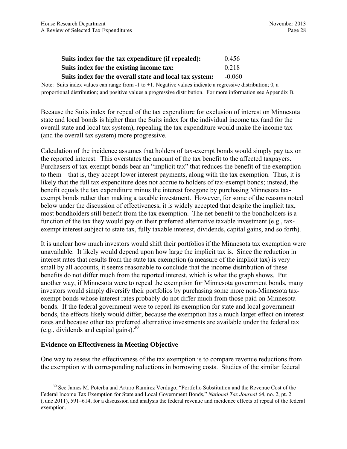| Suits index for the tax expenditure (if repealed): | 0.456 |
|----------------------------------------------------|-------|
| Suits index for the existing income tax:           | 0.218 |
| $\sim$ $\sim$ $\sim$                               |       |

## **Suits index for the overall state and local tax system:** -0.060

Note: Suits index values can range from  $-1$  to  $+1$ . Negative values indicate a regressive distribution; 0, a proportional distribution; and positive values a progressive distribution. For more information see Appendix B.

Because the Suits index for repeal of the tax expenditure for exclusion of interest on Minnesota state and local bonds is higher than the Suits index for the individual income tax (and for the overall state and local tax system), repealing the tax expenditure would make the income tax (and the overall tax system) more progressive.

Calculation of the incidence assumes that holders of tax-exempt bonds would simply pay tax on the reported interest. This overstates the amount of the tax benefit to the affected taxpayers. Purchasers of tax-exempt bonds bear an "implicit tax" that reduces the benefit of the exemption to them—that is, they accept lower interest payments, along with the tax exemption. Thus, it is likely that the full tax expenditure does not accrue to holders of tax-exempt bonds; instead, the benefit equals the tax expenditure minus the interest foregone by purchasing Minnesota taxexempt bonds rather than making a taxable investment. However, for some of the reasons noted below under the discussion of effectiveness, it is widely accepted that despite the implicit tax, most bondholders still benefit from the tax exemption. The net benefit to the bondholders is a function of the tax they would pay on their preferred alternative taxable investment (e.g., taxexempt interest subject to state tax, fully taxable interest, dividends, capital gains, and so forth).

It is unclear how much investors would shift their portfolios if the Minnesota tax exemption were unavailable. It likely would depend upon how large the implicit tax is. Since the reduction in interest rates that results from the state tax exemption (a measure of the implicit tax) is very small by all accounts, it seems reasonable to conclude that the income distribution of these benefits do not differ much from the reported interest, which is what the graph shows. Put another way, if Minnesota were to repeal the exemption for Minnesota government bonds, many investors would simply diversify their portfolios by purchasing some more non-Minnesota taxexempt bonds whose interest rates probably do not differ much from those paid on Minnesota bonds. If the federal government were to repeal its exemption for state and local government bonds, the effects likely would differ, because the exemption has a much larger effect on interest rates and because other tax preferred alternative investments are available under the federal tax (e.g., dividends and capital gains). $30$ 

## **Evidence on Effectiveness in Meeting Objective**

One way to assess the effectiveness of the tax exemption is to compare revenue reductions from the exemption with corresponding reductions in borrowing costs. Studies of the similar federal

<sup>&</sup>lt;sup>30</sup> See James M. Poterba and Arturo Ramirez Verdugo, "Portfolio Substitution and the Revenue Cost of the Federal Income Tax Exemption for State and Local Government Bonds," *National Tax Journal* 64, no. 2, pt. 2 (June 2011), 591–614, for a discussion and analysis the federal revenue and incidence effects of repeal of the federal exemption.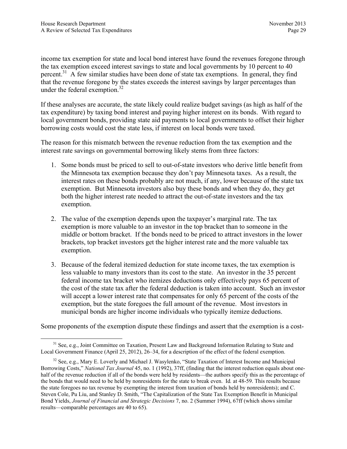income tax exemption for state and local bond interest have found the revenues foregone through the tax exemption exceed interest savings to state and local governments by 10 percent to 40 percent.<sup>31</sup> A few similar studies have been done of state tax exemptions. In general, they find that the revenue foregone by the states exceeds the interest savings by larger percentages than under the federal exemption.<sup>32</sup>

If these analyses are accurate, the state likely could realize budget savings (as high as half of the tax expenditure) by taxing bond interest and paying higher interest on its bonds. With regard to local government bonds, providing state aid payments to local governments to offset their higher borrowing costs would cost the state less, if interest on local bonds were taxed.

The reason for this mismatch between the revenue reduction from the tax exemption and the interest rate savings on governmental borrowing likely stems from three factors:

- 1. Some bonds must be priced to sell to out-of-state investors who derive little benefit from the Minnesota tax exemption because they don't pay Minnesota taxes. As a result, the interest rates on these bonds probably are not much, if any, lower because of the state tax exemption. But Minnesota investors also buy these bonds and when they do, they get both the higher interest rate needed to attract the out-of-state investors and the tax exemption.
- 2. The value of the exemption depends upon the taxpayer's marginal rate. The tax exemption is more valuable to an investor in the top bracket than to someone in the middle or bottom bracket. If the bonds need to be priced to attract investors in the lower brackets, top bracket investors get the higher interest rate and the more valuable tax exemption.
- 3. Because of the federal itemized deduction for state income taxes, the tax exemption is less valuable to many investors than its cost to the state. An investor in the 35 percent federal income tax bracket who itemizes deductions only effectively pays 65 percent of the cost of the state tax after the federal deduction is taken into account. Such an investor will accept a lower interest rate that compensates for only 65 percent of the costs of the exemption, but the state foregoes the full amount of the revenue. Most investors in municipal bonds are higher income individuals who typically itemize deductions.

Some proponents of the exemption dispute these findings and assert that the exemption is a cost-

<sup>&</sup>lt;sup>31</sup> See, e.g., Joint Committee on Taxation, Present Law and Background Information Relating to State and Local Government Finance (April 25, 2012), 26–34, for a description of the effect of the federal exemption.

<sup>&</sup>lt;sup>32</sup> See, e.g., Mary E. Loverly and Michael J. Wasylenko, "State Taxation of Interest Income and Municipal Borrowing Costs," *National Tax Journal* 45, no. 1 (1992), 37ff, (finding that the interest reduction equals about onehalf of the revenue reduction if all of the bonds were held by residents—the authors specify this as the percentage of the bonds that would need to be held by nonresidents for the state to break even. Id*.* at 48-59. This results because the state foregoes no tax revenue by exempting the interest from taxation of bonds held by nonresidents); and C. Steven Cole, Pu Liu, and Stanley D. Smith, "The Capitalization of the State Tax Exemption Benefit in Municipal Bond Yields, *Journal of Financial and Strategic Decisions* 7, no. 2 (Summer 1994), 67ff (which shows similar results—comparable percentages are 40 to 65).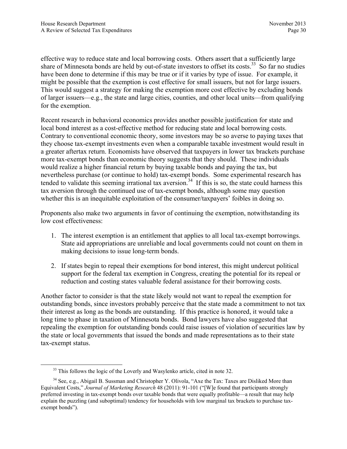effective way to reduce state and local borrowing costs. Others assert that a sufficiently large share of Minnesota bonds are held by out-of-state investors to offset its costs.<sup>33</sup> So far no studies have been done to determine if this may be true or if it varies by type of issue. For example, it might be possible that the exemption is cost effective for small issuers, but not for large issuers. This would suggest a strategy for making the exemption more cost effective by excluding bonds of larger issuers—e.g., the state and large cities, counties, and other local units—from qualifying for the exemption.

Recent research in behavioral economics provides another possible justification for state and local bond interest as a cost-effective method for reducing state and local borrowing costs. Contrary to conventional economic theory, some investors may be so averse to paying taxes that they choose tax-exempt investments even when a comparable taxable investment would result in a greater aftertax return. Economists have observed that taxpayers in lower tax brackets purchase more tax-exempt bonds than economic theory suggests that they should. These individuals would realize a higher financial return by buying taxable bonds and paying the tax, but nevertheless purchase (or continue to hold) tax-exempt bonds. Some experimental research has tended to validate this seeming irrational tax aversion.<sup>34</sup> If this is so, the state could harness this tax aversion through the continued use of tax-exempt bonds, although some may question whether this is an inequitable exploitation of the consumer/taxpayers' foibles in doing so.

Proponents also make two arguments in favor of continuing the exemption, notwithstanding its low cost effectiveness:

- 1. The interest exemption is an entitlement that applies to all local tax-exempt borrowings. State aid appropriations are unreliable and local governments could not count on them in making decisions to issue long-term bonds.
- 2. If states begin to repeal their exemptions for bond interest, this might undercut political support for the federal tax exemption in Congress, creating the potential for its repeal or reduction and costing states valuable federal assistance for their borrowing costs.

Another factor to consider is that the state likely would not want to repeal the exemption for outstanding bonds, since investors probably perceive that the state made a commitment to not tax their interest as long as the bonds are outstanding. If this practice is honored, it would take a long time to phase in taxation of Minnesota bonds. Bond lawyers have also suggested that repealing the exemption for outstanding bonds could raise issues of violation of securities law by the state or local governments that issued the bonds and made representations as to their state tax-exempt status.

<sup>&</sup>lt;sup>33</sup> This follows the logic of the Loverly and Wasylenko article, cited in note 32.

<sup>&</sup>lt;sup>34</sup> See, e.g., Abigail B. Sussman and Christopher Y. Olivola, "Axe the Tax: Taxes are Disliked More than Equivalent Costs," *Journal of Marketing Research* 48 (2011): 91-101 ("[W]e found that participants strongly preferred investing in tax-exempt bonds over taxable bonds that were equally profitable—a result that may help explain the puzzling (and suboptimal) tendency for households with low marginal tax brackets to purchase taxexempt bonds").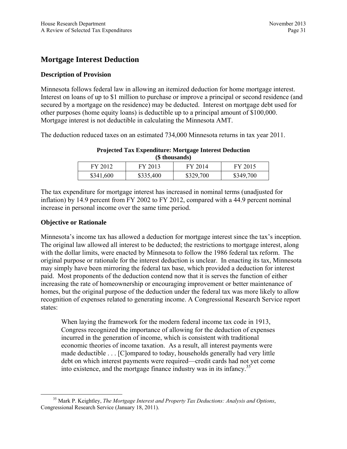# **Mortgage Interest Deduction**

# **Description of Provision**

Minnesota follows federal law in allowing an itemized deduction for home mortgage interest. Interest on loans of up to \$1 million to purchase or improve a principal or second residence (and secured by a mortgage on the residence) may be deducted. Interest on mortgage debt used for other purposes (home equity loans) is deductible up to a principal amount of \$100,000. Mortgage interest is not deductible in calculating the Minnesota AMT.

The deduction reduced taxes on an estimated 734,000 Minnesota returns in tax year 2011.

| (S) thousands) |           |           |           |  |
|----------------|-----------|-----------|-----------|--|
| FY 2012        | FY 2013   | FY 2014   | FY 2015   |  |
| \$341,600      | \$335,400 | \$329,700 | \$349,700 |  |

## **Projected Tax Expenditure: Mortgage Interest Deduction (\$ thousands)**

The tax expenditure for mortgage interest has increased in nominal terms (unadjusted for inflation) by 14.9 percent from FY 2002 to FY 2012, compared with a 44.9 percent nominal increase in personal income over the same time period.

## **Objective or Rationale**

Minnesota's income tax has allowed a deduction for mortgage interest since the tax's inception. The original law allowed all interest to be deducted; the restrictions to mortgage interest, along with the dollar limits, were enacted by Minnesota to follow the 1986 federal tax reform. The original purpose or rationale for the interest deduction is unclear. In enacting its tax, Minnesota may simply have been mirroring the federal tax base, which provided a deduction for interest paid. Most proponents of the deduction contend now that it is serves the function of either increasing the rate of homeownership or encouraging improvement or better maintenance of homes, but the original purpose of the deduction under the federal tax was more likely to allow recognition of expenses related to generating income. A Congressional Research Service report states:

When laying the framework for the modern federal income tax code in 1913, Congress recognized the importance of allowing for the deduction of expenses incurred in the generation of income, which is consistent with traditional economic theories of income taxation. As a result, all interest payments were made deductible . . . [C]ompared to today, households generally had very little debt on which interest payments were required—credit cards had not yet come into existence, and the mortgage finance industry was in its infancy.<sup>35</sup>

 <sup>35</sup> Mark P. Keightley, *The Mortgage Interest and Property Tax Deductions: Analysis and Options*, Congressional Research Service (January 18, 2011).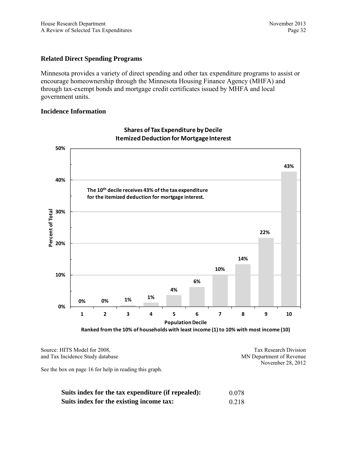# **Related Direct Spending Programs**

Minnesota provides a variety of direct spending and other tax expenditure programs to assist or encourage homeownership through the Minnesota Housing Finance Agency (MHFA) and through tax-exempt bonds and mortgage credit certificates issued by MHFA and local government units.

## **Incidence Information**



**Shares of Tax Expenditure by Decile ItemizedDeduction for MortgageInterest**

Source: HITS Model for 2008, and Tax Incidence Study database

Tax Research Division MN Department of Revenue November 28, 2012

See the box on page 16 for help in reading this graph.

| Suits index for the tax expenditure (if repealed): | 0.078 |
|----------------------------------------------------|-------|
| Suits index for the existing income tax:           | 0.218 |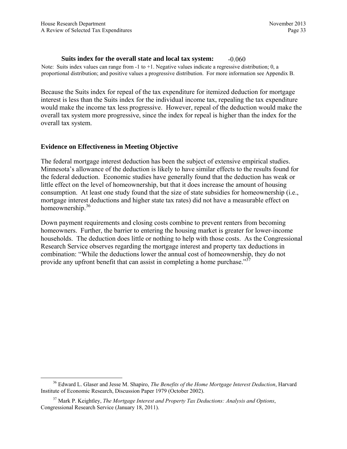#### **Suits index for the overall state and local tax system:** -0.060

Note: Suits index values can range from  $-1$  to  $+1$ . Negative values indicate a regressive distribution; 0, a proportional distribution; and positive values a progressive distribution. For more information see Appendix B.

Because the Suits index for repeal of the tax expenditure for itemized deduction for mortgage interest is less than the Suits index for the individual income tax, repealing the tax expenditure would make the income tax less progressive. However, repeal of the deduction would make the overall tax system more progressive, since the index for repeal is higher than the index for the overall tax system.

#### **Evidence on Effectiveness in Meeting Objective**

The federal mortgage interest deduction has been the subject of extensive empirical studies. Minnesota's allowance of the deduction is likely to have similar effects to the results found for the federal deduction. Economic studies have generally found that the deduction has weak or little effect on the level of homeownership, but that it does increase the amount of housing consumption. At least one study found that the size of state subsidies for homeownership (i.e., mortgage interest deductions and higher state tax rates) did not have a measurable effect on homeownership.<sup>36</sup>

Down payment requirements and closing costs combine to prevent renters from becoming homeowners. Further, the barrier to entering the housing market is greater for lower-income households. The deduction does little or nothing to help with those costs. As the Congressional Research Service observes regarding the mortgage interest and property tax deductions in combination: "While the deductions lower the annual cost of homeownership, they do not provide any upfront benefit that can assist in completing a home purchase."<sup>37</sup>

 <sup>36</sup> Edward L. Glaser and Jesse M. Shapiro, *The Benefits of the Home Mortgage Interest Deduction*, Harvard Institute of Economic Research, Discussion Paper 1979 (October 2002).

<sup>37</sup> Mark P. Keightley, *The Mortgage Interest and Property Tax Deductions: Analysis and Options*, Congressional Research Service (January 18, 2011).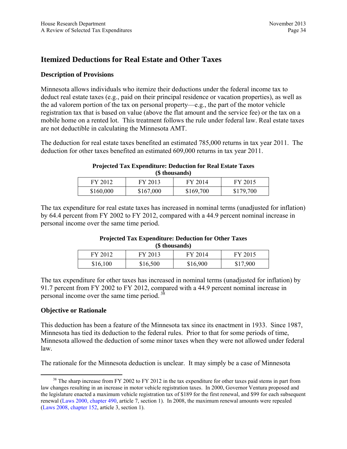# **Itemized Deductions for Real Estate and Other Taxes**

## **Description of Provisions**

Minnesota allows individuals who itemize their deductions under the federal income tax to deduct real estate taxes (e.g., paid on their principal residence or vacation properties), as well as the ad valorem portion of the tax on personal property—e.g., the part of the motor vehicle registration tax that is based on value (above the flat amount and the service fee) or the tax on a mobile home on a rented lot. This treatment follows the rule under federal law. Real estate taxes are not deductible in calculating the Minnesota AMT.

The deduction for real estate taxes benefited an estimated 785,000 returns in tax year 2011. The deduction for other taxes benefited an estimated 609,000 returns in tax year 2011.

#### **Projected Tax Expenditure: Deduction for Real Estate Taxes (\$ thousands)**

| $(\psi$ unvusanus) |           |           |           |  |
|--------------------|-----------|-----------|-----------|--|
| FY 2012            | FY 2013   | FY 2014   | FY 2015   |  |
| \$160,000          | \$167,000 | \$169,700 | \$179,700 |  |

The tax expenditure for real estate taxes has increased in nominal terms (unadjusted for inflation) by 64.4 percent from FY 2002 to FY 2012, compared with a 44.9 percent nominal increase in personal income over the same time period.

#### **Projected Tax Expenditure: Deduction for Other Taxes (\$ thousands)**

| FY 2012  | FY 2013  | FY 2014  | FY 2015  |
|----------|----------|----------|----------|
| \$16,100 | \$16,500 | \$16,900 | \$17,900 |

The tax expenditure for other taxes has increased in nominal terms (unadjusted for inflation) by 91.7 percent from FY 2002 to FY 2012, compared with a 44.9 percent nominal increase in personal income over the same time period. 38

# **Objective or Rationale**

This deduction has been a feature of the Minnesota tax since its enactment in 1933. Since 1987, Minnesota has tied its deduction to the federal rules. Prior to that for some periods of time, Minnesota allowed the deduction of some minor taxes when they were not allowed under federal law.

The rationale for the Minnesota deduction is unclear. It may simply be a case of Minnesota

<sup>&</sup>lt;sup>38</sup> The sharp increase from FY 2002 to FY 2012 in the tax expenditure for other taxes paid stems in part from law changes resulting in an increase in motor vehicle registration taxes. In 2000, Governor Ventura proposed and the legislature enacted a maximum vehicle registration tax of \$189 for the first renewal, and \$99 for each subsequent renewal ([Laws 2000, chapter 490,](https://www.revisor.mn.gov/laws/?id=490&doctype=Chapter&year=2000&type=0) article 7, section 1). In 2008, the maximum renewal amounts were repealed ([Laws 2008, chapter 152,](https://www.revisor.mn.gov/laws/?id=152&doctype=Chapter&year=2008&type=0) article 3, section 1).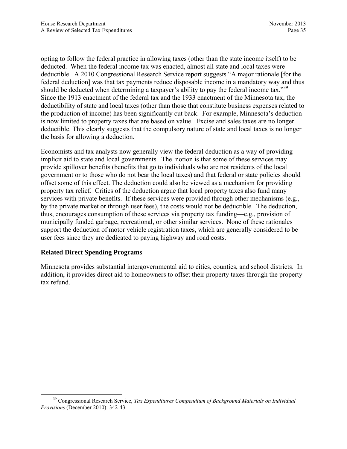opting to follow the federal practice in allowing taxes (other than the state income itself) to be deducted. When the federal income tax was enacted, almost all state and local taxes were deductible. A 2010 Congressional Research Service report suggests "A major rationale [for the federal deduction] was that tax payments reduce disposable income in a mandatory way and thus should be deducted when determining a taxpayer's ability to pay the federal income tax."<sup>39</sup> Since the 1913 enactment of the federal tax and the 1933 enactment of the Minnesota tax, the deductibility of state and local taxes (other than those that constitute business expenses related to the production of income) has been significantly cut back. For example, Minnesota's deduction is now limited to property taxes that are based on value. Excise and sales taxes are no longer deductible. This clearly suggests that the compulsory nature of state and local taxes is no longer the basis for allowing a deduction.

Economists and tax analysts now generally view the federal deduction as a way of providing implicit aid to state and local governments. The notion is that some of these services may provide spillover benefits (benefits that go to individuals who are not residents of the local government or to those who do not bear the local taxes) and that federal or state policies should offset some of this effect. The deduction could also be viewed as a mechanism for providing property tax relief. Critics of the deduction argue that local property taxes also fund many services with private benefits. If these services were provided through other mechanisms (e.g., by the private market or through user fees), the costs would not be deductible. The deduction, thus, encourages consumption of these services via property tax funding—e.g., provision of municipally funded garbage, recreational, or other similar services. None of these rationales support the deduction of motor vehicle registration taxes, which are generally considered to be user fees since they are dedicated to paying highway and road costs.

# **Related Direct Spending Programs**

Minnesota provides substantial intergovernmental aid to cities, counties, and school districts. In addition, it provides direct aid to homeowners to offset their property taxes through the property tax refund.

 <sup>39</sup> Congressional Research Service, *Tax Expenditures Compendium of Background Materials on Individual Provisions* (December 2010): 342-43.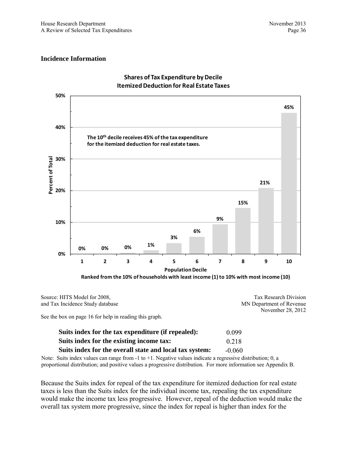#### **Incidence Information**



#### **Shares of Tax Expenditure by Decile ItemizedDeduction for Real Estate Taxes**

Source: HITS Model for 2008, and Tax Incidence Study database Tax Research Division MN Department of Revenue November 28, 2012

See the box on page 16 for help in reading this graph.

| Suits index for the tax expenditure (if repealed):      | 0 0 9 9  |
|---------------------------------------------------------|----------|
| Suits index for the existing income tax:                | 0.218    |
| Suits index for the overall state and local tax system: | $-0.060$ |

Note: Suits index values can range from -1 to +1. Negative values indicate a regressive distribution; 0, a proportional distribution; and positive values a progressive distribution. For more information see Appendix B.

Because the Suits index for repeal of the tax expenditure for itemized deduction for real estate taxes is less than the Suits index for the individual income tax, repealing the tax expenditure would make the income tax less progressive. However, repeal of the deduction would make the overall tax system more progressive, since the index for repeal is higher than index for the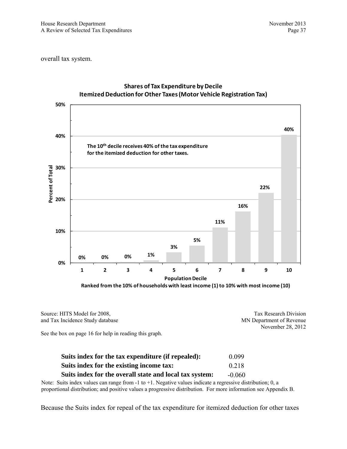overall tax system.



# **Shares of Tax Expenditure by Decile ItemizedDeduction for Other Taxes(Motor Vehicle Registration Tax)**

Source: HITS Model for 2008, and Tax Incidence Study database Tax Research Division MN Department of Revenue November 28, 2012

See the box on page 16 for help in reading this graph.

| Suits index for the tax expenditure (if repealed):      | 0.099    |
|---------------------------------------------------------|----------|
| Suits index for the existing income tax:                | 0.218    |
| Suits index for the overall state and local tax system: | $-0.060$ |

Note: Suits index values can range from -1 to +1. Negative values indicate a regressive distribution; 0, a proportional distribution; and positive values a progressive distribution. For more information see Appendix B.

Because the Suits index for repeal of the tax expenditure for itemized deduction for other taxes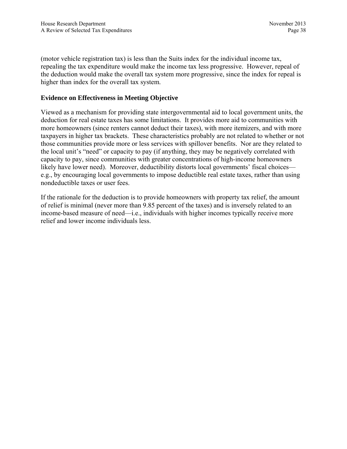(motor vehicle registration tax) is less than the Suits index for the individual income tax, repealing the tax expenditure would make the income tax less progressive. However, repeal of the deduction would make the overall tax system more progressive, since the index for repeal is higher than index for the overall tax system.

# **Evidence on Effectiveness in Meeting Objective**

Viewed as a mechanism for providing state intergovernmental aid to local government units, the deduction for real estate taxes has some limitations. It provides more aid to communities with more homeowners (since renters cannot deduct their taxes), with more itemizers, and with more taxpayers in higher tax brackets. These characteristics probably are not related to whether or not those communities provide more or less services with spillover benefits. Nor are they related to the local unit's "need" or capacity to pay (if anything, they may be negatively correlated with capacity to pay, since communities with greater concentrations of high-income homeowners likely have lower need). Moreover, deductibility distorts local governments' fiscal choices e.g., by encouraging local governments to impose deductible real estate taxes, rather than using nondeductible taxes or user fees.

If the rationale for the deduction is to provide homeowners with property tax relief, the amount of relief is minimal (never more than 9.85 percent of the taxes) and is inversely related to an income-based measure of need—i.e., individuals with higher incomes typically receive more relief and lower income individuals less.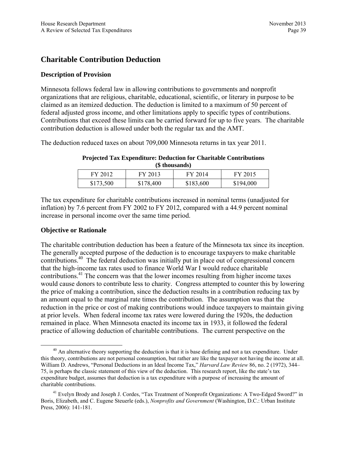# **Charitable Contribution Deduction**

# **Description of Provision**

Minnesota follows federal law in allowing contributions to governments and nonprofit organizations that are religious, charitable, educational, scientific, or literary in purpose to be claimed as an itemized deduction. The deduction is limited to a maximum of 50 percent of federal adjusted gross income, and other limitations apply to specific types of contributions. Contributions that exceed these limits can be carried forward for up to five years. The charitable contribution deduction is allowed under both the regular tax and the AMT.

The deduction reduced taxes on about 709,000 Minnesota returns in tax year 2011.

| (\$ thousands) |           |           |           |  |
|----------------|-----------|-----------|-----------|--|
| FY 2012        | FY 2013   | FY 2014   | FY 2015   |  |
| \$173,500      | \$178,400 | \$183,600 | \$194,000 |  |

#### **Projected Tax Expenditure: Deduction for Charitable Contributions (\$ thousands)**

The tax expenditure for charitable contributions increased in nominal terms (unadjusted for inflation) by 7.6 percent from FY 2002 to FY 2012, compared with a 44.9 percent nominal increase in personal income over the same time period.

## **Objective or Rationale**

The charitable contribution deduction has been a feature of the Minnesota tax since its inception. The generally accepted purpose of the deduction is to encourage taxpayers to make charitable contributions.40 The federal deduction was initially put in place out of congressional concern that the high-income tax rates used to finance World War I would reduce charitable contributions.<sup>41</sup> The concern was that the lower incomes resulting from higher income taxes would cause donors to contribute less to charity. Congress attempted to counter this by lowering the price of making a contribution, since the deduction results in a contribution reducing tax by an amount equal to the marginal rate times the contribution. The assumption was that the reduction in the price or cost of making contributions would induce taxpayers to maintain giving at prior levels. When federal income tax rates were lowered during the 1920s, the deduction remained in place. When Minnesota enacted its income tax in 1933, it followed the federal practice of allowing deduction of charitable contributions. The current perspective on the

 $^{40}$  An alternative theory supporting the deduction is that it is base defining and not a tax expenditure. Under this theory, contributions are not personal consumption, but rather are like the taxpayer not having the income at all. William D. Andrews, "Personal Deductions in an Ideal Income Tax," *Harvard Law Review* 86, no. 2 (1972), 344– 75, is perhaps the classic statement of this view of the deduction. This research report, like the state's tax expenditure budget, assumes that deduction is a tax expenditure with a purpose of increasing the amount of charitable contributions.

<sup>&</sup>lt;sup>41</sup> Evelyn Brody and Joseph J. Cordes, "Tax Treatment of Nonprofit Organizations: A Two-Edged Sword?" in Boris, Elizabeth, and C. Eugene Steuerle (eds.), *Nonprofits and Government* (Washington, D.C.: Urban Institute Press, 2006): 141-181.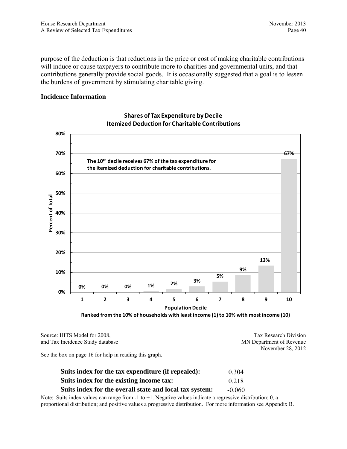purpose of the deduction is that reductions in the price or cost of making charitable contributions will induce or cause taxpayers to contribute more to charities and governmental units, and that contributions generally provide social goods. It is occasionally suggested that a goal is to lessen the burdens of government by stimulating charitable giving.

#### **Incidence Information**



# **Shares of Tax Expenditure by Decile ItemizedDeduction for Charitable Contributions**

**Ranked from the 10% of households with least income (1) to 10% with most income (10)**

Source: HITS Model for 2008, and Tax Incidence Study database

Tax Research Division MN Department of Revenue November 28, 2012

See the box on page 16 for help in reading this graph.

| Suits index for the tax expenditure (if repealed):      | 0.304    |
|---------------------------------------------------------|----------|
| Suits index for the existing income tax:                | 0.218    |
| Suits index for the overall state and local tax system: | $-0.060$ |

Note: Suits index values can range from  $-1$  to  $+1$ . Negative values indicate a regressive distribution; 0, a proportional distribution; and positive values a progressive distribution. For more information see Appendix B.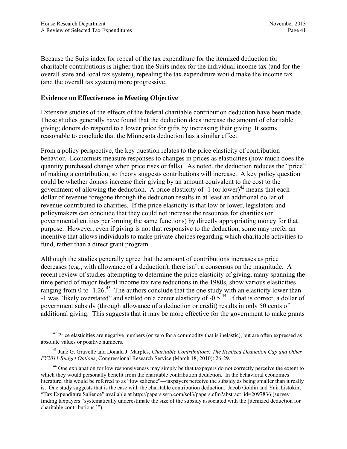Because the Suits index for repeal of the tax expenditure for the itemized deduction for charitable contributions is higher than the Suits index for the individual income tax (and for the overall state and local tax system), repealing the tax expenditure would make the income tax (and the overall tax system) more progressive.

## **Evidence on Effectiveness in Meeting Objective**

Extensive studies of the effects of the federal charitable contribution deduction have been made. These studies generally have found that the deduction does increase the amount of charitable giving; donors do respond to a lower price for gifts by increasing their giving. It seems reasonable to conclude that the Minnesota deduction has a similar effect.

From a policy perspective, the key question relates to the price elasticity of contribution behavior. Economists measure responses to changes in prices as elasticities (how much does the quantity purchased change when price rises or falls). As noted, the deduction reduces the "price" of making a contribution, so theory suggests contributions will increase. A key policy question could be whether donors increase their giving by an amount equivalent to the cost to the government of allowing the deduction. A price elasticity of  $-1$  (or lower)<sup>42</sup> means that each dollar of revenue foregone through the deduction results in at least an additional dollar of revenue contributed to charities. If the price elasticity is that low or lower, legislators and policymakers can conclude that they could not increase the resources for charities (or governmental entities performing the same functions) by directly appropriating money for that purpose. However, even if giving is not that responsive to the deduction, some may prefer an incentive that allows individuals to make private choices regarding which charitable activities to fund, rather than a direct grant program.

Although the studies generally agree that the amount of contributions increases as price decreases (e.g., with allowance of a deduction), there isn't a consensus on the magnitude. A recent review of studies attempting to determine the price elasticity of giving, many spanning the time period of major federal income tax rate reductions in the 1980s, show various elasticities ranging from 0 to -1.26.<sup>43</sup> The authors conclude that the one study with an elasticity lower than -1 was "likely overstated" and settled on a center elasticity of -0.5.44 If that is correct, a dollar of government subsidy (through allowance of a deduction or credit) results in only 50 cents of additional giving. This suggests that it may be more effective for the government to make grants

 $42$  Price elasticities are negative numbers (or zero for a commodity that is inelastic), but are often expressed as absolute values or positive numbers.

<sup>43</sup> Jane G. Gravelle and Donald J. Marples, *Charitable Contributions: The Itemized Deduction Cap and Other FY2011 Budget Options*, Congressional Research Service (March 18, 2010): 26-29.

<sup>&</sup>lt;sup>44</sup> One explanation for low responsiveness may simply be that taxpayers do not correctly perceive the extent to which they would personally benefit from the charitable contribution deduction. In the behavioral economics literature, this would be referred to as "low salience"—taxpayers perceive the subsidy as being smaller than it really is. One study suggests that is the case with the charitable contribution deduction. Jacob Goldin and Yair Listokin, "Tax Expenditure Salience" available at http://papers.ssrn.com/sol3/papers.cfm?abstract\_id=2097836 (survey finding taxpayers "systematically underestimate the size of the subsidy associated with the [itemized deduction for charitable contributions.]")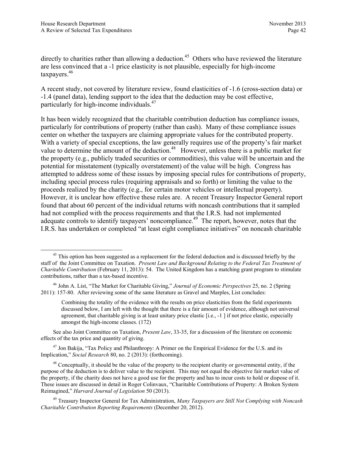directly to charities rather than allowing a deduction.<sup>45</sup> Others who have reviewed the literature are less convinced that a -1 price elasticity is not plausible, especially for high-income taxpayers.46

A recent study, not covered by literature review, found elasticities of -1.6 (cross-section data) or -1.4 (panel data), lending support to the idea that the deduction may be cost effective, particularly for high-income individuals.47

It has been widely recognized that the charitable contribution deduction has compliance issues, particularly for contributions of property (rather than cash). Many of these compliance issues center on whether the taxpayers are claiming appropriate values for the contributed property. With a variety of special exceptions, the law generally requires use of the property's fair market value to determine the amount of the deduction.<sup>48</sup> However, unless there is a public market for the property (e.g., publicly traded securities or commodities), this value will be uncertain and the potential for misstatement (typically overstatement) of the value will be high. Congress has attempted to address some of these issues by imposing special rules for contributions of property, including special process rules (requiring appraisals and so forth) or limiting the value to the proceeds realized by the charity (e.g., for certain motor vehicles or intellectual property). However, it is unclear how effective these rules are. A recent Treasury Inspector General report found that about 60 percent of the individual returns with noncash contributions that it sampled had not complied with the process requirements and that the I.R.S. had not implemented adequate controls to identify taxpayers' noncompliance.<sup>49</sup> The report, however, notes that the I.R.S. has undertaken or completed "at least eight compliance initiatives" on noncash charitable

See also Joint Committee on Taxation, *Present Law*, 33-35, for a discussion of the literature on economic effects of the tax price and quantity of giving.

<sup>47</sup> Jon Bakija, "Tax Policy and Philanthropy: A Primer on the Empirical Evidence for the U.S. and its Implication," *Social Research* 80, no. 2 (2013): (forthcoming).

 $48$  Conceptually, it should be the value of the property to the recipient charity or governmental entity, if the purpose of the deduction is to deliver value to the recipient. This may not equal the objective fair market value of the property, if the charity does not have a good use for the property and has to incur costs to hold or dispose of it. These issues are discussed in detail in Roger Colinvaux, "Charitable Contributions of Property: A Broken System Reimagined," *Harvard Journal of Legislation* 50 (2013).

49 Treasury Inspector General for Tax Administration, *Many Taxpayers are Still Not Complying with Noncash Charitable Contribution Reporting Requirements* (December 20, 2012).

<sup>&</sup>lt;sup>45</sup> This option has been suggested as a replacement for the federal deduction and is discussed briefly by the staff of the Joint Committee on Taxation. *Present Law and Background Relating to the Federal Tax Treatment of Charitable Contribution* (February 11, 2013): 54. The United Kingdom has a matching grant program to stimulate contributions, rather than a tax-based incentive.

<sup>46</sup> John A. List, "The Market for Charitable Giving," *Journal of Economic Perspectives* 25, no. 2 (Spring 2011): 157-80. After reviewing some of the same literature as Gravel and Marples, List concludes:

Combining the totality of the evidence with the results on price elasticities from the field experiments discussed below, I am left with the thought that there is a fair amount of evidence, although not universal agreement, that charitable giving is at least unitary price elastic [i.e., -1 ] if not price elastic, especially amongst the high-income classes. (172)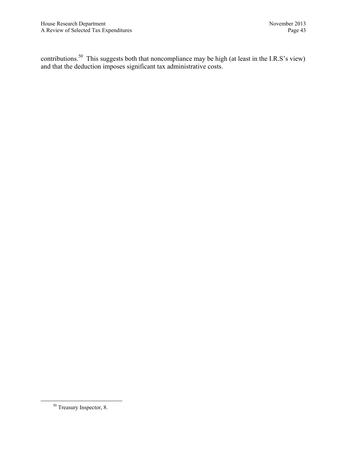contributions.<sup>50</sup> This suggests both that noncompliance may be high (at least in the I.R.S's view) and that the deduction imposes significant tax administrative costs.

<sup>&</sup>lt;sup>50</sup> Treasury Inspector, 8.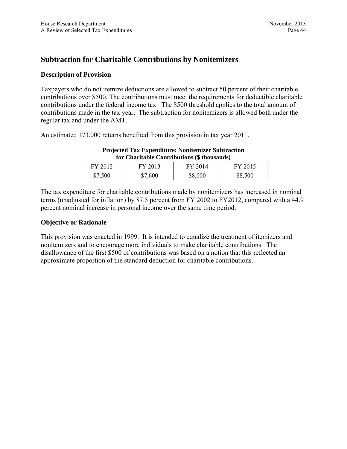# **Subtraction for Charitable Contributions by Nonitemizers**

# **Description of Provision**

Taxpayers who do not itemize deductions are allowed to subtract 50 percent of their charitable contributions over \$500. The contributions must meet the requirements for deductible charitable contributions under the federal income tax. The \$500 threshold applies to the total amount of contributions made in the tax year. The subtraction for nonitemizers is allowed both under the regular tax and under the AMT.

An estimated 173,000 returns benefited from this provision in tax year 2011.

| for Charitable Contributions (§ thousands) |         |         |         |
|--------------------------------------------|---------|---------|---------|
| FY 2012                                    | FY 2013 | FY 2014 | FY 2015 |
| \$7,500                                    | \$7,600 | \$8,000 | \$8,500 |

#### **Projected Tax Expenditure: Nonitemizer Subtraction for Charitable Contributions (\$ thousands)**

The tax expenditure for charitable contributions made by nonitemizers has increased in nominal terms (unadjusted for inflation) by 87.5 percent from FY 2002 to FY2012, compared with a 44.9 percent nominal increase in personal income over the same time period.

## **Objective or Rationale**

This provision was enacted in 1999. It is intended to equalize the treatment of itemizers and nonitemizers and to encourage more individuals to make charitable contributions. The disallowance of the first \$500 of contributions was based on a notion that this reflected an approximate proportion of the standard deduction for charitable contributions.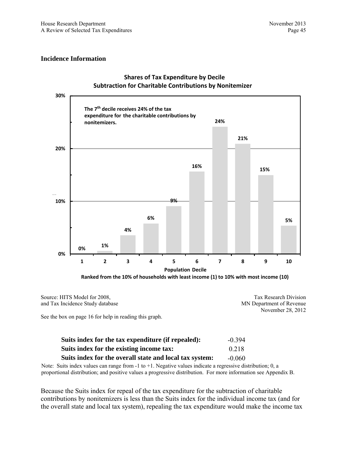#### **Incidence Information**



#### **Shares of Tax Expenditure by Decile Subtraction for Charitable Contributions by Nonitemizer**

Source: HITS Model for 2008, and Tax Incidence Study database Tax Research Division MN Department of Revenue November 28, 2012

See the box on page 16 for help in reading this graph.

| Suits index for the tax expenditure (if repealed):      | $-0.394$ |
|---------------------------------------------------------|----------|
| Suits index for the existing income tax:                | 0.218    |
| Suits index for the overall state and local tax system: | $-0.060$ |

Note: Suits index values can range from -1 to +1. Negative values indicate a regressive distribution; 0, a proportional distribution; and positive values a progressive distribution. For more information see Appendix B.

Because the Suits index for repeal of the tax expenditure for the subtraction of charitable contributions by nonitemizers is less than the Suits index for the individual income tax (and for the overall state and local tax system), repealing the tax expenditure would make the income tax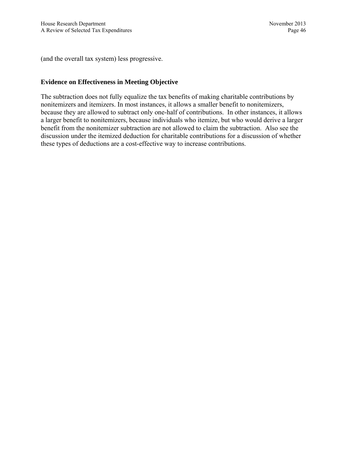(and the overall tax system) less progressive.

# **Evidence on Effectiveness in Meeting Objective**

The subtraction does not fully equalize the tax benefits of making charitable contributions by nonitemizers and itemizers. In most instances, it allows a smaller benefit to nonitemizers, because they are allowed to subtract only one-half of contributions. In other instances, it allows a larger benefit to nonitemizers, because individuals who itemize, but who would derive a larger benefit from the nonitemizer subtraction are not allowed to claim the subtraction. Also see the discussion under the itemized deduction for charitable contributions for a discussion of whether these types of deductions are a cost-effective way to increase contributions.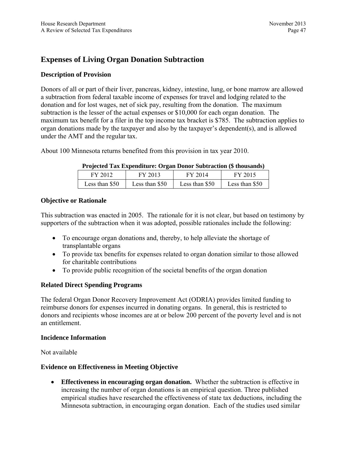# **Expenses of Living Organ Donation Subtraction**

# **Description of Provision**

Donors of all or part of their liver, pancreas, kidney, intestine, lung, or bone marrow are allowed a subtraction from federal taxable income of expenses for travel and lodging related to the donation and for lost wages, net of sick pay, resulting from the donation. The maximum subtraction is the lesser of the actual expenses or \$10,000 for each organ donation. The maximum tax benefit for a filer in the top income tax bracket is \$785. The subtraction applies to organ donations made by the taxpayer and also by the taxpayer's dependent(s), and is allowed under the AMT and the regular tax.

About 100 Minnesota returns benefited from this provision in tax year 2010.

| FY 2012        | FY 2013        | FY 2014        | FY 2015        |  |
|----------------|----------------|----------------|----------------|--|
| Less than \$50 | Less than \$50 | Less than \$50 | Less than \$50 |  |

## **Projected Tax Expenditure: Organ Donor Subtraction (\$ thousands)**

## **Objective or Rationale**

This subtraction was enacted in 2005. The rationale for it is not clear, but based on testimony by supporters of the subtraction when it was adopted, possible rationales include the following:

- To encourage organ donations and, thereby, to help alleviate the shortage of transplantable organs
- To provide tax benefits for expenses related to organ donation similar to those allowed for charitable contributions
- To provide public recognition of the societal benefits of the organ donation

# **Related Direct Spending Programs**

The federal Organ Donor Recovery Improvement Act (ODRIA) provides limited funding to reimburse donors for expenses incurred in donating organs. In general, this is restricted to donors and recipients whose incomes are at or below 200 percent of the poverty level and is not an entitlement.

## **Incidence Information**

Not available

## **Evidence on Effectiveness in Meeting Objective**

 **Effectiveness in encouraging organ donation.** Whether the subtraction is effective in increasing the number of organ donations is an empirical question. Three published empirical studies have researched the effectiveness of state tax deductions, including the Minnesota subtraction, in encouraging organ donation. Each of the studies used similar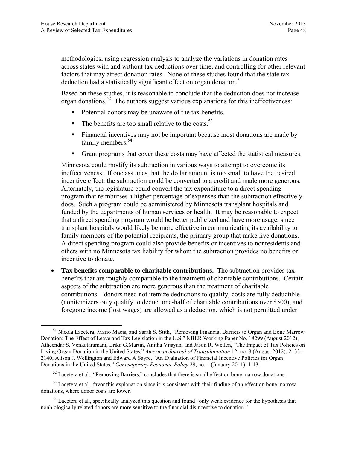methodologies, using regression analysis to analyze the variations in donation rates across states with and without tax deductions over time, and controlling for other relevant factors that may affect donation rates. None of these studies found that the state tax deduction had a statistically significant effect on organ donation.<sup>51</sup>

Based on these studies, it is reasonable to conclude that the deduction does not increase organ donations.<sup>52</sup> The authors suggest various explanations for this ineffectiveness:

- Potential donors may be unaware of the tax benefits.
- $\blacksquare$  The benefits are too small relative to the costs.<sup>53</sup>
- Financial incentives may not be important because most donations are made by family members.<sup>54</sup>
- Grant programs that cover these costs may have affected the statistical measures.

Minnesota could modify its subtraction in various ways to attempt to overcome its ineffectiveness. If one assumes that the dollar amount is too small to have the desired incentive effect, the subtraction could be converted to a credit and made more generous. Alternately, the legislature could convert the tax expenditure to a direct spending program that reimburses a higher percentage of expenses than the subtraction effectively does. Such a program could be administered by Minnesota transplant hospitals and funded by the departments of human services or health. It may be reasonable to expect that a direct spending program would be better publicized and have more usage, since transplant hospitals would likely be more effective in communicating its availability to family members of the potential recipients, the primary group that make live donations. A direct spending program could also provide benefits or incentives to nonresidents and others with no Minnesota tax liability for whom the subtraction provides no benefits or incentive to donate.

 **Tax benefits comparable to charitable contributions.** The subtraction provides tax benefits that are roughly comparable to the treatment of charitable contributions. Certain aspects of the subtraction are more generous than the treatment of charitable contributions—donors need not itemize deductions to qualify, costs are fully deductible (nonitemizers only qualify to deduct one-half of charitable contributions over \$500), and foregone income (lost wages) are allowed as a deduction, which is not permitted under

 <sup>51</sup> Nicola Lacetera, Mario Macis, and Sarah S. Stith, "Removing Financial Barriers to Organ and Bone Marrow Donation: The Effect of Leave and Tax Legislation in the U.S." NBER Working Paper No. 18299 (August 2012); Atheendar S. Venkataramani, Erika G.Martin, Anitha Vijayan, and Jason R. Wellen, "The Impact of Tax Policies on Living Organ Donation in the United States," *American Journal of Transplantation* 12, no. 8 (August 2012): 2133- 2140; Alison J. Wellington and Edward A Sayre, "An Evaluation of Financial Incentive Policies for Organ Donations in the United States," *Contemporary Economic Policy* 29, no. 1 (January 2011): 1-13.

<sup>&</sup>lt;sup>52</sup> Lacetera et al., "Removing Barriers," concludes that there is small effect on bone marrow donations.

 $53$  Lacetera et al., favor this explanation since it is consistent with their finding of an effect on bone marrow donations, where donor costs are lower.

<sup>&</sup>lt;sup>54</sup> Lacetera et al., specifically analyzed this question and found "only weak evidence for the hypothesis that nonbiologically related donors are more sensitive to the financial disincentive to donation."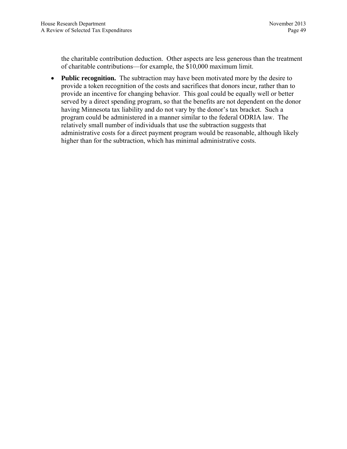the charitable contribution deduction. Other aspects are less generous than the treatment of charitable contributions—for example, the \$10,000 maximum limit.

• **Public recognition.** The subtraction may have been motivated more by the desire to provide a token recognition of the costs and sacrifices that donors incur, rather than to provide an incentive for changing behavior. This goal could be equally well or better served by a direct spending program, so that the benefits are not dependent on the donor having Minnesota tax liability and do not vary by the donor's tax bracket. Such a program could be administered in a manner similar to the federal ODRIA law. The relatively small number of individuals that use the subtraction suggests that administrative costs for a direct payment program would be reasonable, although likely higher than for the subtraction, which has minimal administrative costs.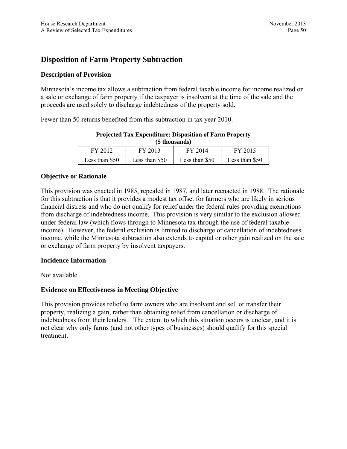# **Disposition of Farm Property Subtraction**

# **Description of Provision**

Minnesota's income tax allows a subtraction from federal taxable income for income realized on a sale or exchange of farm property if the taxpayer is insolvent at the time of the sale and the proceeds are used solely to discharge indebtedness of the property sold.

Fewer than 50 returns benefited from this subtraction in tax year 2010.

| (5 MOUSANUS)   |                |                |                |  |
|----------------|----------------|----------------|----------------|--|
| FY 2012        | FY 2013        | FY 2014        | FY 2015        |  |
| Less than \$50 | Less than \$50 | Less than \$50 | Less than \$50 |  |

#### **Projected Tax Expenditure: Disposition of Farm Property (\$ thousands)**

## **Objective or Rationale**

This provision was enacted in 1985, repealed in 1987, and later reenacted in 1988. The rationale for this subtraction is that it provides a modest tax offset for farmers who are likely in serious financial distress and who do not qualify for relief under the federal rules providing exemptions from discharge of indebtedness income. This provision is very similar to the exclusion allowed under federal law (which flows through to Minnesota tax through the use of federal taxable income). However, the federal exclusion is limited to discharge or cancellation of indebtedness income, while the Minnesota subtraction also extends to capital or other gain realized on the sale or exchange of farm property by insolvent taxpayers.

## **Incidence Information**

## Not available

# **Evidence on Effectiveness in Meeting Objective**

This provision provides relief to farm owners who are insolvent and sell or transfer their property, realizing a gain, rather than obtaining relief from cancellation or discharge of indebtedness from their lenders. The extent to which this situation occurs is unclear, and it is not clear why only farms (and not other types of businesses) should qualify for this special treatment.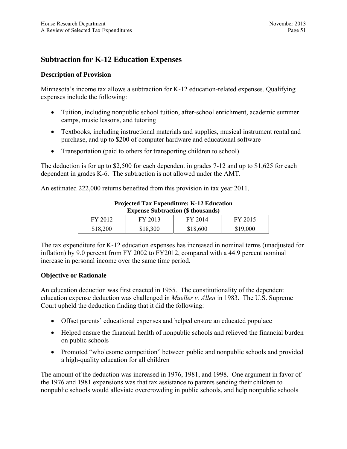# **Subtraction for K-12 Education Expenses**

# **Description of Provision**

Minnesota's income tax allows a subtraction for K-12 education-related expenses. Qualifying expenses include the following:

- Tuition, including nonpublic school tuition, after-school enrichment, academic summer camps, music lessons, and tutoring
- Textbooks, including instructional materials and supplies, musical instrument rental and purchase, and up to \$200 of computer hardware and educational software
- Transportation (paid to others for transporting children to school)

The deduction is for up to \$2,500 for each dependent in grades 7-12 and up to \$1,625 for each dependent in grades K-6. The subtraction is not allowed under the AMT.

An estimated 222,000 returns benefited from this provision in tax year 2011.

| <b>Expense Subtraction (\$ thousands)</b> |          |          |          |
|-------------------------------------------|----------|----------|----------|
| FY 2012                                   | FY 2013  | FY 2014  | FY 2015  |
| \$18,200                                  | \$18,300 | \$18,600 | \$19,000 |

# **Projected Tax Expenditure: K-12 Education**

The tax expenditure for K-12 education expenses has increased in nominal terms (unadjusted for inflation) by 9.0 percent from FY 2002 to FY2012, compared with a 44.9 percent nominal increase in personal income over the same time period.

# **Objective or Rationale**

An education deduction was first enacted in 1955. The constitutionality of the dependent education expense deduction was challenged in *Mueller v. Allen* in 1983. The U.S. Supreme Court upheld the deduction finding that it did the following:

- Offset parents' educational expenses and helped ensure an educated populace
- Helped ensure the financial health of nonpublic schools and relieved the financial burden on public schools
- Promoted "wholesome competition" between public and nonpublic schools and provided a high-quality education for all children

The amount of the deduction was increased in 1976, 1981, and 1998. One argument in favor of the 1976 and 1981 expansions was that tax assistance to parents sending their children to nonpublic schools would alleviate overcrowding in public schools, and help nonpublic schools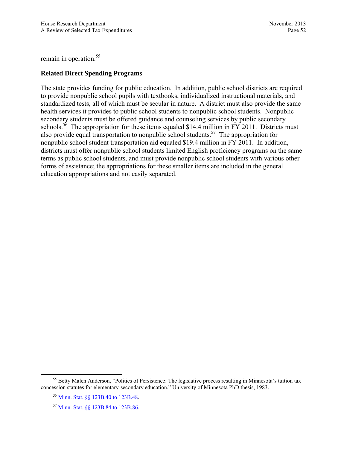remain in operation.<sup>55</sup>

## **Related Direct Spending Programs**

The state provides funding for public education. In addition, public school districts are required to provide nonpublic school pupils with textbooks, individualized instructional materials, and standardized tests, all of which must be secular in nature. A district must also provide the same health services it provides to public school students to nonpublic school students. Nonpublic secondary students must be offered guidance and counseling services by public secondary schools.<sup>56</sup> The appropriation for these items equaled \$14.4 million in FY 2011. Districts must also provide equal transportation to nonpublic school students.<sup>57</sup> The appropriation for nonpublic school student transportation aid equaled \$19.4 million in FY 2011. In addition, districts must offer nonpublic school students limited English proficiency programs on the same terms as public school students, and must provide nonpublic school students with various other forms of assistance; the appropriations for these smaller items are included in the general education appropriations and not easily separated.

<sup>&</sup>lt;sup>55</sup> Betty Malen Anderson, "Politics of Persistence: The legislative process resulting in Minnesota's tuition tax concession statutes for elementary-secondary education," University of Minnesota PhD thesis, 1983.

<sup>56</sup> [Minn. Stat. §§ 123B.40 to 123B.48.](https://www.revisor.mn.gov/statutes/?id=123B.40) 

<sup>57</sup> [Minn. Stat. §§ 123B.84 to 123B.86](https://www.revisor.mn.gov/statutes/?id=123B.86).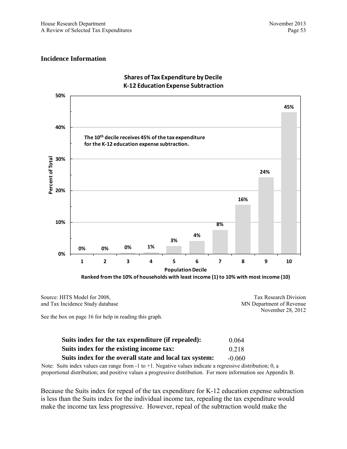#### **Incidence Information**



## **Shares of Tax Expenditure by Decile K‐12 Education Expense Subtraction**

Source: HITS Model for 2008, and Tax Incidence Study database Tax Research Division MN Department of Revenue November 28, 2012

See the box on page 16 for help in reading this graph.

| Suits index for the tax expenditure (if repealed):      | 0.064    |
|---------------------------------------------------------|----------|
| Suits index for the existing income tax:                | 0.218    |
| Suits index for the overall state and local tax system: | $-0.060$ |

Note: Suits index values can range from -1 to +1. Negative values indicate a regressive distribution; 0, a proportional distribution; and positive values a progressive distribution. For more information see Appendix B.

Because the Suits index for repeal of the tax expenditure for K-12 education expense subtraction is less than the Suits index for the individual income tax, repealing the tax expenditure would make the income tax less progressive. However, repeal of the subtraction would make the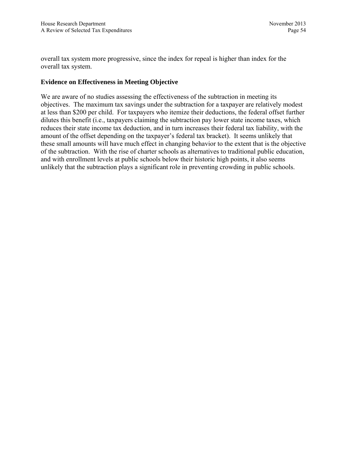overall tax system more progressive, since the index for repeal is higher than index for the overall tax system.

## **Evidence on Effectiveness in Meeting Objective**

We are aware of no studies assessing the effectiveness of the subtraction in meeting its objectives. The maximum tax savings under the subtraction for a taxpayer are relatively modest at less than \$200 per child. For taxpayers who itemize their deductions, the federal offset further dilutes this benefit (i.e., taxpayers claiming the subtraction pay lower state income taxes, which reduces their state income tax deduction, and in turn increases their federal tax liability, with the amount of the offset depending on the taxpayer's federal tax bracket). It seems unlikely that these small amounts will have much effect in changing behavior to the extent that is the objective of the subtraction. With the rise of charter schools as alternatives to traditional public education, and with enrollment levels at public schools below their historic high points, it also seems unlikely that the subtraction plays a significant role in preventing crowding in public schools.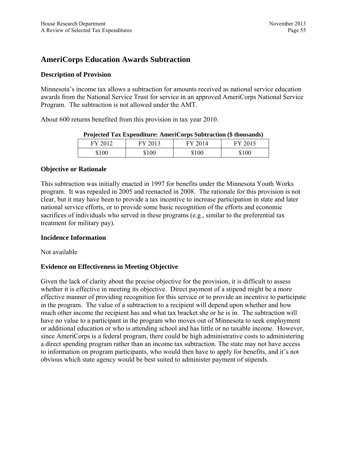# **AmeriCorps Education Awards Subtraction**

# **Description of Provision**

Minnesota's income tax allows a subtraction for amounts received as national service education awards from the National Service Trust for service in an approved AmeriCorps National Service Program. The subtraction is not allowed under the AMT.

About 600 returns benefited from this provision in tax year 2010.

| FY 2012 | FY 2013 | FY 2014 | FY 2015 |
|---------|---------|---------|---------|
| \$100   | \$100   | \$100   | \$100   |

#### **Projected Tax Expenditure: AmeriCorps Subtraction (\$ thousands)**

## **Objective or Rationale**

This subtraction was initially enacted in 1997 for benefits under the Minnesota Youth Works program. It was repealed in 2005 and reenacted in 2008. The rationale for this provision is not clear, but it may have been to provide a tax incentive to increase participation in state and later national service efforts, or to provide some basic recognition of the efforts and economic sacrifices of individuals who served in these programs (e.g., similar to the preferential tax treatment for military pay).

## **Incidence Information**

Not available

# **Evidence on Effectiveness in Meeting Objective**

Given the lack of clarity about the precise objective for the provision, it is difficult to assess whether it is effective in meeting its objective. Direct payment of a stipend might be a more effective manner of providing recognition for this service or to provide an incentive to participate in the program. The value of a subtraction to a recipient will depend upon whether and how much other income the recipient has and what tax bracket she or he is in. The subtraction will have no value to a participant in the program who moves out of Minnesota to seek employment or additional education or who is attending school and has little or no taxable income. However, since AmeriCorps is a federal program, there could be high administrative costs to administering a direct spending program rather than an income tax subtraction. The state may not have access to information on program participants, who would then have to apply for benefits, and it's not obvious which state agency would be best suited to administer payment of stipends.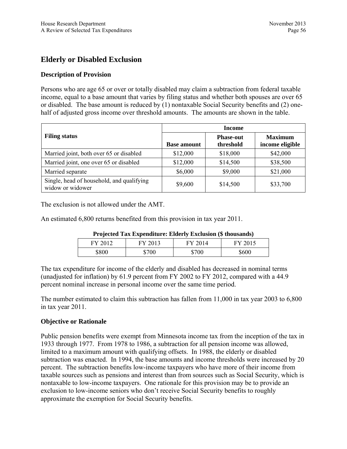# **Elderly or Disabled Exclusion**

# **Description of Provision**

Persons who are age 65 or over or totally disabled may claim a subtraction from federal taxable income, equal to a base amount that varies by filing status and whether both spouses are over 65 or disabled. The base amount is reduced by (1) nontaxable Social Security benefits and (2) onehalf of adjusted gross income over threshold amounts. The amounts are shown in the table.

|                                                               | <b>Income</b>      |                               |                                   |  |
|---------------------------------------------------------------|--------------------|-------------------------------|-----------------------------------|--|
| <b>Filing status</b>                                          | <b>Base amount</b> | <b>Phase-out</b><br>threshold | <b>Maximum</b><br>income eligible |  |
| Married joint, both over 65 or disabled                       | \$12,000           | \$18,000                      | \$42,000                          |  |
| Married joint, one over 65 or disabled                        | \$12,000           | \$14,500                      | \$38,500                          |  |
| Married separate                                              | \$6,000            | \$9,000                       | \$21,000                          |  |
| Single, head of household, and qualifying<br>widow or widower | \$9,600            | \$14,500                      | \$33,700                          |  |

The exclusion is not allowed under the AMT.

An estimated 6,800 returns benefited from this provision in tax year 2011.

| I rejected Tax Expenditure. Enderly Exclusion (5 mousands) |         |         |         |
|------------------------------------------------------------|---------|---------|---------|
| FY 2012                                                    | FY 2013 | FY 2014 | FY 2015 |
| \$800                                                      | \$700   | \$700   | \$600   |

# **Projected Tax Expenditure: Elderly Exclusion (\$ thousands)**

The tax expenditure for income of the elderly and disabled has decreased in nominal terms (unadjusted for inflation) by 61.9 percent from FY 2002 to FY 2012, compared with a 44.9 percent nominal increase in personal income over the same time period.

The number estimated to claim this subtraction has fallen from 11,000 in tax year 2003 to 6,800 in tax year 2011.

## **Objective or Rationale**

Public pension benefits were exempt from Minnesota income tax from the inception of the tax in 1933 through 1977. From 1978 to 1986, a subtraction for all pension income was allowed, limited to a maximum amount with qualifying offsets. In 1988, the elderly or disabled subtraction was enacted. In 1994, the base amounts and income thresholds were increased by 20 percent. The subtraction benefits low-income taxpayers who have more of their income from taxable sources such as pensions and interest than from sources such as Social Security, which is nontaxable to low-income taxpayers. One rationale for this provision may be to provide an exclusion to low-income seniors who don't receive Social Security benefits to roughly approximate the exemption for Social Security benefits.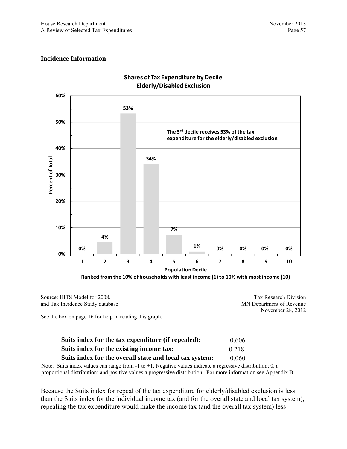#### **Incidence Information**



#### **Shares of Tax Expenditure by Decile Elderly/Disabled Exclusion**

**Ranked from the 10% of households with least income (1) to 10% with most income (10)**

Source: HITS Model for 2008, and Tax Incidence Study database Tax Research Division

See the box on page 16 for help in reading this graph.

| Suits index for the tax expenditure (if repealed):      | $-0.606$ |
|---------------------------------------------------------|----------|
| Suits index for the existing income tax:                | 0.218    |
| Suits index for the overall state and local tax system: | $-0.060$ |

Note: Suits index values can range from -1 to +1. Negative values indicate a regressive distribution; 0, a proportional distribution; and positive values a progressive distribution. For more information see Appendix B.

Because the Suits index for repeal of the tax expenditure for elderly/disabled exclusion is less than the Suits index for the individual income tax (and for the overall state and local tax system), repealing the tax expenditure would make the income tax (and the overall tax system) less

MN Department of Revenue November 28, 2012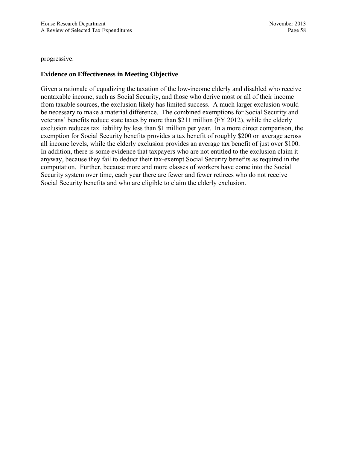progressive.

# **Evidence on Effectiveness in Meeting Objective**

Given a rationale of equalizing the taxation of the low-income elderly and disabled who receive nontaxable income, such as Social Security, and those who derive most or all of their income from taxable sources, the exclusion likely has limited success. A much larger exclusion would be necessary to make a material difference. The combined exemptions for Social Security and veterans' benefits reduce state taxes by more than \$211 million (FY 2012), while the elderly exclusion reduces tax liability by less than \$1 million per year. In a more direct comparison, the exemption for Social Security benefits provides a tax benefit of roughly \$200 on average across all income levels, while the elderly exclusion provides an average tax benefit of just over \$100. In addition, there is some evidence that taxpayers who are not entitled to the exclusion claim it anyway, because they fail to deduct their tax-exempt Social Security benefits as required in the computation. Further, because more and more classes of workers have come into the Social Security system over time, each year there are fewer and fewer retirees who do not receive Social Security benefits and who are eligible to claim the elderly exclusion.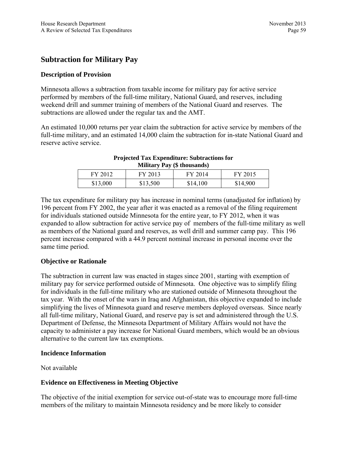# **Subtraction for Military Pay**

## **Description of Provision**

Minnesota allows a subtraction from taxable income for military pay for active service performed by members of the full-time military, National Guard, and reserves, including weekend drill and summer training of members of the National Guard and reserves. The subtractions are allowed under the regular tax and the AMT.

An estimated 10,000 returns per year claim the subtraction for active service by members of the full-time military, and an estimated 14,000 claim the subtraction for in-state National Guard and reserve active service.

| <b>Minial y 1 ay</b> (9 thousanus) |          |          |          |
|------------------------------------|----------|----------|----------|
| FY 2012                            | FY 2013  | FY 2014  | FY 2015  |
| \$13,000                           | \$13,500 | \$14,100 | \$14,900 |

#### **Projected Tax Expenditure: Subtractions for Military Pay (\$ thousands)**

The tax expenditure for military pay has increase in nominal terms (unadjusted for inflation) by 196 percent from FY 2002, the year after it was enacted as a removal of the filing requirement for individuals stationed outside Minnesota for the entire year, to FY 2012, when it was expanded to allow subtraction for active service pay of members of the full-time military as well as members of the National guard and reserves, as well drill and summer camp pay. This 196 percent increase compared with a 44.9 percent nominal increase in personal income over the same time period.

## **Objective or Rationale**

The subtraction in current law was enacted in stages since 2001, starting with exemption of military pay for service performed outside of Minnesota. One objective was to simplify filing for individuals in the full-time military who are stationed outside of Minnesota throughout the tax year. With the onset of the wars in Iraq and Afghanistan, this objective expanded to include simplifying the lives of Minnesota guard and reserve members deployed overseas. Since nearly all full-time military, National Guard, and reserve pay is set and administered through the U.S. Department of Defense, the Minnesota Department of Military Affairs would not have the capacity to administer a pay increase for National Guard members, which would be an obvious alternative to the current law tax exemptions.

#### **Incidence Information**

Not available

## **Evidence on Effectiveness in Meeting Objective**

The objective of the initial exemption for service out-of-state was to encourage more full-time members of the military to maintain Minnesota residency and be more likely to consider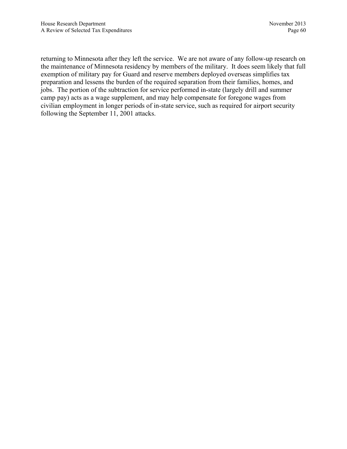returning to Minnesota after they left the service. We are not aware of any follow-up research on the maintenance of Minnesota residency by members of the military. It does seem likely that full exemption of military pay for Guard and reserve members deployed overseas simplifies tax preparation and lessens the burden of the required separation from their families, homes, and jobs. The portion of the subtraction for service performed in-state (largely drill and summer camp pay) acts as a wage supplement, and may help compensate for foregone wages from civilian employment in longer periods of in-state service, such as required for airport security following the September 11, 2001 attacks.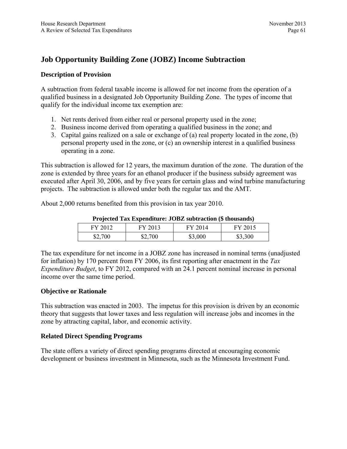# **Job Opportunity Building Zone (JOBZ) Income Subtraction**

## **Description of Provision**

A subtraction from federal taxable income is allowed for net income from the operation of a qualified business in a designated Job Opportunity Building Zone. The types of income that qualify for the individual income tax exemption are:

- 1. Net rents derived from either real or personal property used in the zone;
- 2. Business income derived from operating a qualified business in the zone; and
- 3. Capital gains realized on a sale or exchange of (a) real property located in the zone, (b) personal property used in the zone, or (c) an ownership interest in a qualified business operating in a zone.

This subtraction is allowed for 12 years, the maximum duration of the zone. The duration of the zone is extended by three years for an ethanol producer if the business subsidy agreement was executed after April 30, 2006, and by five years for certain glass and wind turbine manufacturing projects. The subtraction is allowed under both the regular tax and the AMT.

About 2,000 returns benefited from this provision in tax year 2010.

| Trojected Tax Expenditure: JODE Subtraction (9 thousands) |         |         |         |
|-----------------------------------------------------------|---------|---------|---------|
| FY 2012                                                   | FY 2013 | FY 2014 | FY 2015 |
| \$2,700                                                   | \$2,700 | \$3,000 | \$3,300 |

**Projected Tax Expenditure: JOBZ subtraction (\$ thousands)** 

The tax expenditure for net income in a JOBZ zone has increased in nominal terms (unadjusted for inflation) by 170 percent from FY 2006, its first reporting after enactment in the *Tax Expenditure Budget*, to FY 2012, compared with an 24.1 percent nominal increase in personal income over the same time period.

# **Objective or Rationale**

This subtraction was enacted in 2003. The impetus for this provision is driven by an economic theory that suggests that lower taxes and less regulation will increase jobs and incomes in the zone by attracting capital, labor, and economic activity.

# **Related Direct Spending Programs**

The state offers a variety of direct spending programs directed at encouraging economic development or business investment in Minnesota, such as the Minnesota Investment Fund.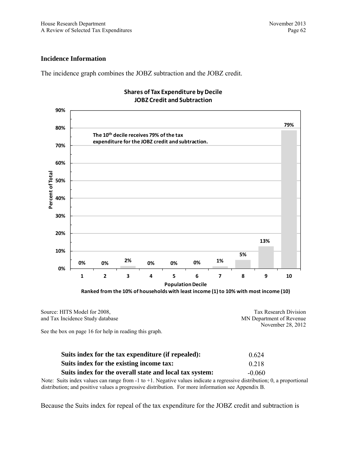#### **Incidence Information**

The incidence graph combines the JOBZ subtraction and the JOBZ credit.



#### **Shares of Tax Expenditure by Decile JOBZ Credit and Subtraction**

**Ranked from the 10% of households with least income (1) to 10% with most income (10)**

| Source: HITS Model for 2008,     | Tax Research Division    |
|----------------------------------|--------------------------|
| and Tax Incidence Study database | MN Department of Revenue |
|                                  | November 28, 2012        |

See the box on page 16 for help in reading this graph.

| Suits index for the tax expenditure (if repealed):      | 0.624    |
|---------------------------------------------------------|----------|
| Suits index for the existing income tax:                | 0.218    |
| Suits index for the overall state and local tax system: | $-0.060$ |

Note: Suits index values can range from -1 to +1. Negative values indicate a regressive distribution; 0, a proportional distribution; and positive values a progressive distribution. For more information see Appendix B.

Because the Suits index for repeal of the tax expenditure for the JOBZ credit and subtraction is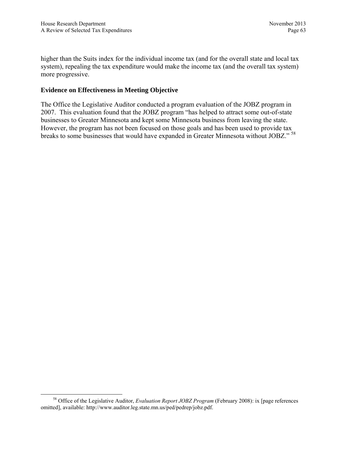higher than the Suits index for the individual income tax (and for the overall state and local tax system), repealing the tax expenditure would make the income tax (and the overall tax system) more progressive.

# **Evidence on Effectiveness in Meeting Objective**

The Office the Legislative Auditor conducted a program evaluation of the JOBZ program in 2007. This evaluation found that the JOBZ program "has helped to attract some out-of-state businesses to Greater Minnesota and kept some Minnesota business from leaving the state. However, the program has not been focused on those goals and has been used to provide tax breaks to some businesses that would have expanded in Greater Minnesota without JOBZ." <sup>58</sup>

 <sup>58</sup> Office of the Legislative Auditor, *Evaluation Report JOBZ Program* (February 2008): ix [page references omitted], available: http://www.auditor.leg.state.mn.us/ped/pedrep/jobz.pdf.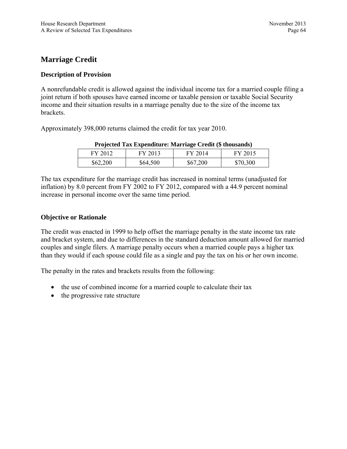# **Marriage Credit**

# **Description of Provision**

A nonrefundable credit is allowed against the individual income tax for a married couple filing a joint return if both spouses have earned income or taxable pension or taxable Social Security income and their situation results in a marriage penalty due to the size of the income tax brackets.

Approximately 398,000 returns claimed the credit for tax year 2010.

| Trojected Tax Experiments. Marriage Credit (\$ mousanus) |          |          |          |
|----------------------------------------------------------|----------|----------|----------|
| FY 2012                                                  | FY 2013  | FY 2014  | FY 2015  |
| \$62,200                                                 | \$64,500 | \$67,200 | \$70,300 |

# **Projected Tax Expenditure: Marriage Credit (\$ thousands)**

The tax expenditure for the marriage credit has increased in nominal terms (unadjusted for inflation) by 8.0 percent from FY 2002 to FY 2012, compared with a 44.9 percent nominal increase in personal income over the same time period.

# **Objective or Rationale**

The credit was enacted in 1999 to help offset the marriage penalty in the state income tax rate and bracket system, and due to differences in the standard deduction amount allowed for married couples and single filers. A marriage penalty occurs when a married couple pays a higher tax than they would if each spouse could file as a single and pay the tax on his or her own income.

The penalty in the rates and brackets results from the following:

- the use of combined income for a married couple to calculate their tax
- the progressive rate structure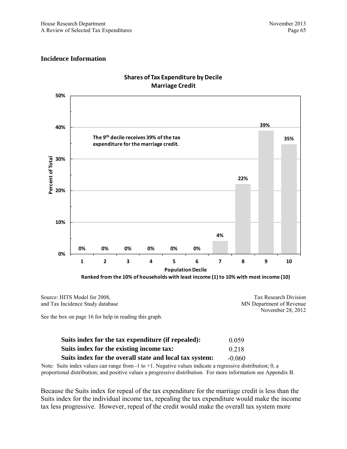#### **Incidence Information**



# **Shares of Tax Expenditure by Decile Marriage Credit**

**Ranked from the 10% of households with least income (1) to 10% with most income (10)**

Source: HITS Model for 2008, and Tax Incidence Study database Tax Research Division MN Department of Revenue November 28, 2012

See the box on page 16 for help in reading this graph.

| Suits index for the tax expenditure (if repealed):      | 0.059    |
|---------------------------------------------------------|----------|
| Suits index for the existing income tax:                | 0.218    |
| Suits index for the overall state and local tax system: | $-0.060$ |

Note: Suits index values can range from -1 to +1. Negative values indicate a regressive distribution; 0, a proportional distribution; and positive values a progressive distribution. For more information see Appendix B.

Because the Suits index for repeal of the tax expenditure for the marriage credit is less than the Suits index for the individual income tax, repealing the tax expenditure would make the income tax less progressive. However, repeal of the credit would make the overall tax system more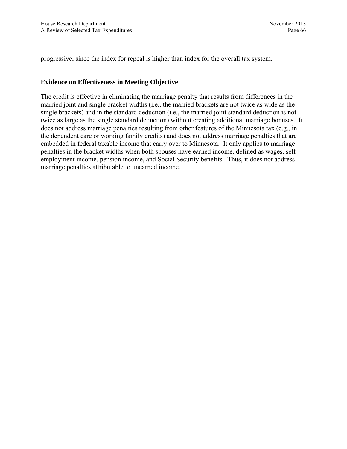progressive, since the index for repeal is higher than index for the overall tax system.

## **Evidence on Effectiveness in Meeting Objective**

The credit is effective in eliminating the marriage penalty that results from differences in the married joint and single bracket widths (i.e., the married brackets are not twice as wide as the single brackets) and in the standard deduction (i.e., the married joint standard deduction is not twice as large as the single standard deduction) without creating additional marriage bonuses. It does not address marriage penalties resulting from other features of the Minnesota tax (e.g., in the dependent care or working family credits) and does not address marriage penalties that are embedded in federal taxable income that carry over to Minnesota. It only applies to marriage penalties in the bracket widths when both spouses have earned income, defined as wages, selfemployment income, pension income, and Social Security benefits. Thus, it does not address marriage penalties attributable to unearned income.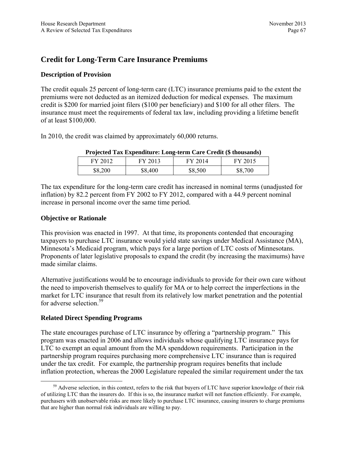# **Credit for Long-Term Care Insurance Premiums**

# **Description of Provision**

The credit equals 25 percent of long-term care (LTC) insurance premiums paid to the extent the premiums were not deducted as an itemized deduction for medical expenses. The maximum credit is \$200 for married joint filers (\$100 per beneficiary) and \$100 for all other filers. The insurance must meet the requirements of federal tax law, including providing a lifetime benefit of at least \$100,000.

In 2010, the credit was claimed by approximately 60,000 returns.

|         | and the contract of the contract of the contract of the contract of the contract of the contract of the contract of the contract of the contract of the contract of the contract of the contract of the contract of the contra |         |         |
|---------|--------------------------------------------------------------------------------------------------------------------------------------------------------------------------------------------------------------------------------|---------|---------|
| FY 2012 | FY 2013                                                                                                                                                                                                                        | FY 2014 | FY 2015 |
| \$8,200 | \$8,400                                                                                                                                                                                                                        | \$8,500 | \$8,700 |

#### **Projected Tax Expenditure: Long-term Care Credit (\$ thousands)**

The tax expenditure for the long-term care credit has increased in nominal terms (unadjusted for inflation) by 82.2 percent from FY 2002 to FY 2012, compared with a 44.9 percent nominal increase in personal income over the same time period.

## **Objective or Rationale**

This provision was enacted in 1997. At that time, its proponents contended that encouraging taxpayers to purchase LTC insurance would yield state savings under Medical Assistance (MA), Minnesota's Medicaid program, which pays for a large portion of LTC costs of Minnesotans. Proponents of later legislative proposals to expand the credit (by increasing the maximums) have made similar claims.

Alternative justifications would be to encourage individuals to provide for their own care without the need to impoverish themselves to qualify for MA or to help correct the imperfections in the market for LTC insurance that result from its relatively low market penetration and the potential for adverse selection.<sup>59</sup>

# **Related Direct Spending Programs**

The state encourages purchase of LTC insurance by offering a "partnership program." This program was enacted in 2006 and allows individuals whose qualifying LTC insurance pays for LTC to exempt an equal amount from the MA spenddown requirements. Participation in the partnership program requires purchasing more comprehensive LTC insurance than is required under the tax credit. For example, the partnership program requires benefits that include inflation protection, whereas the 2000 Legislature repealed the similar requirement under the tax

 $59$  Adverse selection, in this context, refers to the risk that buyers of LTC have superior knowledge of their risk of utilizing LTC than the insurers do. If this is so, the insurance market will not function efficiently. For example, purchasers with unobservable risks are more likely to purchase LTC insurance, causing insurers to charge premiums that are higher than normal risk individuals are willing to pay.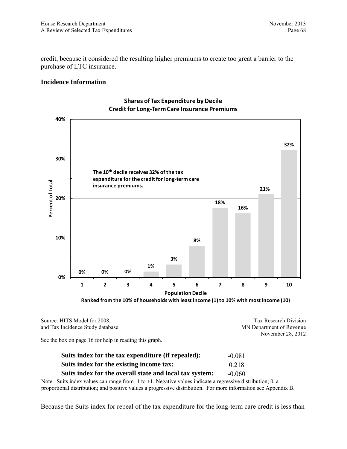credit, because it considered the resulting higher premiums to create too great a barrier to the purchase of LTC insurance.

#### **Incidence Information**



## **Shares of Tax Expenditure by Decile Credit for Long‐TermCare Insurance Premiums**

**Ranked from the 10% of households with least income (1) to 10% with most income (10)**

| Source: HITS Model for 2008,     | Tax Research Division    |
|----------------------------------|--------------------------|
| and Tax Incidence Study database | MN Department of Revenue |
|                                  | November 28, 2012        |

See the box on page 16 for help in reading this graph.

| Suits index for the tax expenditure (if repealed):      | $-0.081$ |
|---------------------------------------------------------|----------|
| Suits index for the existing income tax:                | 0.218    |
| Suits index for the overall state and local tax system: | $-0.060$ |

Note: Suits index values can range from -1 to +1. Negative values indicate a regressive distribution; 0, a proportional distribution; and positive values a progressive distribution. For more information see Appendix B.

Because the Suits index for repeal of the tax expenditure for the long-term care credit is less than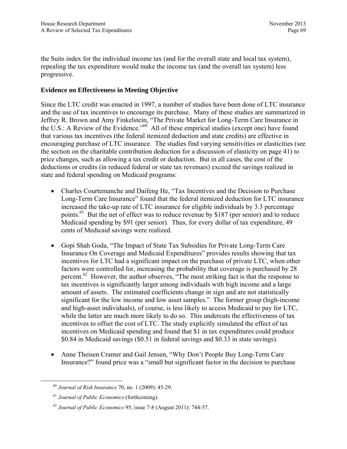the Suits index for the individual income tax (and for the overall state and local tax system), repealing the tax expenditure would make the income tax (and the overall tax system) less progressive.

## **Evidence on Effectiveness in Meeting Objective**

Since the LTC credit was enacted in 1997, a number of studies have been done of LTC insurance and the use of tax incentives to encourage its purchase. Many of these studies are summarized in Jeffrey R. Brown and Amy Finkelstein, "The Private Market for Long-Term Care Insurance in the U.S.: A Review of the Evidence."<sup>60</sup> All of these empirical studies (except one) have found that various tax incentives (the federal itemized deduction and state credits) are effective in encouraging purchase of LTC insurance. The studies find varying sensitivities or elasticities (see the section on the charitable contribution deduction for a discussion of elasticity on page 41) to price changes, such as allowing a tax credit or deduction. But in all cases, the cost of the deductions or credits (in reduced federal or state tax revenues) exceed the savings realized in state and federal spending on Medicaid programs:

- Charles Courtemanche and Daifeng He, "Tax Incentives and the Decision to Purchase Long-Term Care Insurance" found that the federal itemized deduction for LTC insurance increased the take-up rate of LTC insurance for eligible individuals by 3.3 percentage points.<sup>61</sup> But the net of effect was to reduce revenue by \$187 (per senior) and to reduce Medicaid spending by \$91 (per senior). Thus, for every dollar of tax expenditure, 49 cents of Medicaid savings were realized.
- Gopi Shah Goda, "The Impact of State Tax Subsidies for Private Long-Term Care Insurance On Coverage and Medicaid Expenditures" provides results showing that tax incentives for LTC had a significant impact on the purchase of private LTC, when other factors were controlled for, increasing the probability that coverage is purchased by 28 percent.<sup>62</sup> However, the author observes, "The most striking fact is that the response to tax incentives is significantly larger among individuals with high income and a large amount of assets. The estimated coefficients change in sign and are not statistically significant for the low income and low asset samples." The former group (high-income and high-asset individuals), of course, is less likely to access Medicaid to pay for LTC, while the latter are much more likely to do so. This undercuts the effectiveness of tax incentives to offset the cost of LTC. The study explicitly simulated the effect of tax incentives on Medicaid spending and found that \$1 in tax expenditures could produce \$0.84 in Medicaid savings (\$0.51 in federal savings and \$0.33 in state savings).
- Anne Theisen Cramer and Gail Jensen, "Why Don't People Buy Long-Term Care Insurance?" found price was a "small but significant factor in the decision to purchase

 <sup>60</sup> *Journal of Risk Insurance* 70, no. 1 (2009): 45-29.

<sup>61</sup> *Journal of Public Economics* (forthcoming).

<sup>62</sup> *Journal of Public Economics* 95, issue 7-8 (August 2011): 744-57.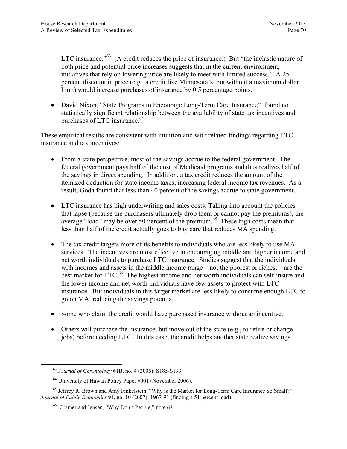LTC insurance.<sup>763</sup> (A credit reduces the price of insurance.) But "the inelastic nature of both price and potential price increases suggests that in the current environment, initiatives that rely on lowering price are likely to meet with limited success." A 25 percent discount in price (e.g., a credit like Minnesota's, but without a maximum dollar limit) would increase purchases of insurance by 0.5 percentage points.

• David Nixon, "State Programs to Encourage Long-Term Care Insurance" found no statistically significant relationship between the availability of state tax incentives and purchases of LTC insurance. $^{64}$ 

These empirical results are consistent with intuition and with related findings regarding LTC insurance and tax incentives:

- From a state perspective, most of the savings accrue to the federal government. The federal government pays half of the cost of Medicaid programs and thus realizes half of the savings in direct spending. In addition, a tax credit reduces the amount of the itemized deduction for state income taxes, increasing federal income tax revenues. As a result, Goda found that less than 40 percent of the savings accrue to state government.
- LTC insurance has high underwriting and sales costs. Taking into account the policies that lapse (because the purchasers ultimately drop them or cannot pay the premiums), the average "load" may be over 50 percent of the premium.<sup>65</sup> These high costs mean that less than half of the credit actually goes to buy care that reduces MA spending.
- The tax credit targets more of its benefits to individuals who are less likely to use MA services. The incentives are most effective in encouraging middle and higher income and net worth individuals to purchase LTC insurance. Studies suggest that the individuals with incomes and assets in the middle income range—not the poorest or richest—are the best market for LTC.<sup>66</sup> The highest income and net worth individuals can self-insure and the lower income and net worth individuals have few assets to protect with LTC insurance. But individuals in this target market are less likely to consume enough LTC to go on MA, reducing the savings potential.
- Some who claim the credit would have purchased insurance without an incentive.
- Others will purchase the insurance, but move out of the state (e.g., to retire or change jobs) before needing LTC. In this case, the credit helps another state realize savings.

 <sup>63</sup> *Journal of Gerontology* 61B, no. 4 (2006): S185-S193.

<sup>64</sup> University of Hawaii Policy Paper #001 (November 2006).

<sup>&</sup>lt;sup>65</sup> Jeffrey R. Brown and Amy Finkelstein, "Why is the Market for Long-Term Care Insurance So Small?" *Journal of Public Economics* 91, no. 10 (2007): 1967-91 (finding a 51 percent load).

<sup>66</sup> Cramer and Jensen, "Why Don't People," note 63.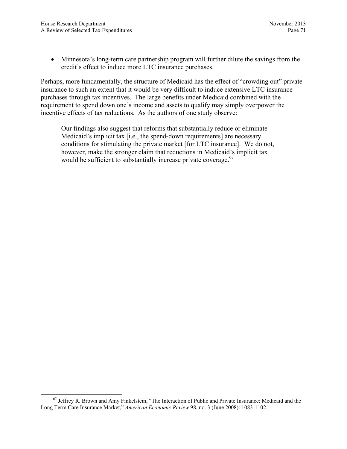• Minnesota's long-term care partnership program will further dilute the savings from the credit's effect to induce more LTC insurance purchases.

Perhaps, more fundamentally, the structure of Medicaid has the effect of "crowding out" private insurance to such an extent that it would be very difficult to induce extensive LTC insurance purchases through tax incentives. The large benefits under Medicaid combined with the requirement to spend down one's income and assets to qualify may simply overpower the incentive effects of tax reductions. As the authors of one study observe:

Our findings also suggest that reforms that substantially reduce or eliminate Medicaid's implicit tax [i.e., the spend-down requirements] are necessary conditions for stimulating the private market [for LTC insurance]. We do not, however, make the stronger claim that reductions in Medicaid's implicit tax would be sufficient to substantially increase private coverage.<sup>67</sup>

<sup>&</sup>lt;sup>67</sup> Jeffrey R. Brown and Amy Finkelstein, "The Interaction of Public and Private Insurance: Medicaid and the Long Term Care Insurance Market," *American Economic Review* 98, no. 3 (June 2008): 1083-1102.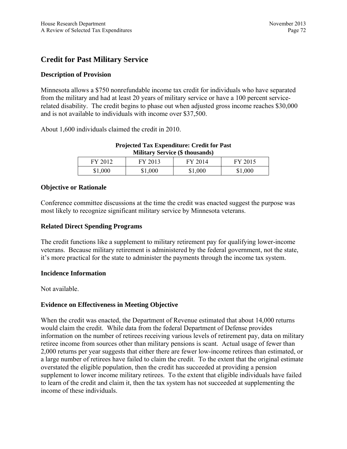# **Credit for Past Military Service**

## **Description of Provision**

Minnesota allows a \$750 nonrefundable income tax credit for individuals who have separated from the military and had at least 20 years of military service or have a 100 percent servicerelated disability. The credit begins to phase out when adjusted gross income reaches \$30,000 and is not available to individuals with income over \$37,500.

About 1,600 individuals claimed the credit in 2010.

| <b>Military Service (\$ thousands)</b> |         |         |         |
|----------------------------------------|---------|---------|---------|
| FY 2012                                | FY 2013 | FY 2014 | FY 2015 |
| \$1,000                                | \$1,000 | \$1,000 | \$1,000 |

**Projected Tax Expenditure: Credit for Past** 

#### **Objective or Rationale**

Conference committee discussions at the time the credit was enacted suggest the purpose was most likely to recognize significant military service by Minnesota veterans.

#### **Related Direct Spending Programs**

The credit functions like a supplement to military retirement pay for qualifying lower-income veterans. Because military retirement is administered by the federal government, not the state, it's more practical for the state to administer the payments through the income tax system.

#### **Incidence Information**

Not available.

#### **Evidence on Effectiveness in Meeting Objective**

When the credit was enacted, the Department of Revenue estimated that about 14,000 returns would claim the credit. While data from the federal Department of Defense provides information on the number of retirees receiving various levels of retirement pay, data on military retiree income from sources other than military pensions is scant. Actual usage of fewer than 2,000 returns per year suggests that either there are fewer low-income retirees than estimated, or a large number of retirees have failed to claim the credit. To the extent that the original estimate overstated the eligible population, then the credit has succeeded at providing a pension supplement to lower income military retirees. To the extent that eligible individuals have failed to learn of the credit and claim it, then the tax system has not succeeded at supplementing the income of these individuals.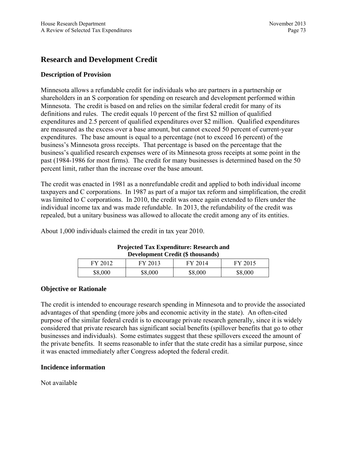# **Research and Development Credit**

# **Description of Provision**

Minnesota allows a refundable credit for individuals who are partners in a partnership or shareholders in an S corporation for spending on research and development performed within Minnesota. The credit is based on and relies on the similar federal credit for many of its definitions and rules. The credit equals 10 percent of the first \$2 million of qualified expenditures and 2.5 percent of qualified expenditures over \$2 million. Qualified expenditures are measured as the excess over a base amount, but cannot exceed 50 percent of current-year expenditures. The base amount is equal to a percentage (not to exceed 16 percent) of the business's Minnesota gross receipts. That percentage is based on the percentage that the business's qualified research expenses were of its Minnesota gross receipts at some point in the past (1984-1986 for most firms). The credit for many businesses is determined based on the 50 percent limit, rather than the increase over the base amount.

The credit was enacted in 1981 as a nonrefundable credit and applied to both individual income taxpayers and C corporations. In 1987 as part of a major tax reform and simplification, the credit was limited to C corporations. In 2010, the credit was once again extended to filers under the individual income tax and was made refundable. In 2013, the refundability of the credit was repealed, but a unitary business was allowed to allocate the credit among any of its entities.

About 1,000 individuals claimed the credit in tax year 2010.

| Development Credit (\$ thousands)        |         |         |         |  |
|------------------------------------------|---------|---------|---------|--|
| FY 2015<br>FY 2013<br>FY 2012<br>FY 2014 |         |         |         |  |
| \$8,000                                  | \$8,000 | \$8,000 | \$8,000 |  |

#### **Projected Tax Expenditure: Research and Development Credit (\$ thousands)**

#### **Objective or Rationale**

The credit is intended to encourage research spending in Minnesota and to provide the associated advantages of that spending (more jobs and economic activity in the state). An often-cited purpose of the similar federal credit is to encourage private research generally, since it is widely considered that private research has significant social benefits (spillover benefits that go to other businesses and individuals). Some estimates suggest that these spillovers exceed the amount of the private benefits. It seems reasonable to infer that the state credit has a similar purpose, since it was enacted immediately after Congress adopted the federal credit.

#### **Incidence information**

Not available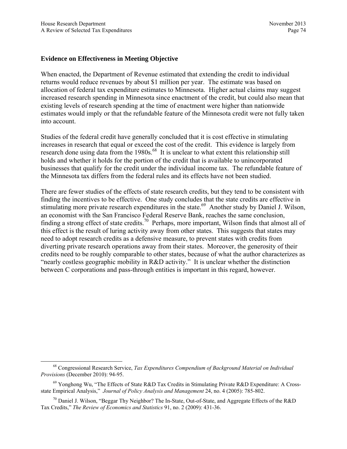## **Evidence on Effectiveness in Meeting Objective**

When enacted, the Department of Revenue estimated that extending the credit to individual returns would reduce revenues by about \$1 million per year. The estimate was based on allocation of federal tax expenditure estimates to Minnesota. Higher actual claims may suggest increased research spending in Minnesota since enactment of the credit, but could also mean that existing levels of research spending at the time of enactment were higher than nationwide estimates would imply or that the refundable feature of the Minnesota credit were not fully taken into account.

Studies of the federal credit have generally concluded that it is cost effective in stimulating increases in research that equal or exceed the cost of the credit. This evidence is largely from research done using data from the 1980s.<sup>68</sup> It is unclear to what extent this relationship still holds and whether it holds for the portion of the credit that is available to unincorporated businesses that qualify for the credit under the individual income tax. The refundable feature of the Minnesota tax differs from the federal rules and its effects have not been studied.

There are fewer studies of the effects of state research credits, but they tend to be consistent with finding the incentives to be effective. One study concludes that the state credits are effective in stimulating more private research expenditures in the state.<sup>69</sup> Another study by Daniel J. Wilson, an economist with the San Francisco Federal Reserve Bank, reaches the same conclusion, finding a strong effect of state credits.<sup>70</sup> Perhaps, more important, Wilson finds that almost all of this effect is the result of luring activity away from other states. This suggests that states may need to adopt research credits as a defensive measure, to prevent states with credits from diverting private research operations away from their states. Moreover, the generosity of their credits need to be roughly comparable to other states, because of what the author characterizes as "nearly costless geographic mobility in R&D activity." It is unclear whether the distinction between C corporations and pass-through entities is important in this regard, however.

 <sup>68</sup> Congressional Research Service, *Tax Expenditures Compendium of Background Material on Individual Provisions* (December 2010): 94-95.

<sup>&</sup>lt;sup>69</sup> Yonghong Wu, "The Effects of State R&D Tax Credits in Stimulating Private R&D Expenditure: A Crossstate Empirical Analysis," *Journal of Policy Analysis and Management* 24, no. 4 (2005): 785-802.

 $70$  Daniel J. Wilson, "Beggar Thy Neighbor? The In-State, Out-of-State, and Aggregate Effects of the R&D Tax Credits," *The Review of Economics and Statistics* 91, no. 2 (2009): 431-36.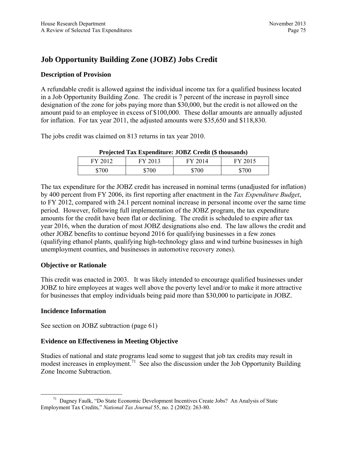# **Job Opportunity Building Zone (JOBZ) Jobs Credit**

## **Description of Provision**

A refundable credit is allowed against the individual income tax for a qualified business located in a Job Opportunity Building Zone. The credit is 7 percent of the increase in payroll since designation of the zone for jobs paying more than \$30,000, but the credit is not allowed on the amount paid to an employee in excess of \$100,000. These dollar amounts are annually adjusted for inflation. For tax year 2011, the adjusted amounts were \$35,650 and \$118,830.

The jobs credit was claimed on 813 returns in tax year 2010.

| .,    |            | . .   |       |
|-------|------------|-------|-------|
| FV.   | н<br>$-01$ | 14    | E     |
| \$700 | \$700      | \$700 | \$700 |

**Projected Tax Expenditure: JOBZ Credit (\$ thousands)** 

The tax expenditure for the JOBZ credit has increased in nominal terms (unadjusted for inflation) by 400 percent from FY 2006, its first reporting after enactment in the *Tax Expenditure Budget*, to FY 2012, compared with 24.1 percent nominal increase in personal income over the same time period. However, following full implementation of the JOBZ program, the tax expenditure amounts for the credit have been flat or declining. The credit is scheduled to expire after tax year 2016, when the duration of most JOBZ designations also end. The law allows the credit and other JOBZ benefits to continue beyond 2016 for qualifying businesses in a few zones (qualifying ethanol plants, qualifying high-technology glass and wind turbine businesses in high unemployment counties, and businesses in automotive recovery zones).

# **Objective or Rationale**

This credit was enacted in 2003. It was likely intended to encourage qualified businesses under JOBZ to hire employees at wages well above the poverty level and/or to make it more attractive for businesses that employ individuals being paid more than \$30,000 to participate in JOBZ.

# **Incidence Information**

See section on JOBZ subtraction (page 61)

# **Evidence on Effectiveness in Meeting Objective**

Studies of national and state programs lead some to suggest that job tax credits may result in modest increases in employment.<sup>71</sup> See also the discussion under the Job Opportunity Building Zone Income Subtraction.

 <sup>71</sup> Dagney Faulk, "Do State Economic Development Incentives Create Jobs? An Analysis of State Employment Tax Credits," *National Tax Journal* 55, no. 2 (2002): 263-80.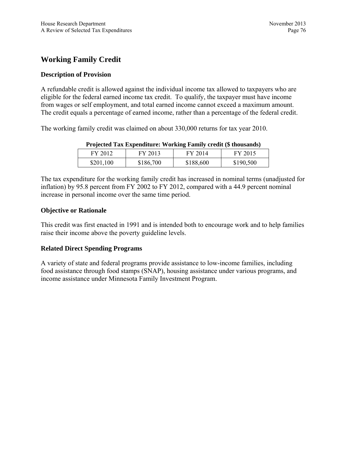# **Working Family Credit**

## **Description of Provision**

A refundable credit is allowed against the individual income tax allowed to taxpayers who are eligible for the federal earned income tax credit. To qualify, the taxpayer must have income from wages or self employment, and total earned income cannot exceed a maximum amount. The credit equals a percentage of earned income, rather than a percentage of the federal credit.

The working family credit was claimed on about 330,000 returns for tax year 2010.

| I rejected Tax Expenditure. Werking Family credit (5 mousands) |           |           |           |
|----------------------------------------------------------------|-----------|-----------|-----------|
| FY 2012                                                        | FY 2013   | FY 2014   | FY 2015   |
| \$201,100                                                      | \$186,700 | \$188,600 | \$190,500 |

## **Projected Tax Expenditure: Working Family credit (\$ thousands)**

The tax expenditure for the working family credit has increased in nominal terms (unadjusted for inflation) by 95.8 percent from FY 2002 to FY 2012, compared with a 44.9 percent nominal increase in personal income over the same time period.

## **Objective or Rationale**

This credit was first enacted in 1991 and is intended both to encourage work and to help families raise their income above the poverty guideline levels.

# **Related Direct Spending Programs**

A variety of state and federal programs provide assistance to low-income families, including food assistance through food stamps (SNAP), housing assistance under various programs, and income assistance under Minnesota Family Investment Program.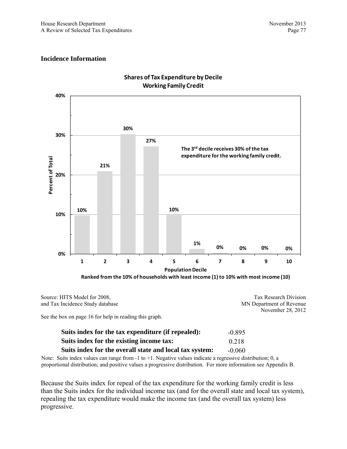Tax Research Division MN Department of Revenue

#### **Incidence Information**

Source: HITS Model for 2008, and Tax Incidence Study database



## **Shares of Tax Expenditure by Decile Working Family Credit**

November 28, 2012 See the box on page 16 for help in reading this graph.

| Suits index for the tax expenditure (if repealed):      | $-0.895$ |
|---------------------------------------------------------|----------|
| Suits index for the existing income tax:                | 0.218    |
| Suits index for the overall state and local tax system: | $-0.060$ |

Note: Suits index values can range from -1 to +1. Negative values indicate a regressive distribution; 0, a proportional distribution; and positive values a progressive distribution. For more information see Appendix B.

Because the Suits index for repeal of the tax expenditure for the working family credit is less than the Suits index for the individual income tax (and for the overall state and local tax system), repealing the tax expenditure would make the income tax (and the overall tax system) less progressive.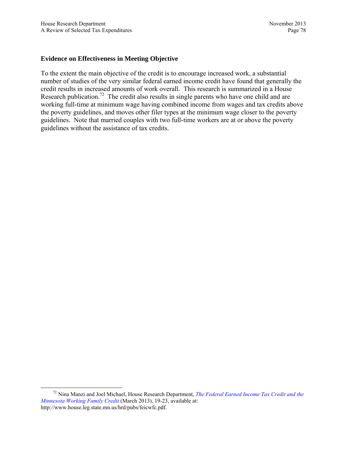#### **Evidence on Effectiveness in Meeting Objective**

To the extent the main objective of the credit is to encourage increased work, a substantial number of studies of the very similar federal earned income credit have found that generally the credit results in increased amounts of work overall. This research is summarized in a House Research publication.<sup>72</sup> The credit also results in single parents who have one child and are working full-time at minimum wage having combined income from wages and tax credits above the poverty guidelines, and moves other filer types at the minimum wage closer to the poverty guidelines. Note that married couples with two full-time workers are at or above the poverty guidelines without the assistance of tax credits.

 <sup>72</sup> Nina Manzi and Joel Michael, House Research Department, *[The Federal Earned Income Tax Credit and the](http://www.house.leg.state.mn.us/hrd/pubs/feicwfc.pdf)  [Minnesota Working Family Credit](http://www.house.leg.state.mn.us/hrd/pubs/feicwfc.pdf)* (March 2013), 19-23, available at: http://www.house.leg.state.mn.us/hrd/pubs/feicwfc.pdf.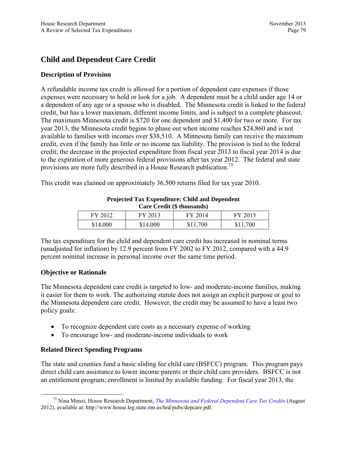# **Child and Dependent Care Credit**

## **Description of Provision**

A refundable income tax credit is allowed for a portion of dependent care expenses if those expenses were necessary to hold or look for a job. A dependent must be a child under age 14 or a dependent of any age or a spouse who is disabled. The Minnesota credit is linked to the federal credit, but has a lower maximum, different income limits, and is subject to a complete phaseout. The maximum Minnesota credit is \$720 for one dependent and \$1,400 for two or more. For tax year 2013, the Minnesota credit begins to phase out when income reaches \$24,860 and is not available to families with incomes over \$38,510. A Minnesota family can receive the maximum credit, even if the family has little or no income tax liability. The provision is tied to the federal credit; the decrease in the projected expenditure from fiscal year 2013 to fiscal year 2014 is due to the expiration of more generous federal provisions after tax year 2012. The federal and state provisions are more fully described in a House Research publication.<sup>73</sup>

This credit was claimed on approximately 36,500 returns filed for tax year 2010.

| FY 2012  | FY 2013  | FY 2014  | FY 2015  |
|----------|----------|----------|----------|
| \$14,000 | \$14,000 | \$11,700 | \$11,700 |

**Projected Tax Expenditure: Child and Dependent Care Credit (\$ thousands)** 

The tax expenditure for the child and dependent care credit has increased in nominal terms (unadjusted for inflation) by 12.9 percent from FY 2002 to FY 2012, compared with a 44.9 percent nominal increase in personal income over the same time period.

#### **Objective or Rationale**

The Minnesota dependent care credit is targeted to low- and moderate-income families, making it easier for them to work. The authorizing statute does not assign an explicit purpose or goal to the Minnesota dependent care credit. However, the credit may be assumed to have a least two policy goals:

- To recognize dependent care costs as a necessary expense of working
- To encourage low- and moderate-income individuals to work

# **Related Direct Spending Programs**

The state and counties fund a basic sliding fee child care (BSFCC) program. This program pays direct child care assistance to lower income parents or their child care providers. BSFCC is not an entitlement program; enrollment is limited by available funding. For fiscal year 2013, the

 <sup>73</sup> Nina Manzi, House Research Department, *[The Minnesota and Federal Dependent Care Tax Credits](http://www.house.leg.state.mn.us/hrd/pubs/depcare.pdf)* (August 2012), available at: http://www.house.leg.state.mn.us/hrd/pubs/depcare.pdf.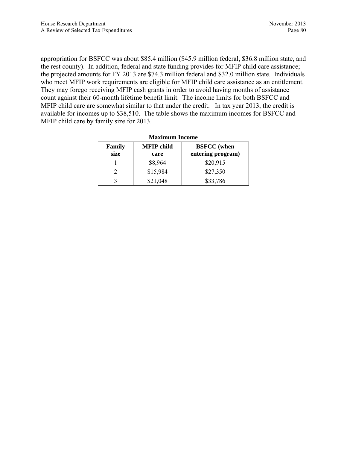appropriation for BSFCC was about \$85.4 million (\$45.9 million federal, \$36.8 million state, and the rest county). In addition, federal and state funding provides for MFIP child care assistance; the projected amounts for FY 2013 are \$74.3 million federal and \$32.0 million state. Individuals who meet MFIP work requirements are eligible for MFIP child care assistance as an entitlement. They may forego receiving MFIP cash grants in order to avoid having months of assistance count against their 60-month lifetime benefit limit. The income limits for both BSFCC and MFIP child care are somewhat similar to that under the credit. In tax year 2013, the credit is available for incomes up to \$38,510. The table shows the maximum incomes for BSFCC and MFIP child care by family size for 2013.

| waxannaan mevme |                           |                                         |  |
|-----------------|---------------------------|-----------------------------------------|--|
| Family<br>size  | <b>MFIP</b> child<br>care | <b>BSFCC</b> (when<br>entering program) |  |
|                 | \$8,964                   | \$20,915                                |  |
|                 | \$15,984                  | \$27,350                                |  |
|                 | \$21,048                  | \$33,786                                |  |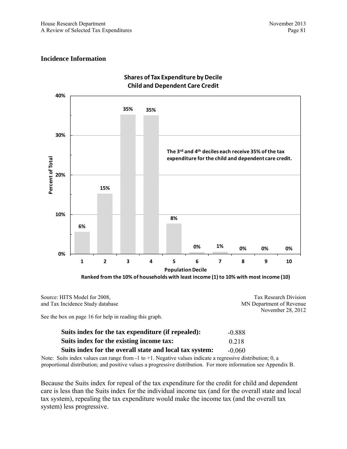#### **Incidence Information**



#### **Shares of Tax Expenditure by Decile Child and Dependent Care Credit**

**Ranked from the 10% of households with least income (1) to 10% with most income (10)**

| Source: HITS Model for 2008,     | Tax Research Division    |
|----------------------------------|--------------------------|
| and Tax Incidence Study database | MN Department of Revenue |
|                                  | November 28, 2012        |

See the box on page 16 for help in reading this graph.

| Suits index for the tax expenditure (if repealed):      | -0.888   |
|---------------------------------------------------------|----------|
| Suits index for the existing income tax:                | 0.218    |
| Suits index for the overall state and local tax system: | $-0.060$ |

Note: Suits index values can range from -1 to +1. Negative values indicate a regressive distribution; 0, a proportional distribution; and positive values a progressive distribution. For more information see Appendix B.

Because the Suits index for repeal of the tax expenditure for the credit for child and dependent care is less than the Suits index for the individual income tax (and for the overall state and local tax system), repealing the tax expenditure would make the income tax (and the overall tax system) less progressive.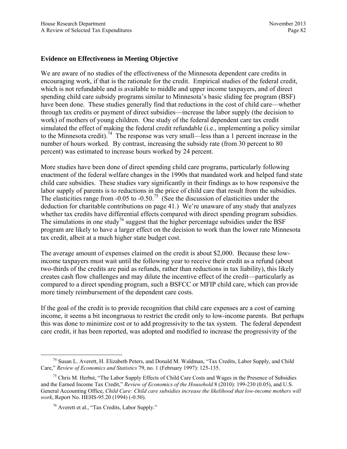## **Evidence on Effectiveness in Meeting Objective**

We are aware of no studies of the effectiveness of the Minnesota dependent care credits in encouraging work, if that is the rationale for the credit. Empirical studies of the federal credit, which is not refundable and is available to middle and upper income taxpayers, and of direct spending child care subsidy programs similar to Minnesota's basic sliding fee program (BSF) have been done. These studies generally find that reductions in the cost of child care—whether through tax credits or payment of direct subsidies—increase the labor supply (the decision to work) of mothers of young children. One study of the federal dependent care tax credit simulated the effect of making the federal credit refundable (i.e., implementing a policy similar to the Minnesota credit).<sup>74</sup> The response was very small—less than a 1 percent increase in the number of hours worked. By contrast, increasing the subsidy rate (from 30 percent to 80 percent) was estimated to increase hours worked by 24 percent.

More studies have been done of direct spending child care programs, particularly following enactment of the federal welfare changes in the 1990s that mandated work and helped fund state child care subsidies. These studies vary significantly in their findings as to how responsive the labor supply of parents is to reductions in the price of child care that result from the subsidies. The elasticities range from  $-0.05$  to  $-0.50$ .<sup>75</sup> (See the discussion of elasticities under the deduction for charitable contributions on page 41.) We're unaware of any study that analyzes whether tax credits have differential effects compared with direct spending program subsidies. The simulations in one study<sup>76</sup> suggest that the higher percentage subsidies under the BSF program are likely to have a larger effect on the decision to work than the lower rate Minnesota tax credit, albeit at a much higher state budget cost.

The average amount of expenses claimed on the credit is about \$2,000. Because these lowincome taxpayers must wait until the following year to receive their credit as a refund (about two-thirds of the credits are paid as refunds, rather than reductions in tax liability), this likely creates cash flow challenges and may dilute the incentive effect of the credit—particularly as compared to a direct spending program, such a BSFCC or MFIP child care, which can provide more timely reimbursement of the dependent care costs.

If the goal of the credit is to provide recognition that child care expenses are a cost of earning income, it seems a bit incongruous to restrict the credit only to low-income parents. But perhaps this was done to minimize cost or to add progressivity to the tax system. The federal dependent care credit, it has been reported, was adopted and modified to increase the progressivity of the

 <sup>74</sup> Susan L. Averett, H. Elizabeth Peters, and Donald M. Waldman, "Tax Credits, Labor Supply, and Child Care," *Review of Economics and Statistics* 79, no. 1 (February 1997): 125-135.

 $<sup>75</sup>$  Chris M. Herbst, "The Labor Supply Effects of Child Care Costs and Wages in the Presence of Subsidies</sup> and the Earned Income Tax Credit," *Review of Economics of the Household* 8 (2010): 199-230 (0.05), and U.S. General Accounting Office, *Child Care: Child care subsidies increase the likelihood that low-income mothers will work*, Report No. HEHS-95.20 (1994) (-0.50).

<sup>76</sup> Averett et al., "Tax Credits, Labor Supply."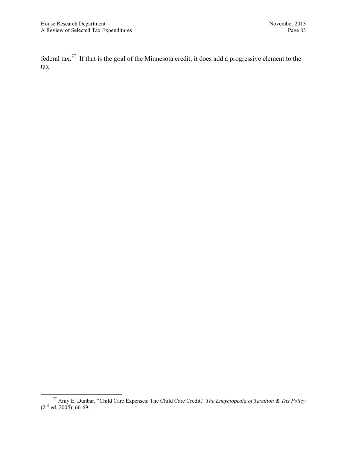federal tax.77 If that is the goal of the Minnesota credit, it does add a progressive element to the tax.

 <sup>77</sup> Amy E. Dunbar, "Child Care Expenses: The Child Care Credit," *The Encyclopedia of Taxation & Tax Policy*   $(2<sup>nd</sup>$  ed. 2005): 66-69.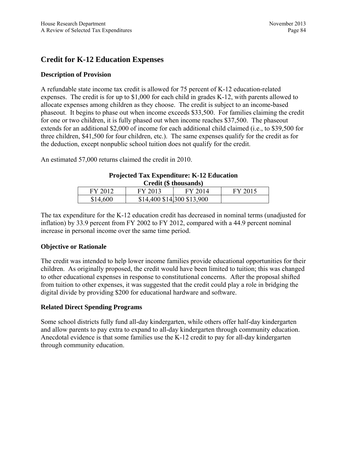# **Credit for K-12 Education Expenses**

# **Description of Provision**

A refundable state income tax credit is allowed for 75 percent of K-12 education-related expenses. The credit is for up to \$1,000 for each child in grades K-12, with parents allowed to allocate expenses among children as they choose. The credit is subject to an income-based phaseout. It begins to phase out when income exceeds \$33,500. For families claiming the credit for one or two children, it is fully phased out when income reaches \$37,500. The phaseout extends for an additional \$2,000 of income for each additional child claimed (i.e., to \$39,500 for three children, \$41,500 for four children, etc.). The same expenses qualify for the credit as for the deduction, except nonpublic school tuition does not qualify for the credit.

An estimated 57,000 returns claimed the credit in 2010.

| <b>Projected Tax Expenditure: K-12 Education</b> |  |  |  |
|--------------------------------------------------|--|--|--|
| Credit (\$ thousands)                            |  |  |  |
|                                                  |  |  |  |

| $\mathbf{U}$ can $(\psi$ underly $\eta$ |                            |         |         |
|-----------------------------------------|----------------------------|---------|---------|
| FY 2012                                 | FY 2013                    | FY 2014 | FY 2015 |
| \$14,600                                | \$14,400 \$14,300 \$13,900 |         |         |

The tax expenditure for the K-12 education credit has decreased in nominal terms (unadjusted for inflation) by 33.9 percent from FY 2002 to FY 2012, compared with a 44.9 percent nominal increase in personal income over the same time period.

#### **Objective or Rationale**

The credit was intended to help lower income families provide educational opportunities for their children. As originally proposed, the credit would have been limited to tuition; this was changed to other educational expenses in response to constitutional concerns. After the proposal shifted from tuition to other expenses, it was suggested that the credit could play a role in bridging the digital divide by providing \$200 for educational hardware and software.

# **Related Direct Spending Programs**

Some school districts fully fund all-day kindergarten, while others offer half-day kindergarten and allow parents to pay extra to expand to all-day kindergarten through community education. Anecdotal evidence is that some families use the K-12 credit to pay for all-day kindergarten through community education.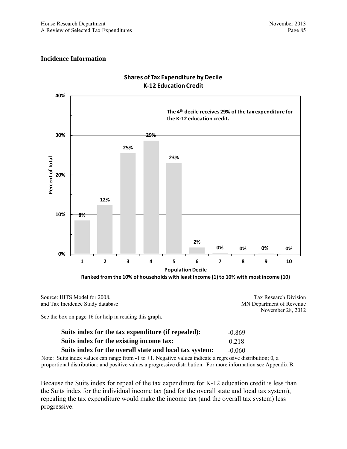#### **Incidence Information**



## **Shares of Tax Expenditure by Decile K‐12 Education Credit**

Source: HITS Model for 2008, and Tax Incidence Study database Tax Research Division MN Department of Revenue November 28, 2012

See the box on page 16 for help in reading this graph.

| Suits index for the tax expenditure (if repealed):      | -0.869   |
|---------------------------------------------------------|----------|
| Suits index for the existing income tax:                | 0.218    |
| Suits index for the overall state and local tax system: | $-0.060$ |

Note: Suits index values can range from -1 to +1. Negative values indicate a regressive distribution; 0, a proportional distribution; and positive values a progressive distribution. For more information see Appendix B.

Because the Suits index for repeal of the tax expenditure for K-12 education credit is less than the Suits index for the individual income tax (and for the overall state and local tax system), repealing the tax expenditure would make the income tax (and the overall tax system) less progressive.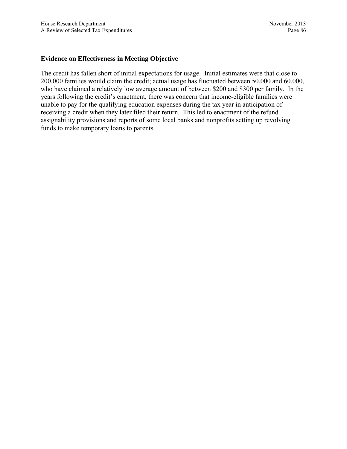#### **Evidence on Effectiveness in Meeting Objective**

The credit has fallen short of initial expectations for usage. Initial estimates were that close to 200,000 families would claim the credit; actual usage has fluctuated between 50,000 and 60,000, who have claimed a relatively low average amount of between \$200 and \$300 per family. In the years following the credit's enactment, there was concern that income-eligible families were unable to pay for the qualifying education expenses during the tax year in anticipation of receiving a credit when they later filed their return. This led to enactment of the refund assignability provisions and reports of some local banks and nonprofits setting up revolving funds to make temporary loans to parents.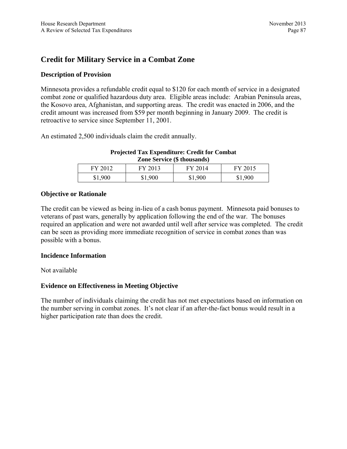# **Credit for Military Service in a Combat Zone**

# **Description of Provision**

Minnesota provides a refundable credit equal to \$120 for each month of service in a designated combat zone or qualified hazardous duty area. Eligible areas include: Arabian Peninsula areas, the Kosovo area, Afghanistan, and supporting areas. The credit was enacted in 2006, and the credit amount was increased from \$59 per month beginning in January 2009. The credit is retroactive to service since September 11, 2001.

An estimated 2,500 individuals claim the credit annually.

# **Projected Tax Expenditure: Credit for Combat Zone Service (\$ thousands)**

| FY 2012 | FY 2013 | FY 2014 | FY 2015 |
|---------|---------|---------|---------|
| \$1,900 | \$1,900 | \$1,900 | \$1,900 |

## **Objective or Rationale**

The credit can be viewed as being in-lieu of a cash bonus payment. Minnesota paid bonuses to veterans of past wars, generally by application following the end of the war. The bonuses required an application and were not awarded until well after service was completed. The credit can be seen as providing more immediate recognition of service in combat zones than was possible with a bonus.

# **Incidence Information**

Not available

# **Evidence on Effectiveness in Meeting Objective**

The number of individuals claiming the credit has not met expectations based on information on the number serving in combat zones. It's not clear if an after-the-fact bonus would result in a higher participation rate than does the credit.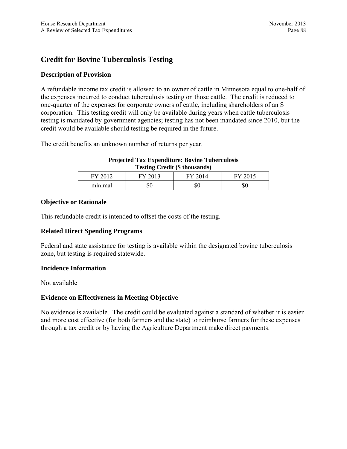# **Credit for Bovine Tuberculosis Testing**

## **Description of Provision**

A refundable income tax credit is allowed to an owner of cattle in Minnesota equal to one-half of the expenses incurred to conduct tuberculosis testing on those cattle. The credit is reduced to one-quarter of the expenses for corporate owners of cattle, including shareholders of an S corporation. This testing credit will only be available during years when cattle tuberculosis testing is mandated by government agencies; testing has not been mandated since 2010, but the credit would be available should testing be required in the future.

The credit benefits an unknown number of returns per year.

#### **Projected Tax Expenditure: Bovine Tuberculosis Testing Credit (\$ thousands)**

| <b>TIT</b><br>нv | ᠇᠇᠊ᡳ |    |    |
|------------------|------|----|----|
| minimal          | Φυ   | ΦU | ΦU |

## **Objective or Rationale**

This refundable credit is intended to offset the costs of the testing.

#### **Related Direct Spending Programs**

Federal and state assistance for testing is available within the designated bovine tuberculosis zone, but testing is required statewide.

#### **Incidence Information**

Not available

#### **Evidence on Effectiveness in Meeting Objective**

No evidence is available. The credit could be evaluated against a standard of whether it is easier and more cost effective (for both farmers and the state) to reimburse farmers for these expenses through a tax credit or by having the Agriculture Department make direct payments.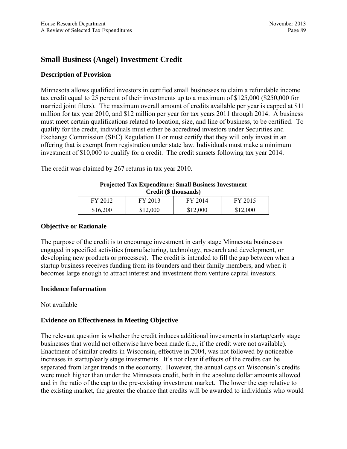# **Small Business (Angel) Investment Credit**

## **Description of Provision**

Minnesota allows qualified investors in certified small businesses to claim a refundable income tax credit equal to 25 percent of their investments up to a maximum of \$125,000 (\$250,000 for married joint filers). The maximum overall amount of credits available per year is capped at \$11 million for tax year 2010, and \$12 million per year for tax years 2011 through 2014. A business must meet certain qualifications related to location, size, and line of business, to be certified. To qualify for the credit, individuals must either be accredited investors under Securities and Exchange Commission (SEC) Regulation D or must certify that they will only invest in an offering that is exempt from registration under state law. Individuals must make a minimum investment of \$10,000 to qualify for a credit. The credit sunsets following tax year 2014.

The credit was claimed by 267 returns in tax year 2010.

#### **Projected Tax Expenditure: Small Business Investment Credit (\$ thousands)**

| FY 2012  | FY 2013  | FY 2014  | FY 2015  |
|----------|----------|----------|----------|
| \$16,200 | \$12,000 | \$12,000 | \$12,000 |

## **Objective or Rationale**

The purpose of the credit is to encourage investment in early stage Minnesota businesses engaged in specified activities (manufacturing, technology, research and development, or developing new products or processes). The credit is intended to fill the gap between when a startup business receives funding from its founders and their family members, and when it becomes large enough to attract interest and investment from venture capital investors.

#### **Incidence Information**

#### Not available

#### **Evidence on Effectiveness in Meeting Objective**

The relevant question is whether the credit induces additional investments in startup/early stage businesses that would not otherwise have been made (i.e., if the credit were not available). Enactment of similar credits in Wisconsin, effective in 2004, was not followed by noticeable increases in startup/early stage investments. It's not clear if effects of the credits can be separated from larger trends in the economy. However, the annual caps on Wisconsin's credits were much higher than under the Minnesota credit, both in the absolute dollar amounts allowed and in the ratio of the cap to the pre-existing investment market. The lower the cap relative to the existing market, the greater the chance that credits will be awarded to individuals who would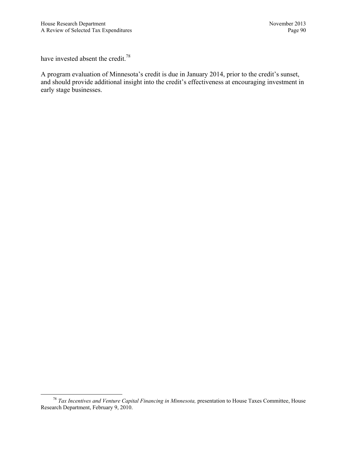have invested absent the credit.<sup>78</sup>

A program evaluation of Minnesota's credit is due in January 2014, prior to the credit's sunset, and should provide additional insight into the credit's effectiveness at encouraging investment in early stage businesses.

 <sup>78</sup> *Tax Incentives and Venture Capital Financing in Minnesota,* presentation to House Taxes Committee, House Research Department, February 9, 2010.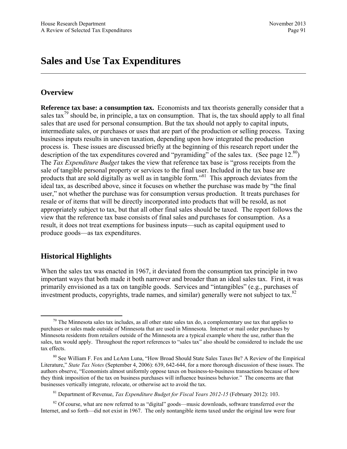# **Sales and Use Tax Expenditures**

# **Overview**

**Reference tax base: a consumption tax.** Economists and tax theorists generally consider that a sales tax<sup>79</sup> should be, in principle, a tax on consumption. That is, the tax should apply to all final sales that are used for personal consumption. But the tax should not apply to capital inputs, intermediate sales, or purchases or uses that are part of the production or selling process. Taxing business inputs results in uneven taxation, depending upon how integrated the production process is. These issues are discussed briefly at the beginning of this research report under the description of the tax expenditures covered and "pyramiding" of the sales tax. (See page  $12^{80}$ ) The *Tax Expenditure Budget* takes the view that reference tax base is "gross receipts from the sale of tangible personal property or services to the final user. Included in the tax base are products that are sold digitally as well as in tangible form."81 This approach deviates from the ideal tax, as described above, since it focuses on whether the purchase was made by "the final user," not whether the purchase was for consumption versus production. It treats purchases for resale or of items that will be directly incorporated into products that will be resold, as not appropriately subject to tax, but that all other final sales should be taxed. The report follows the view that the reference tax base consists of final sales and purchases for consumption. As a result, it does not treat exemptions for business inputs—such as capital equipment used to produce goods—as tax expenditures.

# **Historical Highlights**

When the sales tax was enacted in 1967, it deviated from the consumption tax principle in two important ways that both made it both narrower and broader than an ideal sales tax. First, it was primarily envisioned as a tax on tangible goods. Services and "intangibles" (e.g., purchases of investment products, copyrights, trade names, and similar) generally were not subject to tax. $82$ 

 $79$  The Minnesota sales tax includes, as all other state sales tax do, a complementary use tax that applies to purchases or sales made outside of Minnesota that are used in Minnesota. Internet or mail order purchases by Minnesota residents from retailers outside of the Minnesota are a typical example where the use, rather than the sales, tax would apply. Throughout the report references to "sales tax" also should be considered to include the use tax effects.

<sup>80</sup> See William F. Fox and LeAnn Luna, "How Broad Should State Sales Taxes Be? A Review of the Empirical Literature," *State Tax Notes* (September 4, 2006): 639, 642-644, for a more thorough discussion of these issues. The authors observe, "Economists almost uniformly oppose taxes on business-to-business transactions because of how they think imposition of the tax on business purchases will influence business behavior." The concerns are that businesses vertically integrate, relocate, or otherwise act to avoid the tax.

<sup>81</sup> Department of Revenue, *Tax Expenditure Budget for Fiscal Years 2012-15* (February 2012): 103.

<sup>&</sup>lt;sup>82</sup> Of course, what are now referred to as "digital" goods—music downloads, software transferred over the Internet, and so forth—did not exist in 1967. The only nontangible items taxed under the original law were four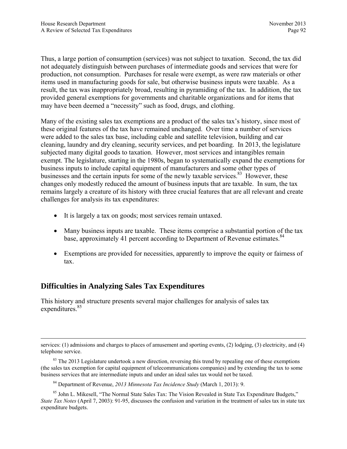Thus, a large portion of consumption (services) was not subject to taxation. Second, the tax did not adequately distinguish between purchases of intermediate goods and services that were for production, not consumption. Purchases for resale were exempt, as were raw materials or other items used in manufacturing goods for sale, but otherwise business inputs were taxable. As a result, the tax was inappropriately broad, resulting in pyramiding of the tax. In addition, the tax provided general exemptions for governments and charitable organizations and for items that may have been deemed a "necessity" such as food, drugs, and clothing.

Many of the existing sales tax exemptions are a product of the sales tax's history, since most of these original features of the tax have remained unchanged. Over time a number of services were added to the sales tax base, including cable and satellite television, building and car cleaning, laundry and dry cleaning, security services, and pet boarding. In 2013, the legislature subjected many digital goods to taxation. However, most services and intangibles remain exempt. The legislature, starting in the 1980s, began to systematically expand the exemptions for business inputs to include capital equipment of manufacturers and some other types of businesses and the certain inputs for some of the newly taxable services. $83$  However, these changes only modestly reduced the amount of business inputs that are taxable. In sum, the tax remains largely a creature of its history with three crucial features that are all relevant and create challenges for analysis its tax expenditures:

- It is largely a tax on goods; most services remain untaxed.
- Many business inputs are taxable. These items comprise a substantial portion of the tax base, approximately 41 percent according to Department of Revenue estimates.<sup>84</sup>
- Exemptions are provided for necessities, apparently to improve the equity or fairness of tax.

# **Difficulties in Analyzing Sales Tax Expenditures**

This history and structure presents several major challenges for analysis of sales tax expenditures.<sup>85</sup>

services: (1) admissions and charges to places of amusement and sporting events, (2) lodging, (3) electricity, and (4) telephone service.

 $83$  The 2013 Legislature undertook a new direction, reversing this trend by repealing one of these exemptions (the sales tax exemption for capital equipment of telecommunications companies) and by extending the tax to some business services that are intermediate inputs and under an ideal sales tax would not be taxed.

<sup>84</sup> Department of Revenue, *2013 Minnesota Tax Incidence Study* (March 1, 2013): 9.

<sup>&</sup>lt;sup>85</sup> John L. Mikesell, "The Normal State Sales Tax: The Vision Revealed in State Tax Expenditure Budgets," *State Tax Notes* (April 7, 2003): 91-95, discusses the confusion and variation in the treatment of sales tax in state tax expenditure budgets.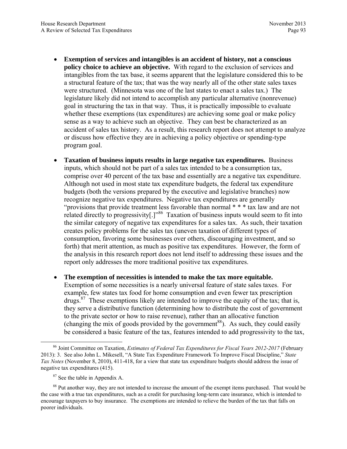- **Exemption of services and intangibles is an accident of history, not a conscious policy choice to achieve an objective.** With regard to the exclusion of services and intangibles from the tax base, it seems apparent that the legislature considered this to be a structural feature of the tax; that was the way nearly all of the other state sales taxes were structured. (Minnesota was one of the last states to enact a sales tax.) The legislature likely did not intend to accomplish any particular alternative (nonrevenue) goal in structuring the tax in that way. Thus, it is practically impossible to evaluate whether these exemptions (tax expenditures) are achieving some goal or make policy sense as a way to achieve such an objective. They can best be characterized as an accident of sales tax history. As a result, this research report does not attempt to analyze or discuss how effective they are in achieving a policy objective or spending-type program goal.
- **Taxation of business inputs results in large negative tax expenditures.** Business inputs, which should not be part of a sales tax intended to be a consumption tax, comprise over 40 percent of the tax base and essentially are a negative tax expenditure. Although not used in most state tax expenditure budgets, the federal tax expenditure budgets (both the versions prepared by the executive and legislative branches) now recognize negative tax expenditures. Negative tax expenditures are generally "provisions that provide treatment less favorable than normal \* \* \* tax law and are not related directly to progressivity[.]"<sup>86</sup> Taxation of business inputs would seem to fit into the similar category of negative tax expenditures for a sales tax. As such, their taxation creates policy problems for the sales tax (uneven taxation of different types of consumption, favoring some businesses over others, discouraging investment, and so forth) that merit attention, as much as positive tax expenditures. However, the form of the analysis in this research report does not lend itself to addressing these issues and the report only addresses the more traditional positive tax expenditures.
- **The exemption of necessities is intended to make the tax more equitable.**  Exemption of some necessities is a nearly universal feature of state sales taxes. For example, few states tax food for home consumption and even fewer tax prescription drugs.<sup>87</sup> These exemptions likely are intended to improve the equity of the tax; that is, they serve a distributive function (determining how to distribute the cost of government to the private sector or how to raise revenue), rather than an allocative function (changing the mix of goods provided by the government<sup>88</sup>). As such, they could easily be considered a basic feature of the tax, features intended to add progressivity to the tax,

 <sup>86</sup> Joint Committee on Taxation, *Estimates of Federal Tax Expenditures for Fiscal Years 2012-2017* (February 2013): 3. See also John L. Mikesell, "A State Tax Expenditure Framework To Improve Fiscal Discipline," *State Tax Notes* (November 8, 2010), 411-418, for a view that state tax expenditure budgets should address the issue of negative tax expenditures (415).

<sup>&</sup>lt;sup>87</sup> See the table in Appendix A.

<sup>&</sup>lt;sup>88</sup> Put another way, they are not intended to increase the amount of the exempt items purchased. That would be the case with a true tax expenditures, such as a credit for purchasing long-term care insurance, which is intended to encourage taxpayers to buy insurance. The exemptions are intended to relieve the burden of the tax that falls on poorer individuals.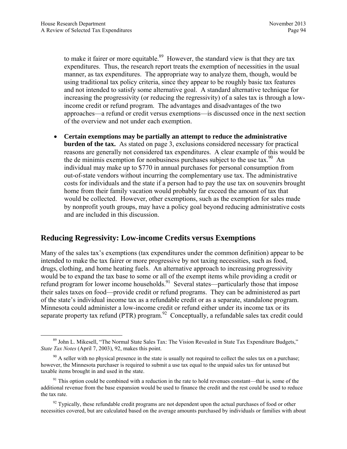to make it fairer or more equitable.<sup>89</sup> However, the standard view is that they are tax expenditures. Thus, the research report treats the exemption of necessities in the usual manner, as tax expenditures. The appropriate way to analyze them, though, would be using traditional tax policy criteria, since they appear to be roughly basic tax features and not intended to satisfy some alternative goal. A standard alternative technique for increasing the progressivity (or reducing the regressivity) of a sales tax is through a lowincome credit or refund program. The advantages and disadvantages of the two approaches—a refund or credit versus exemptions—is discussed once in the next section of the overview and not under each exemption.

 **Certain exemptions may be partially an attempt to reduce the administrative burden of the tax.** As stated on page 3, exclusions considered necessary for practical reasons are generally not considered tax expenditures. A clear example of this would be the de minimis exemption for nonbusiness purchases subject to the use tax.  $90^{\circ}$  An individual may make up to \$770 in annual purchases for personal consumption from out-of-state vendors without incurring the complementary use tax. The administrative costs for individuals and the state if a person had to pay the use tax on souvenirs brought home from their family vacation would probably far exceed the amount of tax that would be collected. However, other exemptions, such as the exemption for sales made by nonprofit youth groups, may have a policy goal beyond reducing administrative costs and are included in this discussion.

# **Reducing Regressivity: Low-income Credits versus Exemptions**

Many of the sales tax's exemptions (tax expenditures under the common definition) appear to be intended to make the tax fairer or more progressive by not taxing necessities, such as food, drugs, clothing, and home heating fuels. An alternative approach to increasing progressivity would be to expand the tax base to some or all of the exempt items while providing a credit or refund program for lower income households.<sup>91</sup> Several states—particularly those that impose their sales taxes on food—provide credit or refund programs. They can be administered as part of the state's individual income tax as a refundable credit or as a separate, standalone program. Minnesota could administer a low-income credit or refund either under its income tax or its separate property tax refund (PTR) program.<sup>92</sup> Conceptually, a refundable sales tax credit could

 <sup>89</sup> John L. Mikesell, "The Normal State Sales Tax: The Vision Revealed in State Tax Expenditure Budgets," *State Tax Notes* (April 7, 2003), 92, makes this point.

 $90$  A seller with no physical presence in the state is usually not required to collect the sales tax on a purchase; however, the Minnesota purchaser is required to submit a use tax equal to the unpaid sales tax for untaxed but taxable items brought in and used in the state.

 $91$  This option could be combined with a reduction in the rate to hold revenues constant—that is, some of the additional revenue from the base expansion would be used to finance the credit and the rest could be used to reduce the tax rate.

 $92$  Typically, these refundable credit programs are not dependent upon the actual purchases of food or other necessities covered, but are calculated based on the average amounts purchased by individuals or families with about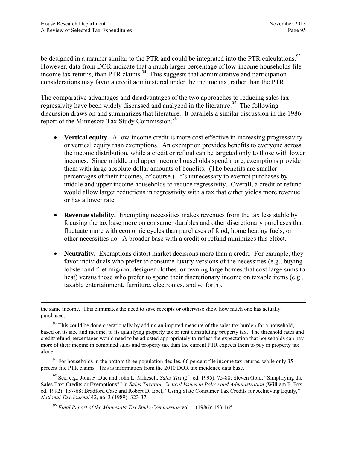be designed in a manner similar to the PTR and could be integrated into the PTR calculations.<sup>93</sup> However, data from DOR indicate that a much larger percentage of low-income households file income tax returns, than PTR claims.<sup>94</sup> This suggests that administrative and participation considerations may favor a credit administered under the income tax, rather than the PTR.

The comparative advantages and disadvantages of the two approaches to reducing sales tax regressivity have been widely discussed and analyzed in the literature.<sup>95</sup> The following discussion draws on and summarizes that literature. It parallels a similar discussion in the 1986 report of the Minnesota Tax Study Commission.<sup>96</sup>

- **Vertical equity.** A low-income credit is more cost effective in increasing progressivity or vertical equity than exemptions. An exemption provides benefits to everyone across the income distribution, while a credit or refund can be targeted only to those with lower incomes. Since middle and upper income households spend more, exemptions provide them with large absolute dollar amounts of benefits. (The benefits are smaller percentages of their incomes, of course.) It's unnecessary to exempt purchases by middle and upper income households to reduce regressivity. Overall, a credit or refund would allow larger reductions in regressivity with a tax that either yields more revenue or has a lower rate.
- **Revenue stability.** Exempting necessities makes revenues from the tax less stable by focusing the tax base more on consumer durables and other discretionary purchases that fluctuate more with economic cycles than purchases of food, home heating fuels, or other necessities do. A broader base with a credit or refund minimizes this effect.
- Neutrality. Exemptions distort market decisions more than a credit. For example, they favor individuals who prefer to consume luxury versions of the necessities (e.g., buying lobster and filet mignon, designer clothes, or owning large homes that cost large sums to heat) versus those who prefer to spend their discretionary income on taxable items (e.g., taxable entertainment, furniture, electronics, and so forth).

 $94$  For households in the bottom three population deciles, 66 percent file income tax returns, while only 35 percent file PTR claims. This is information from the 2010 DOR tax incidence data base.

<sup>95</sup> See, e.g., John F. Due and John L. Mikesell, *Sales Tax* (2<sup>nd</sup> ed. 1995): 75-88; Steven Gold, "Simplifying the Sales Tax: Credits or Exemptions?" in *Sales Taxation Critical Issues in Policy and Administration* (William F. Fox, ed. 1992): 157-68; Bradford Case and Robert D. Ebel, "Using State Consumer Tax Credits for Achieving Equity," *National Tax Journal* 42, no. 3 (1989): 323-37.

<sup>96</sup> *Final Report of the Minnesota Tax Study Commission* vol. 1 (1986): 153-165.

the same income. This eliminates the need to save receipts or otherwise show how much one has actually purchased.

 $93$  This could be done operationally by adding an imputed measure of the sales tax burden for a household, based on its size and income, to its qualifying property tax or rent constituting property tax. The threshold rates and credit/refund percentages would need to be adjusted appropriately to reflect the expectation that households can pay more of their income in combined sales and property tax than the current PTR expects them to pay in property tax alone.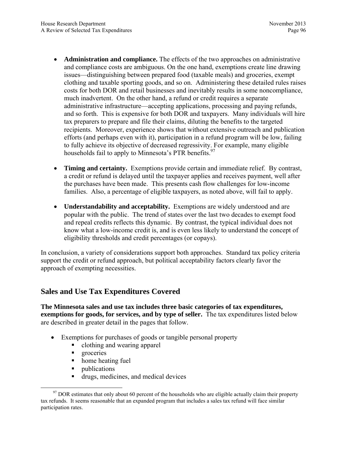- **Administration and compliance.** The effects of the two approaches on administrative and compliance costs are ambiguous. On the one hand, exemptions create line drawing issues—distinguishing between prepared food (taxable meals) and groceries, exempt clothing and taxable sporting goods, and so on. Administering these detailed rules raises costs for both DOR and retail businesses and inevitably results in some noncompliance, much inadvertent. On the other hand, a refund or credit requires a separate administrative infrastructure—accepting applications, processing and paying refunds, and so forth. This is expensive for both DOR and taxpayers. Many individuals will hire tax preparers to prepare and file their claims, diluting the benefits to the targeted recipients. Moreover, experience shows that without extensive outreach and publication efforts (and perhaps even with it), participation in a refund program will be low, failing to fully achieve its objective of decreased regressivity. For example, many eligible households fail to apply to Minnesota's PTR benefits.<sup>97</sup>
- **Timing and certainty.** Exemptions provide certain and immediate relief. By contrast, a credit or refund is delayed until the taxpayer applies and receives payment, well after the purchases have been made. This presents cash flow challenges for low-income families. Also, a percentage of eligible taxpayers, as noted above, will fail to apply.
- **Understandability and acceptability.** Exemptions are widely understood and are popular with the public. The trend of states over the last two decades to exempt food and repeal credits reflects this dynamic. By contrast, the typical individual does not know what a low-income credit is, and is even less likely to understand the concept of eligibility thresholds and credit percentages (or copays).

In conclusion, a variety of considerations support both approaches. Standard tax policy criteria support the credit or refund approach, but political acceptability factors clearly favor the approach of exempting necessities.

# **Sales and Use Tax Expenditures Covered**

**The Minnesota sales and use tax includes three basic categories of tax expenditures, exemptions for goods, for services, and by type of seller.** The tax expenditures listed below are described in greater detail in the pages that follow.

- Exemptions for purchases of goods or tangible personal property
	- clothing and wearing apparel
	- **q** groceries
	- home heating fuel
	- ublications
	- drugs, medicines, and medical devices

 $97$  DOR estimates that only about 60 percent of the households who are eligible actually claim their property tax refunds. It seems reasonable that an expanded program that includes a sales tax refund will face similar participation rates.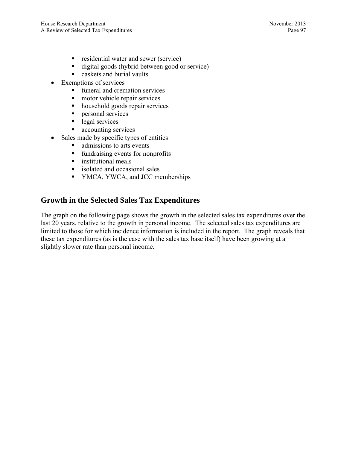- **residential water and sewer (service)**
- digital goods (hybrid between good or service)
- **Exercise** caskets and burial vaults
- Exemptions of services
	- **funeral and cremation services**
	- **n** motor vehicle repair services
	- household goods repair services
	- **personal services**
	- legal services
	- **accounting services**
- Sales made by specific types of entities
	- admissions to arts events
	- fundraising events for nonprofits
	- **n** institutional meals
	- isolated and occasional sales
	- YMCA, YWCA, and JCC memberships

# **Growth in the Selected Sales Tax Expenditures**

The graph on the following page shows the growth in the selected sales tax expenditures over the last 20 years, relative to the growth in personal income. The selected sales tax expenditures are limited to those for which incidence information is included in the report. The graph reveals that these tax expenditures (as is the case with the sales tax base itself) have been growing at a slightly slower rate than personal income.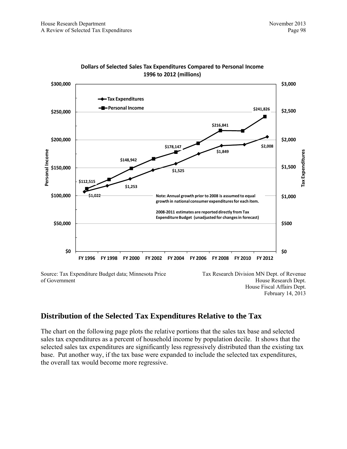

**Dollars of Selected Sales Tax Expenditures Compared to Personal Income 1996 to 2012 (millions) 1996 to 2012 (millions)**

Source: Tax Expenditure Budget data; Minnesota Price of Government

Tax Research Division MN Dept. of Revenue House Research Dept. House Fiscal Affairs Dept. February 14, 2013

# **Distribution of the Selected Tax Expenditures Relative to the Tax**

The chart on the following page plots the relative portions that the sales tax base and selected sales tax expenditures as a percent of household income by population decile. It shows that the selected sales tax expenditures are significantly less regressively distributed than the existing tax base. Put another way, if the tax base were expanded to include the selected tax expenditures, the overall tax would become more regressive.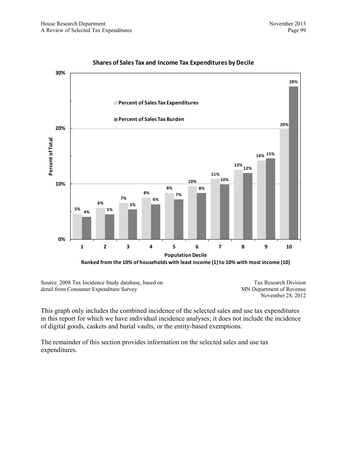

#### **Shares of Sales Tax and Income Tax Expenditures by Decile**

Source: 2008 Tax Incidence Study database, based on detail from Consumer Expenditure Survey

Tax Research Division MN Department of Revenue November 28, 2012

This graph only includes the combined incidence of the selected sales and use tax expenditures in this report for which we have individual incidence analyses; it does not include the incidence of digital goods, caskets and burial vaults, or the entity-based exemptions.

The remainder of this section provides information on the selected sales and use tax expenditures.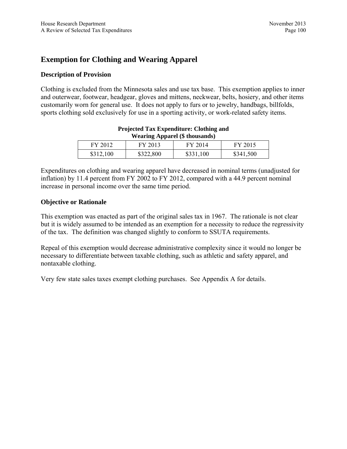# **Exemption for Clothing and Wearing Apparel**

## **Description of Provision**

Clothing is excluded from the Minnesota sales and use tax base. This exemption applies to inner and outerwear, footwear, headgear, gloves and mittens, neckwear, belts, hosiery, and other items customarily worn for general use. It does not apply to furs or to jewelry, handbags, billfolds, sports clothing sold exclusively for use in a sporting activity, or work-related safety items.

| Wearing Apparel (\$ thousands) |           |           |           |
|--------------------------------|-----------|-----------|-----------|
| FY 2012                        | FY 2013   | FY 2014   | FY 2015   |
| \$312,100                      | \$322,800 | \$331,100 | \$341,500 |

#### **Projected Tax Expenditure: Clothing and Wearing Apparel (\$ thousands)**

Expenditures on clothing and wearing apparel have decreased in nominal terms (unadjusted for inflation) by 11.4 percent from FY 2002 to FY 2012, compared with a 44.9 percent nominal increase in personal income over the same time period.

#### **Objective or Rationale**

This exemption was enacted as part of the original sales tax in 1967. The rationale is not clear but it is widely assumed to be intended as an exemption for a necessity to reduce the regressivity of the tax. The definition was changed slightly to conform to SSUTA requirements.

Repeal of this exemption would decrease administrative complexity since it would no longer be necessary to differentiate between taxable clothing, such as athletic and safety apparel, and nontaxable clothing.

Very few state sales taxes exempt clothing purchases. See Appendix A for details.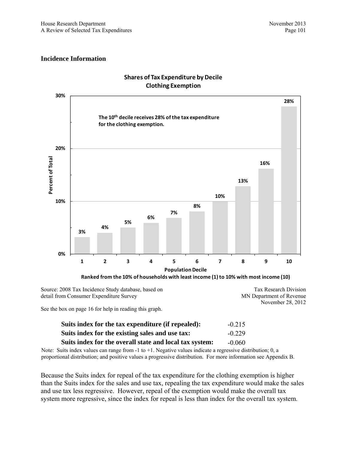MN Department of Revenue

November 28, 2012

#### **Incidence Information**



## **Shares of Tax Expenditure by Decile Clothing Exemption**

Source: 2008 Tax Incidence Study database, based on detail from Consumer Expenditure Survey

See the box on page 16 for help in reading this graph.

| Suits index for the tax expenditure (if repealed):      | $-0.215$ |
|---------------------------------------------------------|----------|
| Suits index for the existing sales and use tax:         | $-0.229$ |
| Suits index for the overall state and local tax system: | $-0.060$ |

Note: Suits index values can range from  $-1$  to  $+1$ . Negative values indicate a regressive distribution; 0, a proportional distribution; and positive values a progressive distribution. For more information see Appendix B.

Because the Suits index for repeal of the tax expenditure for the clothing exemption is higher than the Suits index for the sales and use tax, repealing the tax expenditure would make the sales and use tax less regressive. However, repeal of the exemption would make the overall tax system more regressive, since the index for repeal is less than index for the overall tax system.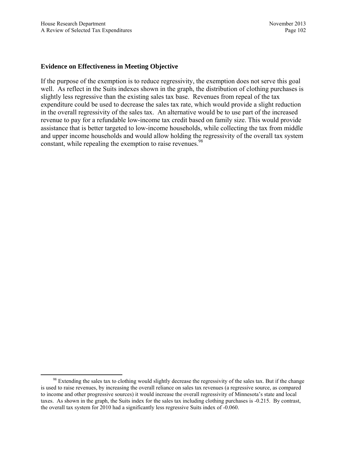#### **Evidence on Effectiveness in Meeting Objective**

If the purpose of the exemption is to reduce regressivity, the exemption does not serve this goal well. As reflect in the Suits indexes shown in the graph, the distribution of clothing purchases is slightly less regressive than the existing sales tax base. Revenues from repeal of the tax expenditure could be used to decrease the sales tax rate, which would provide a slight reduction in the overall regressivity of the sales tax. An alternative would be to use part of the increased revenue to pay for a refundable low-income tax credit based on family size. This would provide assistance that is better targeted to low-income households, while collecting the tax from middle and upper income households and would allow holding the regressivity of the overall tax system constant, while repealing the exemption to raise revenues.<sup>98</sup>

 $98$  Extending the sales tax to clothing would slightly decrease the regressivity of the sales tax. But if the change is used to raise revenues, by increasing the overall reliance on sales tax revenues (a regressive source, as compared to income and other progressive sources) it would increase the overall regressivity of Minnesota's state and local taxes. As shown in the graph, the Suits index for the sales tax including clothing purchases is -0.215. By contrast, the overall tax system for 2010 had a significantly less regressive Suits index of -0.060.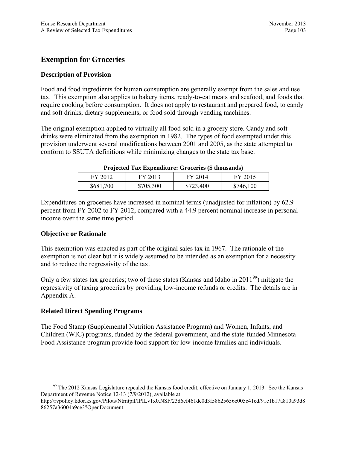# **Exemption for Groceries**

## **Description of Provision**

Food and food ingredients for human consumption are generally exempt from the sales and use tax. This exemption also applies to bakery items, ready-to-eat meats and seafood, and foods that require cooking before consumption. It does not apply to restaurant and prepared food, to candy and soft drinks, dietary supplements, or food sold through vending machines.

The original exemption applied to virtually all food sold in a grocery store. Candy and soft drinks were eliminated from the exemption in 1982. The types of food exempted under this provision underwent several modifications between 2001 and 2005, as the state attempted to conform to SSUTA definitions while minimizing changes to the state tax base.

| FY 2012   | FY 2013   | FY 2014   | FY 2015   |
|-----------|-----------|-----------|-----------|
| \$681,700 | \$705,300 | \$723,400 | \$746,100 |

#### **Projected Tax Expenditure: Groceries (\$ thousands)**

Expenditures on groceries have increased in nominal terms (unadjusted for inflation) by 62.9 percent from FY 2002 to FY 2012, compared with a 44.9 percent nominal increase in personal income over the same time period.

### **Objective or Rationale**

This exemption was enacted as part of the original sales tax in 1967. The rationale of the exemption is not clear but it is widely assumed to be intended as an exemption for a necessity and to reduce the regressivity of the tax.

Only a few states tax groceries; two of these states (Kansas and Idaho in 2011<sup>99</sup>) mitigate the regressivity of taxing groceries by providing low-income refunds or credits. The details are in Appendix A.

## **Related Direct Spending Programs**

The Food Stamp (Supplemental Nutrition Assistance Program) and Women, Infants, and Children (WIC) programs, funded by the federal government, and the state-funded Minnesota Food Assistance program provide food support for low-income families and individuals.

<sup>&</sup>lt;sup>99</sup> The 2012 Kansas Legislature repealed the Kansas food credit, effective on January 1, 2013. See the Kansas Department of Revenue Notice 12-13 (7/9/2012), available at:

http://rvpolicy.kdor.ks.gov/Pilots/Ntrntpil/IPILv1x0.NSF/23d6cf461dc0d3f58625656e005c41cd/91e1b17a810a93d8 86257a36004a9ce3?OpenDocument.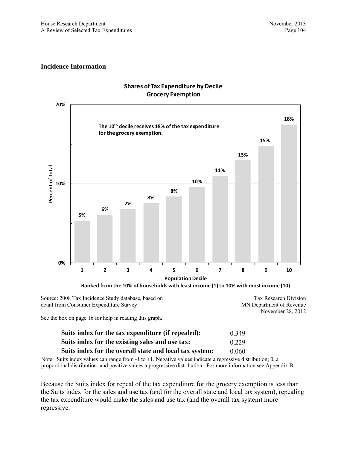

### **Shares of Tax Expenditure by Decile Grocery Exemption**

Source: 2008 Tax Incidence Study database, based on detail from Consumer Expenditure Survey Tax Research Division MN Department of Revenue November 28, 2012

See the box on page 16 for help in reading this graph.

| Suits index for the tax expenditure (if repealed):      | $-0.349$ |
|---------------------------------------------------------|----------|
| Suits index for the existing sales and use tax:         | $-0.229$ |
| Suits index for the overall state and local tax system: | $-0.060$ |

Note: Suits index values can range from  $-1$  to  $+1$ . Negative values indicate a regressive distribution; 0, a proportional distribution; and positive values a progressive distribution. For more information see Appendix B.

Because the Suits index for repeal of the tax expenditure for the grocery exemption is less than the Suits index for the sales and use tax (and for the overall state and local tax system), repealing the tax expenditure would make the sales and use tax (and the overall tax system) more regressive.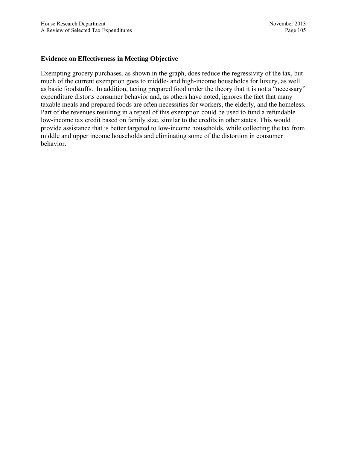### **Evidence on Effectiveness in Meeting Objective**

Exempting grocery purchases, as shown in the graph, does reduce the regressivity of the tax, but much of the current exemption goes to middle- and high-income households for luxury, as well as basic foodstuffs. In addition, taxing prepared food under the theory that it is not a "necessary" expenditure distorts consumer behavior and, as others have noted, ignores the fact that many taxable meals and prepared foods are often necessities for workers, the elderly, and the homeless. Part of the revenues resulting in a repeal of this exemption could be used to fund a refundable low-income tax credit based on family size, similar to the credits in other states. This would provide assistance that is better targeted to low-income households, while collecting the tax from middle and upper income households and eliminating some of the distortion in consumer behavior.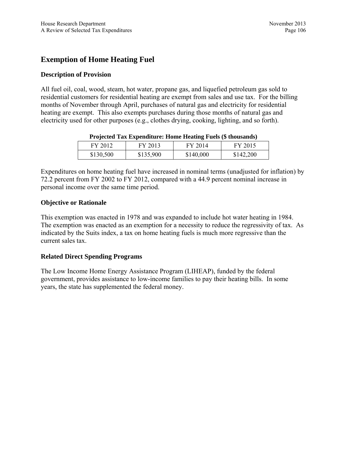# **Exemption of Home Heating Fuel**

## **Description of Provision**

All fuel oil, coal, wood, steam, hot water, propane gas, and liquefied petroleum gas sold to residential customers for residential heating are exempt from sales and use tax. For the billing months of November through April, purchases of natural gas and electricity for residential heating are exempt. This also exempts purchases during those months of natural gas and electricity used for other purposes (e.g., clothes drying, cooking, lighting, and so forth).

|           |           | Trojected Tax Expenditure. Home Heating Pues (9 thousands) |           |
|-----------|-----------|------------------------------------------------------------|-----------|
| FY 2012   | FY 2013   | FY 2014                                                    | FY 2015   |
| \$130,500 | \$135,900 | \$140,000                                                  | \$142.200 |

| Projected Tax Expenditure: Home Heating Fuels (\$ thousands) |
|--------------------------------------------------------------|
|--------------------------------------------------------------|

Expenditures on home heating fuel have increased in nominal terms (unadjusted for inflation) by 72.2 percent from FY 2002 to FY 2012, compared with a 44.9 percent nominal increase in personal income over the same time period.

## **Objective or Rationale**

This exemption was enacted in 1978 and was expanded to include hot water heating in 1984. The exemption was enacted as an exemption for a necessity to reduce the regressivity of tax. As indicated by the Suits index, a tax on home heating fuels is much more regressive than the current sales tax.

## **Related Direct Spending Programs**

The Low Income Home Energy Assistance Program (LIHEAP), funded by the federal government, provides assistance to low-income families to pay their heating bills. In some years, the state has supplemented the federal money.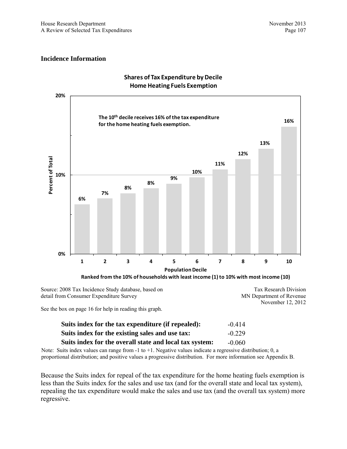

### **Shares of Tax Expenditure by Decile Home Heating Fuels Exemption**

Source: 2008 Tax Incidence Study database, based on detail from Consumer Expenditure Survey

Tax Research Division MN Department of Revenue November 12, 2012

See the box on page 16 for help in reading this graph.

| Suits index for the tax expenditure (if repealed):      | $-0.414$ |
|---------------------------------------------------------|----------|
| Suits index for the existing sales and use tax:         | $-0.229$ |
| Suits index for the overall state and local tax system: | $-0.060$ |

Note: Suits index values can range from  $-1$  to  $+1$ . Negative values indicate a regressive distribution; 0, a proportional distribution; and positive values a progressive distribution. For more information see Appendix B.

Because the Suits index for repeal of the tax expenditure for the home heating fuels exemption is less than the Suits index for the sales and use tax (and for the overall state and local tax system), repealing the tax expenditure would make the sales and use tax (and the overall tax system) more regressive.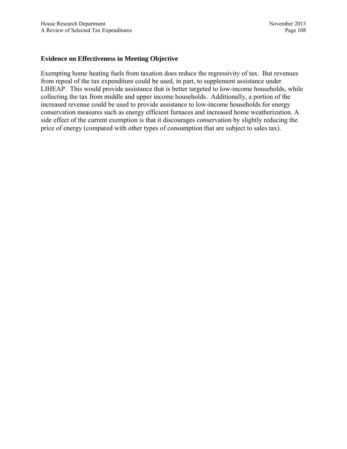### **Evidence on Effectiveness in Meeting Objective**

Exempting home heating fuels from taxation does reduce the regressivity of tax. But revenues from repeal of the tax expenditure could be used, in part, to supplement assistance under LIHEAP. This would provide assistance that is better targeted to low-income households, while collecting the tax from middle and upper income households. Additionally, a portion of the increased revenue could be used to provide assistance to low-income households for energy conservation measures such as energy efficient furnaces and increased home weatherization. A side effect of the current exemption is that it discourages conservation by slightly reducing the price of energy (compared with other types of consumption that are subject to sales tax).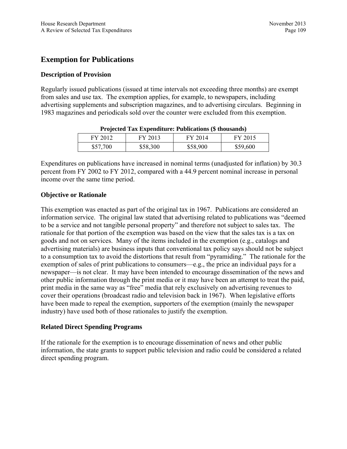# **Exemption for Publications**

## **Description of Provision**

Regularly issued publications (issued at time intervals not exceeding three months) are exempt from sales and use tax. The exemption applies, for example, to newspapers, including advertising supplements and subscription magazines, and to advertising circulars. Beginning in 1983 magazines and periodicals sold over the counter were excluded from this exemption.

| $110$ Jected Tax Expenditure: I ablied to the chomomorphic |          |          |          |
|------------------------------------------------------------|----------|----------|----------|
| FY 2012                                                    | FY 2013  | FY 2014  | FY 2015  |
| \$57,700                                                   | \$58,300 | \$58,900 | \$59,600 |

| <b>Projected Tax Expenditure: Publications (\$ thousands)</b> |  |  |  |
|---------------------------------------------------------------|--|--|--|
|                                                               |  |  |  |

Expenditures on publications have increased in nominal terms (unadjusted for inflation) by 30.3 percent from FY 2002 to FY 2012, compared with a 44.9 percent nominal increase in personal income over the same time period.

## **Objective or Rationale**

This exemption was enacted as part of the original tax in 1967. Publications are considered an information service. The original law stated that advertising related to publications was "deemed to be a service and not tangible personal property" and therefore not subject to sales tax. The rationale for that portion of the exemption was based on the view that the sales tax is a tax on goods and not on services. Many of the items included in the exemption (e.g., catalogs and advertising materials) are business inputs that conventional tax policy says should not be subject to a consumption tax to avoid the distortions that result from "pyramiding." The rationale for the exemption of sales of print publications to consumers—e.g., the price an individual pays for a newspaper—is not clear. It may have been intended to encourage dissemination of the news and other public information through the print media or it may have been an attempt to treat the paid, print media in the same way as "free" media that rely exclusively on advertising revenues to cover their operations (broadcast radio and television back in 1967). When legislative efforts have been made to repeal the exemption, supporters of the exemption (mainly the newspaper industry) have used both of those rationales to justify the exemption.

## **Related Direct Spending Programs**

If the rationale for the exemption is to encourage dissemination of news and other public information, the state grants to support public television and radio could be considered a related direct spending program.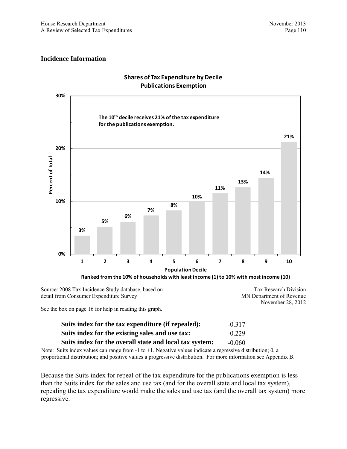

### **Shares of Tax Expenditure by Decile Publications Exemption**

Source: 2008 Tax Incidence Study database, based on detail from Consumer Expenditure Survey

Tax Research Division MN Department of Revenue November 28, 2012

See the box on page 16 for help in reading this graph.

| Suits index for the tax expenditure (if repealed):      | $-0.317$ |
|---------------------------------------------------------|----------|
| Suits index for the existing sales and use tax:         | $-0.229$ |
| Suits index for the overall state and local tax system: | $-0.060$ |

Note: Suits index values can range from  $-1$  to  $+1$ . Negative values indicate a regressive distribution; 0, a proportional distribution; and positive values a progressive distribution. For more information see Appendix B.

Because the Suits index for repeal of the tax expenditure for the publications exemption is less than the Suits index for the sales and use tax (and for the overall state and local tax system), repealing the tax expenditure would make the sales and use tax (and the overall tax system) more regressive.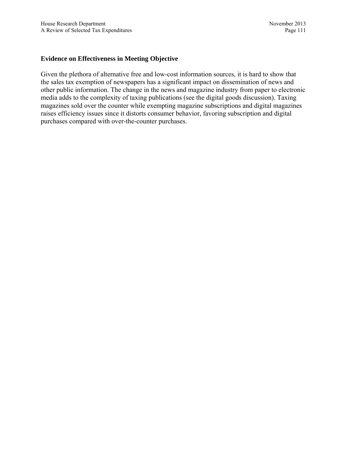## **Evidence on Effectiveness in Meeting Objective**

Given the plethora of alternative free and low-cost information sources, it is hard to show that the sales tax exemption of newspapers has a significant impact on dissemination of news and other public information. The change in the news and magazine industry from paper to electronic media adds to the complexity of taxing publications (see the digital goods discussion). Taxing magazines sold over the counter while exempting magazine subscriptions and digital magazines raises efficiency issues since it distorts consumer behavior, favoring subscription and digital purchases compared with over-the-counter purchases.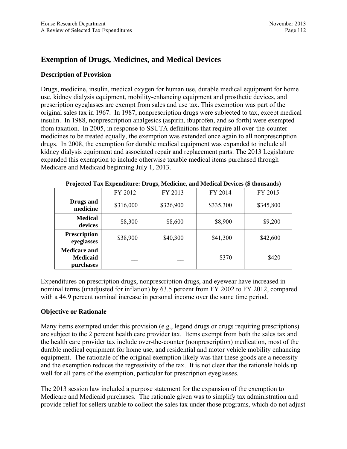# **Exemption of Drugs, Medicines, and Medical Devices**

## **Description of Provision**

Drugs, medicine, insulin, medical oxygen for human use, durable medical equipment for home use, kidney dialysis equipment, mobility-enhancing equipment and prosthetic devices, and prescription eyeglasses are exempt from sales and use tax. This exemption was part of the original sales tax in 1967. In 1987, nonprescription drugs were subjected to tax, except medical insulin. In 1988, nonprescription analgesics (aspirin, ibuprofen, and so forth) were exempted from taxation. In 2005, in response to SSUTA definitions that require all over-the-counter medicines to be treated equally, the exemption was extended once again to all nonprescription drugs. In 2008, the exemption for durable medical equipment was expanded to include all kidney dialysis equipment and associated repair and replacement parts. The 2013 Legislature expanded this exemption to include otherwise taxable medical items purchased through Medicare and Medicaid beginning July 1, 2013.

|                                                     | FY 2012   | FY 2013   | FY 2014   | FY 2015   |
|-----------------------------------------------------|-----------|-----------|-----------|-----------|
| Drugs and<br>medicine                               | \$316,000 | \$326,900 | \$335,300 | \$345,800 |
| <b>Medical</b><br>devices                           | \$8,300   | \$8,600   | \$8,900   | \$9,200   |
| <b>Prescription</b><br>eyeglasses                   | \$38,900  | \$40,300  | \$41,300  | \$42,600  |
| <b>Medicare and</b><br><b>Medicaid</b><br>purchases |           |           | \$370     | \$420     |

Expenditures on prescription drugs, nonprescription drugs, and eyewear have increased in nominal terms (unadjusted for inflation) by 63.5 percent from FY 2002 to FY 2012, compared with a 44.9 percent nominal increase in personal income over the same time period.

## **Objective or Rationale**

Many items exempted under this provision (e.g., legend drugs or drugs requiring prescriptions) are subject to the 2 percent health care provider tax. Items exempt from both the sales tax and the health care provider tax include over-the-counter (nonprescription) medication, most of the durable medical equipment for home use, and residential and motor vehicle mobility enhancing equipment. The rationale of the original exemption likely was that these goods are a necessity and the exemption reduces the regressivity of the tax. It is not clear that the rationale holds up well for all parts of the exemption, particular for prescription eyeglasses.

The 2013 session law included a purpose statement for the expansion of the exemption to Medicare and Medicaid purchases. The rationale given was to simplify tax administration and provide relief for sellers unable to collect the sales tax under those programs, which do not adjust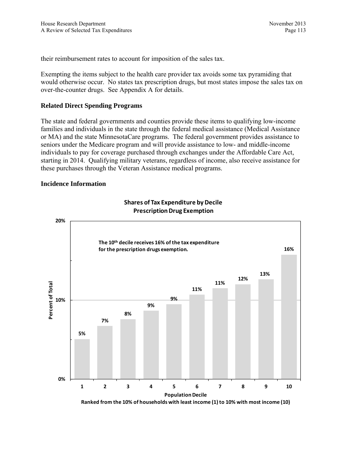their reimbursement rates to account for imposition of the sales tax.

Exempting the items subject to the health care provider tax avoids some tax pyramiding that would otherwise occur. No states tax prescription drugs, but most states impose the sales tax on over-the-counter drugs. See Appendix A for details.

## **Related Direct Spending Programs**

The state and federal governments and counties provide these items to qualifying low-income families and individuals in the state through the federal medical assistance (Medical Assistance or MA) and the state MinnesotaCare programs. The federal government provides assistance to seniors under the Medicare program and will provide assistance to low- and middle-income individuals to pay for coverage purchased through exchanges under the Affordable Care Act, starting in 2014. Qualifying military veterans, regardless of income, also receive assistance for these purchases through the Veteran Assistance medical programs.

### **Incidence Information**



## **Shares of Tax Expenditure by Decile Prescription Drug Exemption**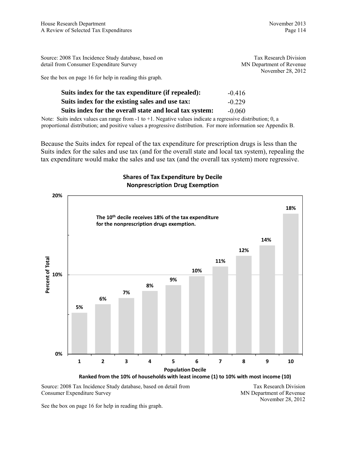| Source: 2008 Tax Incidence Study database, based on    | Tax Research Division    |
|--------------------------------------------------------|--------------------------|
| detail from Consumer Expenditure Survey                | MN Department of Revenue |
|                                                        | November 28, 2012        |
| See the box on page 16 for help in reading this graph. |                          |
|                                                        |                          |
| Suits index for the tax expenditure (if repealed):     | $-0.416$                 |

**Suits index for the overall state and local tax system:** -0.060 Note: Suits index values can range from -1 to +1. Negative values indicate a regressive distribution; 0, a proportional distribution; and positive values a progressive distribution. For more information see Appendix B.

**Suits index for the existing sales and use tax:** -0.229

Because the Suits index for repeal of the tax expenditure for prescription drugs is less than the Suits index for the sales and use tax (and for the overall state and local tax system), repealing the tax expenditure would make the sales and use tax (and the overall tax system) more regressive.

## **Shares of Tax Expenditure by Decile Nonprescription Drug Exemption**



Source: 2008 Tax Incidence Study database, based on detail from Consumer Expenditure Survey

Tax Research Division MN Department of Revenue November 28, 2012

See the box on page 16 for help in reading this graph.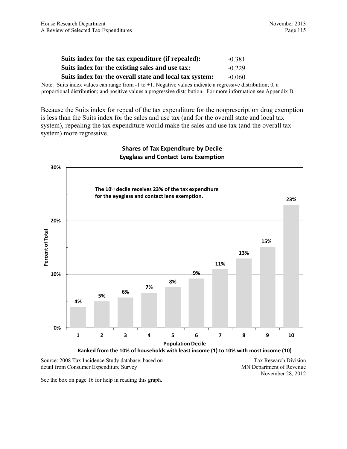| Suits index for the tax expenditure (if repealed):      | $-0.381$ |
|---------------------------------------------------------|----------|
| Suits index for the existing sales and use tax:         | $-0.229$ |
| Suits index for the overall state and local tax system: | $-0.060$ |

Note: Suits index values can range from -1 to +1. Negative values indicate a regressive distribution; 0, a proportional distribution; and positive values a progressive distribution. For more information see Appendix B.

Because the Suits index for repeal of the tax expenditure for the nonprescription drug exemption is less than the Suits index for the sales and use tax (and for the overall state and local tax system), repealing the tax expenditure would make the sales and use tax (and the overall tax system) more regressive.



## **Shares of Tax Expenditure by Decile Eyeglass and Contact Lens Exemption**

Source: 2008 Tax Incidence Study database, based on detail from Consumer Expenditure Survey

Tax Research Division MN Department of Revenue November 28, 2012

See the box on page 16 for help in reading this graph.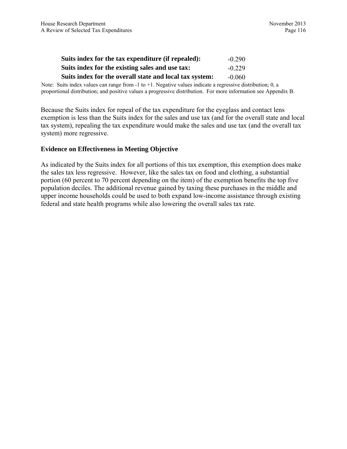| Suits index for the tax expenditure (if repealed):      | $-0.290$ |
|---------------------------------------------------------|----------|
| Suits index for the existing sales and use tax:         | $-0.229$ |
| Suits index for the overall state and local tax system: | $-0.060$ |

Note: Suits index values can range from  $-1$  to  $+1$ . Negative values indicate a regressive distribution; 0, a proportional distribution; and positive values a progressive distribution. For more information see Appendix B.

Because the Suits index for repeal of the tax expenditure for the eyeglass and contact lens exemption is less than the Suits index for the sales and use tax (and for the overall state and local tax system), repealing the tax expenditure would make the sales and use tax (and the overall tax system) more regressive.

#### **Evidence on Effectiveness in Meeting Objective**

As indicated by the Suits index for all portions of this tax exemption, this exemption does make the sales tax less regressive. However, like the sales tax on food and clothing, a substantial portion (60 percent to 70 percent depending on the item) of the exemption benefits the top five population deciles. The additional revenue gained by taxing these purchases in the middle and upper income households could be used to both expand low-income assistance through existing federal and state health programs while also lowering the overall sales tax rate.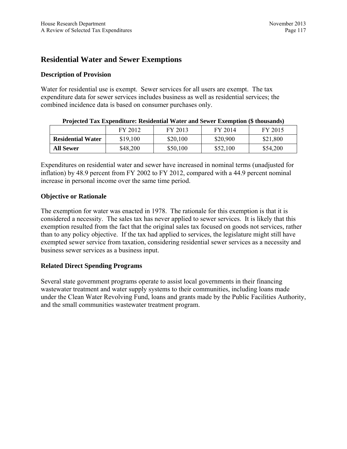# **Residential Water and Sewer Exemptions**

### **Description of Provision**

Water for residential use is exempt. Sewer services for all users are exempt. The tax expenditure data for sewer services includes business as well as residential services; the combined incidence data is based on consumer purchases only.

|                          | --------- |          |          |          |
|--------------------------|-----------|----------|----------|----------|
|                          | FY 2012   | FY 2013  | FY 2014  | FY 2015  |
| <b>Residential Water</b> | \$19,100  | \$20,100 | \$20,900 | \$21,800 |
| <b>All Sewer</b>         | \$48,200  | \$50,100 | \$52,100 | \$54,200 |

**Projected Tax Expenditure: Residential Water and Sewer Exemption (\$ thousands)** 

Expenditures on residential water and sewer have increased in nominal terms (unadjusted for inflation) by 48.9 percent from FY 2002 to FY 2012, compared with a 44.9 percent nominal increase in personal income over the same time period.

## **Objective or Rationale**

The exemption for water was enacted in 1978. The rationale for this exemption is that it is considered a necessity. The sales tax has never applied to sewer services. It is likely that this exemption resulted from the fact that the original sales tax focused on goods not services, rather than to any policy objective. If the tax had applied to services, the legislature might still have exempted sewer service from taxation, considering residential sewer services as a necessity and business sewer services as a business input.

## **Related Direct Spending Programs**

Several state government programs operate to assist local governments in their financing wastewater treatment and water supply systems to their communities, including loans made under the Clean Water Revolving Fund, loans and grants made by the Public Facilities Authority, and the small communities wastewater treatment program.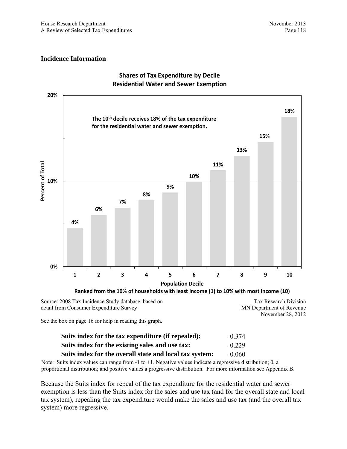

## **Shares of Tax Expenditure by Decile Residential Water and Sewer Exemption**

**Ranked from the 10% of households with least income (1) to 10% with most income (10)**

Source: 2008 Tax Incidence Study database, based on detail from Consumer Expenditure Survey

Tax Research Division MN Department of Revenue November 28, 2012

See the box on page 16 for help in reading this graph.

| Suits index for the tax expenditure (if repealed):      | $-0.374$ |
|---------------------------------------------------------|----------|
| Suits index for the existing sales and use tax:         | $-0.229$ |
| Suits index for the overall state and local tax system: | $-0.060$ |

Note: Suits index values can range from -1 to +1. Negative values indicate a regressive distribution; 0, a proportional distribution; and positive values a progressive distribution. For more information see Appendix B.

Because the Suits index for repeal of the tax expenditure for the residential water and sewer exemption is less than the Suits index for the sales and use tax (and for the overall state and local tax system), repealing the tax expenditure would make the sales and use tax (and the overall tax system) more regressive.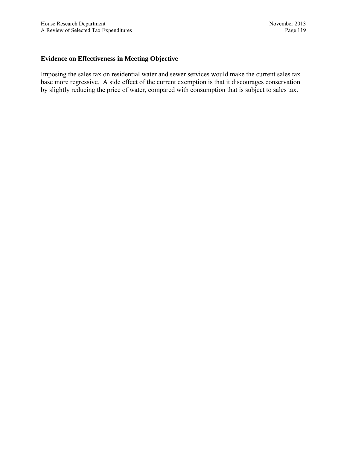## **Evidence on Effectiveness in Meeting Objective**

Imposing the sales tax on residential water and sewer services would make the current sales tax base more regressive. A side effect of the current exemption is that it discourages conservation by slightly reducing the price of water, compared with consumption that is subject to sales tax.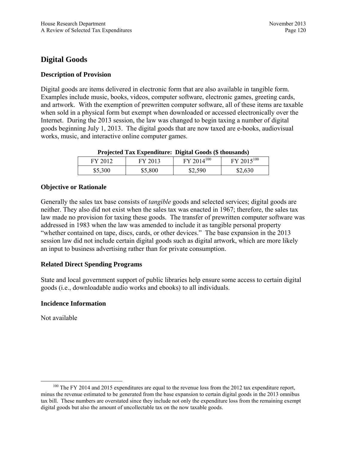# **Digital Goods**

## **Description of Provision**

Digital goods are items delivered in electronic form that are also available in tangible form. Examples include music, books, videos, computer software, electronic games, greeting cards, and artwork. With the exemption of prewritten computer software, all of these items are taxable when sold in a physical form but exempt when downloaded or accessed electronically over the Internet. During the 2013 session, the law was changed to begin taxing a number of digital goods beginning July 1, 2013. The digital goods that are now taxed are e-books, audiovisual works, music, and interactive online computer games.

| FY 2012 | FY 2013 | $FY$ 2014 <sup>100</sup> | FY 2015 <sup>100</sup> |
|---------|---------|--------------------------|------------------------|
| \$5,300 | \$5,800 | \$2,590                  | \$2,630                |

#### **Projected Tax Expenditure: Digital Goods (\$ thousands)**

#### **Objective or Rationale**

Generally the sales tax base consists of *tangible* goods and selected services; digital goods are neither. They also did not exist when the sales tax was enacted in 1967; therefore, the sales tax law made no provision for taxing these goods. The transfer of prewritten computer software was addressed in 1983 when the law was amended to include it as tangible personal property "whether contained on tape, discs, cards, or other devices." The base expansion in the 2013 session law did not include certain digital goods such as digital artwork, which are more likely an input to business advertising rather than for private consumption.

### **Related Direct Spending Programs**

State and local government support of public libraries help ensure some access to certain digital goods (i.e., downloadable audio works and ebooks) to all individuals.

### **Incidence Information**

Not available

<sup>&</sup>lt;sup>100</sup> The FY 2014 and 2015 expenditures are equal to the revenue loss from the 2012 tax expenditure report, minus the revenue estimated to be generated from the base expansion to certain digital goods in the 2013 omnibus tax bill. These numbers are overstated since they include not only the expenditure loss from the remaining exempt digital goods but also the amount of uncollectable tax on the now taxable goods.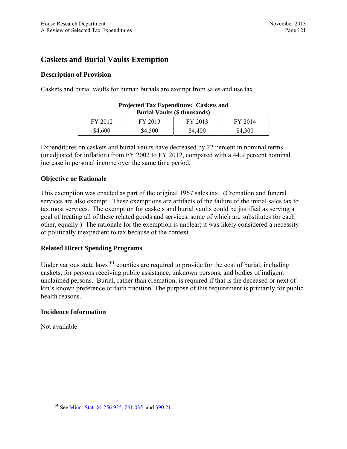# **Caskets and Burial Vaults Exemption**

### **Description of Provision**

Caskets and burial vaults for human burials are exempt from sales and use tax.

| <b>Burial Vaults (\$ thousands)</b>      |         |         |         |  |  |
|------------------------------------------|---------|---------|---------|--|--|
| FY 2013<br>FY 2012<br>FY 2013<br>FY 2014 |         |         |         |  |  |
| \$4,600                                  | \$4,500 | \$4,400 | \$4,300 |  |  |

#### **Projected Tax Expenditure: Caskets and Burial Vaults (\$ thousands)**

Expenditures on caskets and burial vaults have decreased by 22 percent in nominal terms (unadjusted for inflation) from FY 2002 to FY 2012, compared with a 44.9 percent nominal increase in personal income over the same time period.

### **Objective or Rationale**

This exemption was enacted as part of the original 1967 sales tax. (Cremation and funeral services are also exempt. These exemptions are artifacts of the failure of the initial sales tax to tax most services. The exemption for caskets and burial vaults could be justified as serving a goal of treating all of these related goods and services, some of which are substitutes for each other, equally.) The rationale for the exemption is unclear; it was likely considered a necessity or politically inexpedient to tax because of the context.

### **Related Direct Spending Programs**

Under various state  $laws^{101}$  counties are required to provide for the cost of burial, including caskets, for persons receiving public assistance, unknown persons, and bodies of indigent unclaimed persons. Burial, rather than cremation, is required if that is the deceased or next of kin's known preference or faith tradition. The purpose of this requirement is primarily for public health reasons.

### **Incidence Information**

Not available

 <sup>101</sup> See [Minn. Stat. §§ 256.935,](https://www.revisor.mn.gov/statutes/?id=256.935) [261.035,](https://www.revisor.mn.gov/statutes/?id=261.035) and [390.21](https://www.revisor.mn.gov/statutes/?id=390.21).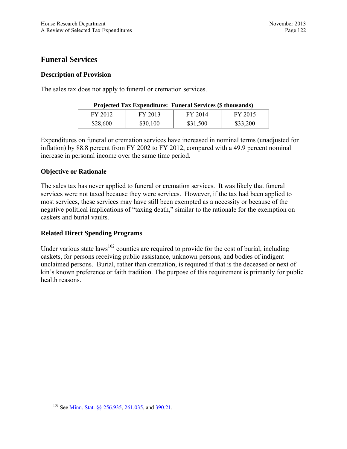## **Funeral Services**

## **Description of Provision**

The sales tax does not apply to funeral or cremation services.

| Trojected Tax Experimente: Funct at Set vices (5 mousands) |          |          |          |  |
|------------------------------------------------------------|----------|----------|----------|--|
| FY 2012                                                    | FY 2013  | FY 2014  | FY 2015  |  |
| \$28,600                                                   | \$30,100 | \$31,500 | \$33,200 |  |

## **Projected Tax Expenditure: Funeral Services (\$ thousands)**

Expenditures on funeral or cremation services have increased in nominal terms (unadjusted for inflation) by 88.8 percent from FY 2002 to FY 2012, compared with a 49.9 percent nominal increase in personal income over the same time period.

## **Objective or Rationale**

The sales tax has never applied to funeral or cremation services. It was likely that funeral services were not taxed because they were services. However, if the tax had been applied to most services, these services may have still been exempted as a necessity or because of the negative political implications of "taxing death," similar to the rationale for the exemption on caskets and burial vaults.

### **Related Direct Spending Programs**

Under various state  $laws^{102}$  counties are required to provide for the cost of burial, including caskets, for persons receiving public assistance, unknown persons, and bodies of indigent unclaimed persons. Burial, rather than cremation, is required if that is the deceased or next of kin's known preference or faith tradition. The purpose of this requirement is primarily for public health reasons.

 <sup>102</sup> See [Minn. Stat. §§ 256.935,](https://www.revisor.mn.gov/statutes/?id=256.935) [261.035,](https://www.revisor.mn.gov/statutes/?id=261.035) and [390.21.](https://www.revisor.mn.gov/statutes/?id=390.21)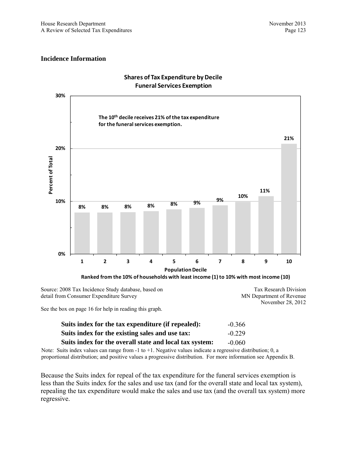MN Department of Revenue

November 28, 2012

### **Incidence Information**



**Shares of Tax Expenditure by Decile Funeral Services Exemption**

detail from Consumer Expenditure Survey

See the box on page 16 for help in reading this graph.

| Suits index for the tax expenditure (if repealed):      | $-0.366$ |
|---------------------------------------------------------|----------|
| Suits index for the existing sales and use tax:         | $-0.229$ |
| Suits index for the overall state and local tax system: | $-0.060$ |

Note: Suits index values can range from  $-1$  to  $+1$ . Negative values indicate a regressive distribution; 0, a proportional distribution; and positive values a progressive distribution. For more information see Appendix B.

Because the Suits index for repeal of the tax expenditure for the funeral services exemption is less than the Suits index for the sales and use tax (and for the overall state and local tax system), repealing the tax expenditure would make the sales and use tax (and the overall tax system) more regressive.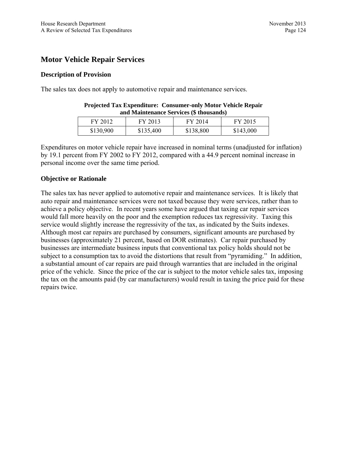# **Motor Vehicle Repair Services**

## **Description of Provision**

The sales tax does not apply to automotive repair and maintenance services.

| and Maintenance Services (\$ thousands)  |           |           |           |  |
|------------------------------------------|-----------|-----------|-----------|--|
| FY 2013<br>FY 2015<br>FY 2014<br>FY 2012 |           |           |           |  |
| \$130,900                                | \$135,400 | \$138,800 | \$143,000 |  |

**Projected Tax Expenditure: Consumer-only Motor Vehicle Repair** 

Expenditures on motor vehicle repair have increased in nominal terms (unadjusted for inflation) by 19.1 percent from FY 2002 to FY 2012, compared with a 44.9 percent nominal increase in personal income over the same time period.

### **Objective or Rationale**

The sales tax has never applied to automotive repair and maintenance services. It is likely that auto repair and maintenance services were not taxed because they were services, rather than to achieve a policy objective. In recent years some have argued that taxing car repair services would fall more heavily on the poor and the exemption reduces tax regressivity. Taxing this service would slightly increase the regressivity of the tax, as indicated by the Suits indexes. Although most car repairs are purchased by consumers, significant amounts are purchased by businesses (approximately 21 percent, based on DOR estimates). Car repair purchased by businesses are intermediate business inputs that conventional tax policy holds should not be subject to a consumption tax to avoid the distortions that result from "pyramiding." In addition, a substantial amount of car repairs are paid through warranties that are included in the original price of the vehicle. Since the price of the car is subject to the motor vehicle sales tax, imposing the tax on the amounts paid (by car manufacturers) would result in taxing the price paid for these repairs twice.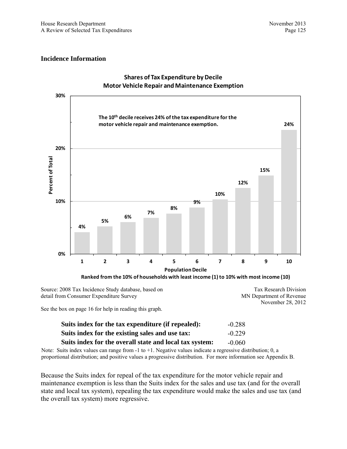

#### **Shares of Tax Expenditure by Decile Motor Vehicle Repair and Maintenance Exemption**

Source: 2008 Tax Incidence Study database, based on detail from Consumer Expenditure Survey

Tax Research Division MN Department of Revenue November 28, 2012

See the box on page 16 for help in reading this graph.

| Suits index for the tax expenditure (if repealed):      | $-0.288$ |
|---------------------------------------------------------|----------|
| Suits index for the existing sales and use tax:         | $-0.229$ |
| Suits index for the overall state and local tax system: | $-0.060$ |

Note: Suits index values can range from  $-1$  to  $+1$ . Negative values indicate a regressive distribution; 0, a proportional distribution; and positive values a progressive distribution. For more information see Appendix B.

Because the Suits index for repeal of the tax expenditure for the motor vehicle repair and maintenance exemption is less than the Suits index for the sales and use tax (and for the overall state and local tax system), repealing the tax expenditure would make the sales and use tax (and the overall tax system) more regressive.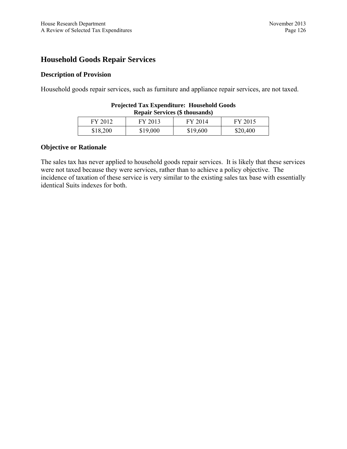## **Household Goods Repair Services**

## **Description of Provision**

Household goods repair services, such as furniture and appliance repair services, are not taxed.

| Repair Services (\$ thousands)           |          |          |          |  |
|------------------------------------------|----------|----------|----------|--|
| FY 2015<br>FY 2012<br>FY 2013<br>FY 2014 |          |          |          |  |
| \$18,200                                 | \$19,000 | \$19,600 | \$20,400 |  |

#### **Projected Tax Expenditure: Household Goods Repair Services (\$ thousands)**

## **Objective or Rationale**

The sales tax has never applied to household goods repair services. It is likely that these services were not taxed because they were services, rather than to achieve a policy objective. The incidence of taxation of these service is very similar to the existing sales tax base with essentially identical Suits indexes for both.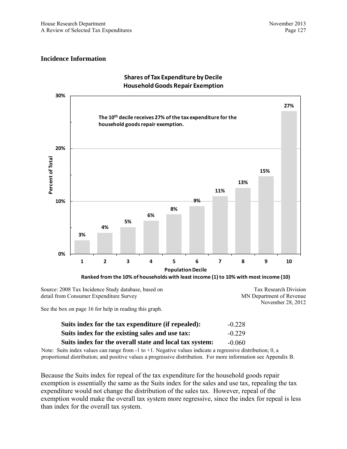

### **Shares of Tax Expenditure by Decile HouseholdGoods Repair Exemption**

Source: 2008 Tax Incidence Study database, based on detail from Consumer Expenditure Survey

Tax Research Division MN Department of Revenue November 28, 2012

See the box on page 16 for help in reading this graph.

| Suits index for the tax expenditure (if repealed):      | $-0.228$ |
|---------------------------------------------------------|----------|
| Suits index for the existing sales and use tax:         | $-0.229$ |
| Suits index for the overall state and local tax system: | $-0.060$ |

Note: Suits index values can range from  $-1$  to  $+1$ . Negative values indicate a regressive distribution; 0, a proportional distribution; and positive values a progressive distribution. For more information see Appendix B.

Because the Suits index for repeal of the tax expenditure for the household goods repair exemption is essentially the same as the Suits index for the sales and use tax, repealing the tax expenditure would not change the distribution of the sales tax. However, repeal of the exemption would make the overall tax system more regressive, since the index for repeal is less than index for the overall tax system.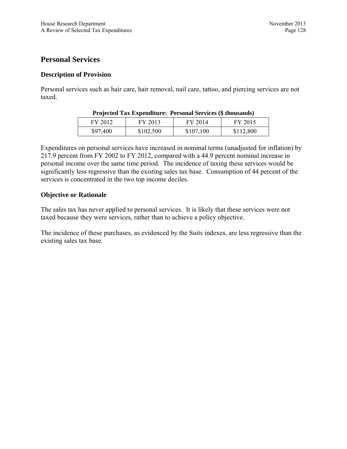## **Personal Services**

## **Description of Provision**

Personal services such as hair care, hair removal, nail care, tattoo, and piercing services are not taxed.

| Trojected Tax Expenditure. Tersonal Services (9 thousands) |           |           |           |
|------------------------------------------------------------|-----------|-----------|-----------|
| FY 2012                                                    | FY 2013   | FY 2014   | FY 2015   |
| \$97,400                                                   | \$102,500 | \$107,100 | \$112,800 |

Expenditures on personal services have increased in nominal terms (unadjusted for inflation) by 217.9 percent from FY 2002 to FY 2012, compared with a 44.9 percent nominal increase in personal income over the same time period. The incidence of taxing these services would be significantly less regressive than the existing sales tax base. Consumption of 44 percent of the services is concentrated in the two top income deciles.

## **Objective or Rationale**

The sales tax has never applied to personal services. It is likely that these services were not taxed because they were services, rather than to achieve a policy objective.

The incidence of these purchases, as evidenced by the Suits indexes, are less regressive than the existing sales tax base.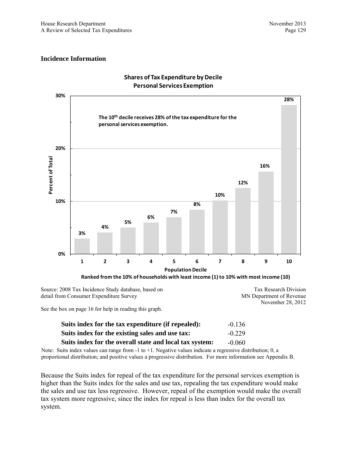

#### **Shares of Tax Expenditure by Decile Personal Services Exemption**

Source: 2008 Tax Incidence Study database, based on detail from Consumer Expenditure Survey

Tax Research Division MN Department of Revenue November 28, 2012

See the box on page 16 for help in reading this graph.

| Suits index for the tax expenditure (if repealed):      | $-0.136$ |
|---------------------------------------------------------|----------|
| Suits index for the existing sales and use tax:         | $-0.229$ |
| Suits index for the overall state and local tax system: | $-0.060$ |

Note: Suits index values can range from  $-1$  to  $+1$ . Negative values indicate a regressive distribution; 0, a proportional distribution; and positive values a progressive distribution. For more information see Appendix B.

Because the Suits index for repeal of the tax expenditure for the personal services exemption is higher than the Suits index for the sales and use tax, repealing the tax expenditure would make the sales and use tax less regressive. However, repeal of the exemption would make the overall tax system more regressive, since the index for repeal is less than index for the overall tax system.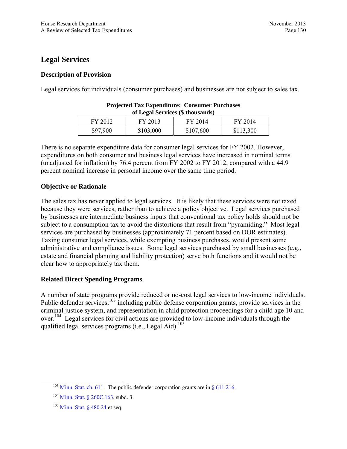## **Legal Services**

## **Description of Provision**

Legal services for individuals (consumer purchases) and businesses are not subject to sales tax.

| 01 Legal Services (5 mousands) |           |           |           |
|--------------------------------|-----------|-----------|-----------|
| FY 2012                        | FY 2013   | FY 2014   | FY 2014   |
| \$97,900                       | \$103,000 | \$107,600 | \$113,300 |

| <b>Projected Tax Expenditure: Consumer Purchases</b> |  |
|------------------------------------------------------|--|
| of Legal Services (\$ thousands)                     |  |

There is no separate expenditure data for consumer legal services for FY 2002. However, expenditures on both consumer and business legal services have increased in nominal terms (unadjusted for inflation) by 76.4 percent from FY 2002 to FY 2012, compared with a 44.9 percent nominal increase in personal income over the same time period.

## **Objective or Rationale**

The sales tax has never applied to legal services. It is likely that these services were not taxed because they were services, rather than to achieve a policy objective. Legal services purchased by businesses are intermediate business inputs that conventional tax policy holds should not be subject to a consumption tax to avoid the distortions that result from "pyramiding." Most legal services are purchased by businesses (approximately 71 percent based on DOR estimates). Taxing consumer legal services, while exempting business purchases, would present some administrative and compliance issues. Some legal services purchased by small businesses (e.g., estate and financial planning and liability protection) serve both functions and it would not be clear how to appropriately tax them.

## **Related Direct Spending Programs**

A number of state programs provide reduced or no-cost legal services to low-income individuals. Public defender services,<sup>103</sup> including public defense corporation grants, provide services in the criminal justice system, and representation in child protection proceedings for a child age 10 and over.<sup>104</sup> Legal services for civil actions are provided to low-income individuals through the qualified legal services programs (i.e., Legal Aid).<sup>105</sup>

<sup>&</sup>lt;sup>103</sup> [Minn. Stat. ch. 611.](https://www.revisor.mn.gov/statutes/?id=611) The public defender corporation grants are in  $\S$  611.216.

<sup>&</sup>lt;sup>104</sup> [Minn. Stat. § 260C.163,](https://www.revisor.mn.gov/statutes/?id=260C.163) subd. 3.

<sup>105</sup> [Minn. Stat. § 480.24](https://www.revisor.mn.gov/statutes/?id=480.24) et seq.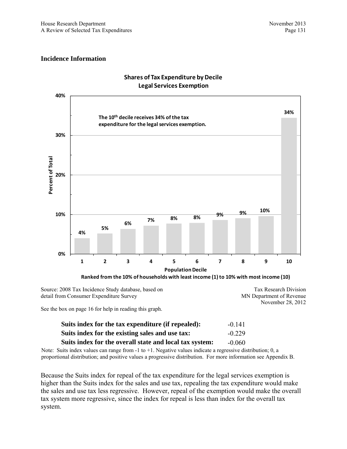

### **Shares of Tax Expenditure by Decile Legal Services Exemption**

Source: 2008 Tax Incidence Study database, based on detail from Consumer Expenditure Survey

MN Department of Revenue November 28, 2012

Tax Research Division

See the box on page 16 for help in reading this graph.

| Suits index for the tax expenditure (if repealed):      | $-0.141$ |
|---------------------------------------------------------|----------|
| Suits index for the existing sales and use tax:         | $-0.229$ |
| Suits index for the overall state and local tax system: | $-0.060$ |

Note: Suits index values can range from  $-1$  to  $+1$ . Negative values indicate a regressive distribution; 0, a proportional distribution; and positive values a progressive distribution. For more information see Appendix B.

Because the Suits index for repeal of the tax expenditure for the legal services exemption is higher than the Suits index for the sales and use tax, repealing the tax expenditure would make the sales and use tax less regressive. However, repeal of the exemption would make the overall tax system more regressive, since the index for repeal is less than index for the overall tax system.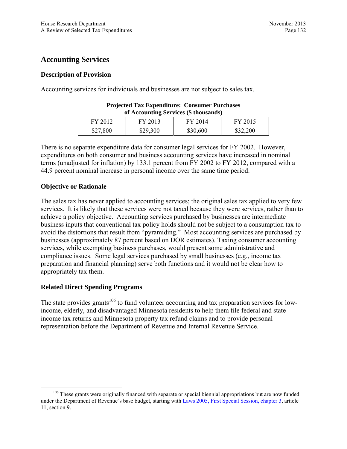# **Accounting Services**

## **Description of Provision**

Accounting services for individuals and businesses are not subject to sales tax.

| of Accounting Services (5 thousands) |          |          |          |
|--------------------------------------|----------|----------|----------|
| FY 2012                              | FY 2013  | FY 2014  | FY 2015  |
| \$27,800                             | \$29,300 | \$30,600 | \$32,200 |

| <b>Projected Tax Expenditure: Consumer Purchases</b> |  |
|------------------------------------------------------|--|
| of Accounting Services (\$ thousands)                |  |

There is no separate expenditure data for consumer legal services for FY 2002. However, expenditures on both consumer and business accounting services have increased in nominal terms (unadjusted for inflation) by 133.1 percent from FY 2002 to FY 2012, compared with a 44.9 percent nominal increase in personal income over the same time period.

## **Objective or Rationale**

The sales tax has never applied to accounting services; the original sales tax applied to very few services. It is likely that these services were not taxed because they were services, rather than to achieve a policy objective. Accounting services purchased by businesses are intermediate business inputs that conventional tax policy holds should not be subject to a consumption tax to avoid the distortions that result from "pyramiding." Most accounting services are purchased by businesses (approximately 87 percent based on DOR estimates). Taxing consumer accounting services, while exempting business purchases, would present some administrative and compliance issues. Some legal services purchased by small businesses (e.g., income tax preparation and financial planning) serve both functions and it would not be clear how to appropriately tax them.

## **Related Direct Spending Programs**

The state provides grants<sup>106</sup> to fund volunteer accounting and tax preparation services for lowincome, elderly, and disadvantaged Minnesota residents to help them file federal and state income tax returns and Minnesota property tax refund claims and to provide personal representation before the Department of Revenue and Internal Revenue Service.

<sup>&</sup>lt;sup>106</sup> These grants were originally financed with separate or special biennial appropriations but are now funded under the Department of Revenue's base budget, starting with [Laws 2005, First Special Session, chapter 3](https://www.revisor.mn.gov/laws/?id=3&doctype=Chapter&year=2005&type=1), article 11, section 9.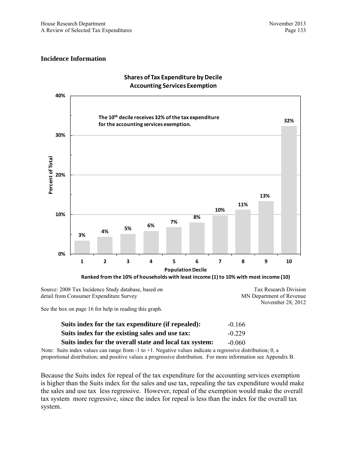

#### **Shares of Tax Expenditure by Decile Accounting Services Exemption**

Source: 2008 Tax Incidence Study database, based on detail from Consumer Expenditure Survey

Tax Research Division MN Department of Revenue November 28, 2012

See the box on page 16 for help in reading this graph.

| Suits index for the tax expenditure (if repealed):      | $-0.166$ |
|---------------------------------------------------------|----------|
| Suits index for the existing sales and use tax:         | $-0.229$ |
| Suits index for the overall state and local tax system: | $-0.060$ |

Note: Suits index values can range from  $-1$  to  $+1$ . Negative values indicate a regressive distribution; 0, a proportional distribution; and positive values a progressive distribution. For more information see Appendix B.

Because the Suits index for repeal of the tax expenditure for the accounting services exemption is higher than the Suits index for the sales and use tax, repealing the tax expenditure would make the sales and use tax less regressive. However, repeal of the exemption would make the overall tax system more regressive, since the index for repeal is less than the index for the overall tax system.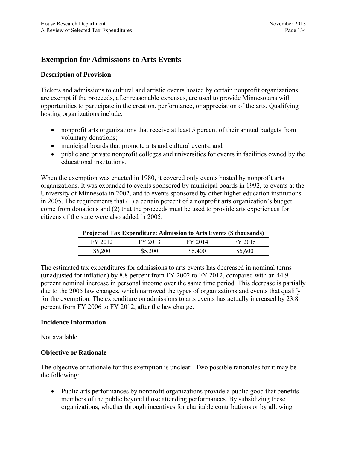# **Exemption for Admissions to Arts Events**

## **Description of Provision**

Tickets and admissions to cultural and artistic events hosted by certain nonprofit organizations are exempt if the proceeds, after reasonable expenses, are used to provide Minnesotans with opportunities to participate in the creation, performance, or appreciation of the arts. Qualifying hosting organizations include:

- nonprofit arts organizations that receive at least 5 percent of their annual budgets from voluntary donations;
- municipal boards that promote arts and cultural events; and
- public and private nonprofit colleges and universities for events in facilities owned by the educational institutions.

When the exemption was enacted in 1980, it covered only events hosted by nonprofit arts organizations. It was expanded to events sponsored by municipal boards in 1992, to events at the University of Minnesota in 2002, and to events sponsored by other higher education institutions in 2005. The requirements that (1) a certain percent of a nonprofit arts organization's budget come from donations and (2) that the proceeds must be used to provide arts experiences for citizens of the state were also added in 2005.

| Trojected Tax Experiment: Aumission to Arts Events (9 mousanus) |         |         |         |
|-----------------------------------------------------------------|---------|---------|---------|
| FY 2012                                                         | FY 2013 | FY 2014 | FY 2015 |
| \$5,200                                                         | \$5,300 | \$5,400 | \$5,600 |

#### **Projected Tax Expenditure: Admission to Arts Events (\$ thousands)**

The estimated tax expenditures for admissions to arts events has decreased in nominal terms (unadjusted for inflation) by 8.8 percent from FY 2002 to FY 2012, compared with an 44.9 percent nominal increase in personal income over the same time period. This decrease is partially due to the 2005 law changes, which narrowed the types of organizations and events that qualify for the exemption. The expenditure on admissions to arts events has actually increased by 23.8 percent from FY 2006 to FY 2012, after the law change.

### **Incidence Information**

Not available

## **Objective or Rationale**

The objective or rationale for this exemption is unclear. Two possible rationales for it may be the following:

 Public arts performances by nonprofit organizations provide a public good that benefits members of the public beyond those attending performances. By subsidizing these organizations, whether through incentives for charitable contributions or by allowing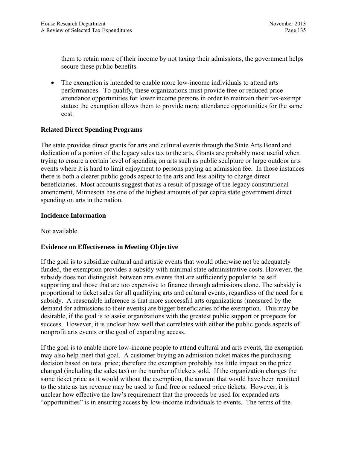them to retain more of their income by not taxing their admissions, the government helps secure these public benefits.

 The exemption is intended to enable more low-income individuals to attend arts performances. To qualify, these organizations must provide free or reduced price attendance opportunities for lower income persons in order to maintain their tax-exempt status; the exemption allows them to provide more attendance opportunities for the same cost.

## **Related Direct Spending Programs**

The state provides direct grants for arts and cultural events through the State Arts Board and dedication of a portion of the legacy sales tax to the arts. Grants are probably most useful when trying to ensure a certain level of spending on arts such as public sculpture or large outdoor arts events where it is hard to limit enjoyment to persons paying an admission fee. In those instances there is both a clearer public goods aspect to the arts and less ability to charge direct beneficiaries. Most accounts suggest that as a result of passage of the legacy constitutional amendment, Minnesota has one of the highest amounts of per capita state government direct spending on arts in the nation.

## **Incidence Information**

Not available

## **Evidence on Effectiveness in Meeting Objective**

If the goal is to subsidize cultural and artistic events that would otherwise not be adequately funded, the exemption provides a subsidy with minimal state administrative costs. However, the subsidy does not distinguish between arts events that are sufficiently popular to be self supporting and those that are too expensive to finance through admissions alone. The subsidy is proportional to ticket sales for all qualifying arts and cultural events, regardless of the need for a subsidy. A reasonable inference is that more successful arts organizations (measured by the demand for admissions to their events) are bigger beneficiaries of the exemption. This may be desirable, if the goal is to assist organizations with the greatest public support or prospects for success. However, it is unclear how well that correlates with either the public goods aspects of nonprofit arts events or the goal of expanding access.

If the goal is to enable more low-income people to attend cultural and arts events, the exemption may also help meet that goal. A customer buying an admission ticket makes the purchasing decision based on total price; therefore the exemption probably has little impact on the price charged (including the sales tax) or the number of tickets sold. If the organization charges the same ticket price as it would without the exemption, the amount that would have been remitted to the state as tax revenue may be used to fund free or reduced price tickets. However, it is unclear how effective the law's requirement that the proceeds be used for expanded arts "opportunities" is in ensuring access by low-income individuals to events. The terms of the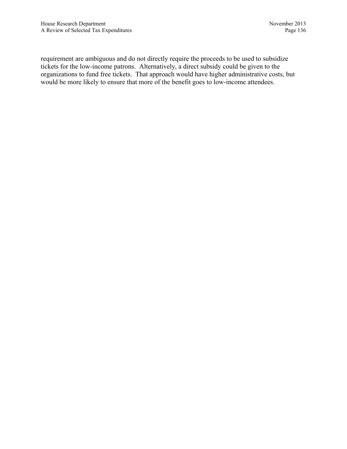requirement are ambiguous and do not directly require the proceeds to be used to subsidize tickets for the low-income patrons. Alternatively, a direct subsidy could be given to the organizations to fund free tickets. That approach would have higher administrative costs, but would be more likely to ensure that more of the benefit goes to low-income attendees.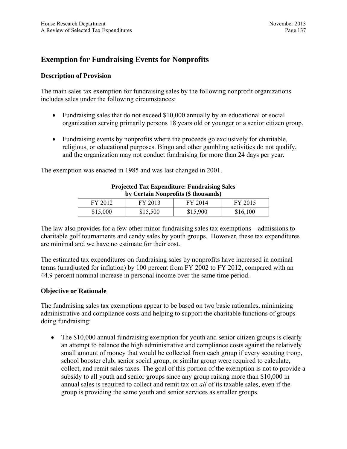# **Exemption for Fundraising Events for Nonprofits**

#### **Description of Provision**

The main sales tax exemption for fundraising sales by the following nonprofit organizations includes sales under the following circumstances:

- Fundraising sales that do not exceed \$10,000 annually by an educational or social organization serving primarily persons 18 years old or younger or a senior citizen group.
- Fundraising events by nonprofits where the proceeds go exclusively for charitable, religious, or educational purposes. Bingo and other gambling activities do not qualify, and the organization may not conduct fundraising for more than 24 days per year.

The exemption was enacted in 1985 and was last changed in 2001.

| by Certain Nonprofits (5 mousands) |          |          |          |
|------------------------------------|----------|----------|----------|
| FY 2012                            | FY 2013  | FY 2014  | FY 2015  |
| \$15,000                           | \$15,500 | \$15,900 | \$16,100 |

#### **Projected Tax Expenditure: Fundraising Sales by Certain Nonprofits (\$ thousands)**

The law also provides for a few other minor fundraising sales tax exemptions—admissions to charitable golf tournaments and candy sales by youth groups. However, these tax expenditures are minimal and we have no estimate for their cost.

The estimated tax expenditures on fundraising sales by nonprofits have increased in nominal terms (unadjusted for inflation) by 100 percent from FY 2002 to FY 2012, compared with an 44.9 percent nominal increase in personal income over the same time period.

### **Objective or Rationale**

The fundraising sales tax exemptions appear to be based on two basic rationales, minimizing administrative and compliance costs and helping to support the charitable functions of groups doing fundraising:

• The \$10,000 annual fundraising exemption for youth and senior citizen groups is clearly an attempt to balance the high administrative and compliance costs against the relatively small amount of money that would be collected from each group if every scouting troop, school booster club, senior social group, or similar group were required to calculate, collect, and remit sales taxes. The goal of this portion of the exemption is not to provide a subsidy to all youth and senior groups since any group raising more than \$10,000 in annual sales is required to collect and remit tax on *all* of its taxable sales, even if the group is providing the same youth and senior services as smaller groups.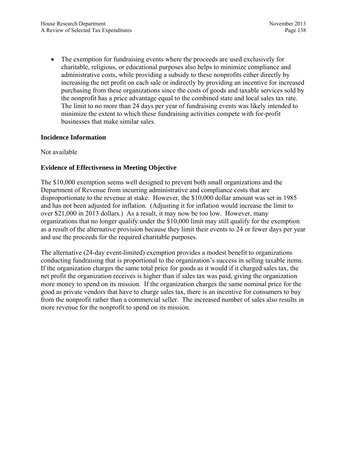• The exemption for fundraising events where the proceeds are used exclusively for charitable, religious, or educational purposes also helps to minimize compliance and administrative costs, while providing a subsidy to these nonprofits either directly by increasing the net profit on each sale or indirectly by providing an incentive for increased purchasing from these organizations since the costs of goods and taxable services sold by the nonprofit has a price advantage equal to the combined state and local sales tax rate. The limit to no more than 24 days per year of fundraising events was likely intended to minimize the extent to which these fundraising activities compete with for-profit businesses that make similar sales.

## **Incidence Information**

Not available

## **Evidence of Effectiveness in Meeting Objective**

The \$10,000 exemption seems well designed to prevent both small organizations and the Department of Revenue from incurring administrative and compliance costs that are disproportionate to the revenue at stake. However, the \$10,000 dollar amount was set in 1985 and has not been adjusted for inflation. (Adjusting it for inflation would increase the limit to over \$21,000 in 2013 dollars.) As a result, it may now be too low. However, many organizations that no longer qualify under the \$10,000 limit may still qualify for the exemption as a result of the alternative provision because they limit their events to 24 or fewer days per year and use the proceeds for the required charitable purposes.

The alternative (24-day event-limited) exemption provides a modest benefit to organizations conducting fundraising that is proportional to the organization's success in selling taxable items. If the organization charges the same total price for goods as it would if it charged sales tax, the net profit the organization receives is higher than if sales tax was paid, giving the organization more money to spend on its mission. If the organization charges the same nominal price for the good as private vendors that have to charge sales tax, there is an incentive for consumers to buy from the nonprofit rather than a commercial seller. The increased number of sales also results in more revenue for the nonprofit to spend on its mission.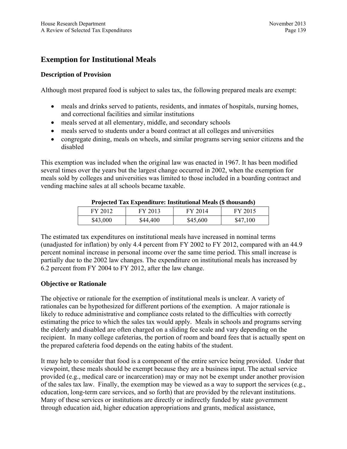# **Exemption for Institutional Meals**

## **Description of Provision**

Although most prepared food is subject to sales tax, the following prepared meals are exempt:

- meals and drinks served to patients, residents, and inmates of hospitals, nursing homes, and correctional facilities and similar institutions
- meals served at all elementary, middle, and secondary schools
- meals served to students under a board contract at all colleges and universities
- congregate dining, meals on wheels, and similar programs serving senior citizens and the disabled

This exemption was included when the original law was enacted in 1967. It has been modified several times over the years but the largest change occurred in 2002, when the exemption for meals sold by colleges and universities was limited to those included in a boarding contract and vending machine sales at all schools became taxable.

| Trolected Tax Experience: Histrumonal Meals (9 mousanus) |          |          |          |  |  |  |  |  |  |  |
|----------------------------------------------------------|----------|----------|----------|--|--|--|--|--|--|--|
| FY 2012                                                  | FY 2013  | FY 2014  | FY 2015  |  |  |  |  |  |  |  |
| \$43,000                                                 | \$44,400 | \$45,600 | \$47,100 |  |  |  |  |  |  |  |

#### **Projected Tax Expenditure: Institutional Meals (\$ thousands)**

The estimated tax expenditures on institutional meals have increased in nominal terms (unadjusted for inflation) by only 4.4 percent from FY 2002 to FY 2012, compared with an 44.9 percent nominal increase in personal income over the same time period. This small increase is partially due to the 2002 law changes. The expenditure on institutional meals has increased by 6.2 percent from FY 2004 to FY 2012, after the law change.

## **Objective or Rationale**

The objective or rationale for the exemption of institutional meals is unclear. A variety of rationales can be hypothesized for different portions of the exemption. A major rationale is likely to reduce administrative and compliance costs related to the difficulties with correctly estimating the price to which the sales tax would apply. Meals in schools and programs serving the elderly and disabled are often charged on a sliding fee scale and vary depending on the recipient. In many college cafeterias, the portion of room and board fees that is actually spent on the prepared cafeteria food depends on the eating habits of the student.

It may help to consider that food is a component of the entire service being provided. Under that viewpoint, these meals should be exempt because they are a business input. The actual service provided (e.g., medical care or incarceration) may or may not be exempt under another provision of the sales tax law. Finally, the exemption may be viewed as a way to support the services (e.g., education, long-term care services, and so forth) that are provided by the relevant institutions. Many of these services or institutions are directly or indirectly funded by state government through education aid, higher education appropriations and grants, medical assistance,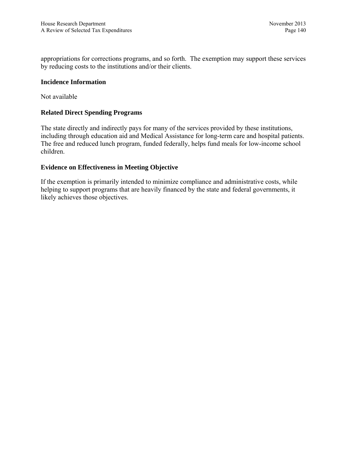appropriations for corrections programs, and so forth. The exemption may support these services by reducing costs to the institutions and/or their clients.

#### **Incidence Information**

Not available

#### **Related Direct Spending Programs**

The state directly and indirectly pays for many of the services provided by these institutions, including through education aid and Medical Assistance for long-term care and hospital patients. The free and reduced lunch program, funded federally, helps fund meals for low-income school children.

#### **Evidence on Effectiveness in Meeting Objective**

If the exemption is primarily intended to minimize compliance and administrative costs, while helping to support programs that are heavily financed by the state and federal governments, it likely achieves those objectives.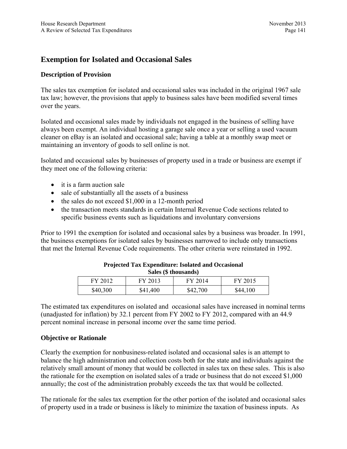## **Exemption for Isolated and Occasional Sales**

### **Description of Provision**

The sales tax exemption for isolated and occasional sales was included in the original 1967 sale tax law; however, the provisions that apply to business sales have been modified several times over the years.

Isolated and occasional sales made by individuals not engaged in the business of selling have always been exempt. An individual hosting a garage sale once a year or selling a used vacuum cleaner on eBay is an isolated and occasional sale; having a table at a monthly swap meet or maintaining an inventory of goods to sell online is not.

Isolated and occasional sales by businesses of property used in a trade or business are exempt if they meet one of the following criteria:

- it is a farm auction sale
- sale of substantially all the assets of a business
- $\bullet$  the sales do not exceed \$1,000 in a 12-month period
- the transaction meets standards in certain Internal Revenue Code sections related to specific business events such as liquidations and involuntary conversions

Prior to 1991 the exemption for isolated and occasional sales by a business was broader. In 1991, the business exemptions for isolated sales by businesses narrowed to include only transactions that met the Internal Revenue Code requirements. The other criteria were reinstated in 1992.

| $\sim$   |          |          |          |  |  |  |  |  |  |
|----------|----------|----------|----------|--|--|--|--|--|--|
| FY 2012  | FY 2013  | FY 2014  | FY 2015  |  |  |  |  |  |  |
| \$40,300 | \$41,400 | \$42,700 | \$44,100 |  |  |  |  |  |  |

#### **Projected Tax Expenditure: Isolated and Occasional Sales (\$ thousands)**

The estimated tax expenditures on isolated and occasional sales have increased in nominal terms (unadjusted for inflation) by 32.1 percent from FY 2002 to FY 2012, compared with an 44.9 percent nominal increase in personal income over the same time period.

#### **Objective or Rationale**

Clearly the exemption for nonbusiness-related isolated and occasional sales is an attempt to balance the high administration and collection costs both for the state and individuals against the relatively small amount of money that would be collected in sales tax on these sales. This is also the rationale for the exemption on isolated sales of a trade or business that do not exceed \$1,000 annually; the cost of the administration probably exceeds the tax that would be collected.

The rationale for the sales tax exemption for the other portion of the isolated and occasional sales of property used in a trade or business is likely to minimize the taxation of business inputs. As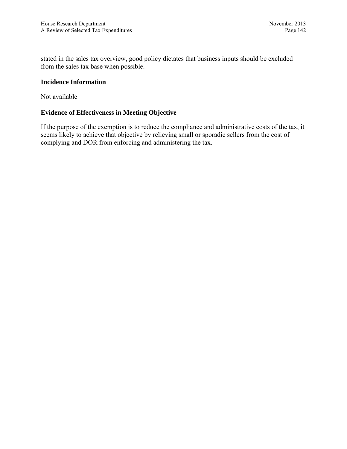stated in the sales tax overview, good policy dictates that business inputs should be excluded from the sales tax base when possible.

## **Incidence Information**

Not available

## **Evidence of Effectiveness in Meeting Objective**

If the purpose of the exemption is to reduce the compliance and administrative costs of the tax, it seems likely to achieve that objective by relieving small or sporadic sellers from the cost of complying and DOR from enforcing and administering the tax.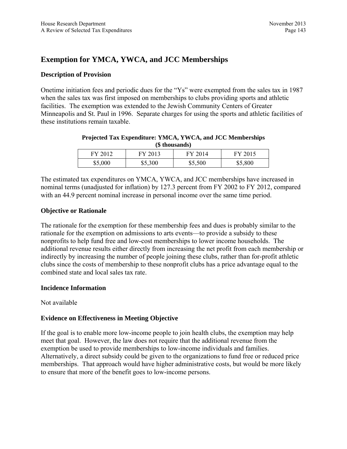# **Exemption for YMCA, YWCA, and JCC Memberships**

## **Description of Provision**

Onetime initiation fees and periodic dues for the "Ys" were exempted from the sales tax in 1987 when the sales tax was first imposed on memberships to clubs providing sports and athletic facilities. The exemption was extended to the Jewish Community Centers of Greater Minneapolis and St. Paul in 1996. Separate charges for using the sports and athletic facilities of these institutions remain taxable.

| (5 mousands) |         |         |         |  |  |  |  |  |  |
|--------------|---------|---------|---------|--|--|--|--|--|--|
| FY 2012      | FY 2013 | FY 2014 | FY 2015 |  |  |  |  |  |  |
| \$5,000      | \$5,300 | \$5,500 | \$5,800 |  |  |  |  |  |  |

#### **Projected Tax Expenditure: YMCA, YWCA, and JCC Memberships (\$ thousands)**

The estimated tax expenditures on YMCA, YWCA, and JCC memberships have increased in nominal terms (unadjusted for inflation) by 127.3 percent from FY 2002 to FY 2012, compared with an 44.9 percent nominal increase in personal income over the same time period.

## **Objective or Rationale**

The rationale for the exemption for these membership fees and dues is probably similar to the rationale for the exemption on admissions to arts events—to provide a subsidy to these nonprofits to help fund free and low-cost memberships to lower income households. The additional revenue results either directly from increasing the net profit from each membership or indirectly by increasing the number of people joining these clubs, rather than for-profit athletic clubs since the costs of membership to these nonprofit clubs has a price advantage equal to the combined state and local sales tax rate.

## **Incidence Information**

Not available

## **Evidence on Effectiveness in Meeting Objective**

If the goal is to enable more low-income people to join health clubs, the exemption may help meet that goal. However, the law does not require that the additional revenue from the exemption be used to provide memberships to low-income individuals and families. Alternatively, a direct subsidy could be given to the organizations to fund free or reduced price memberships. That approach would have higher administrative costs, but would be more likely to ensure that more of the benefit goes to low-income persons.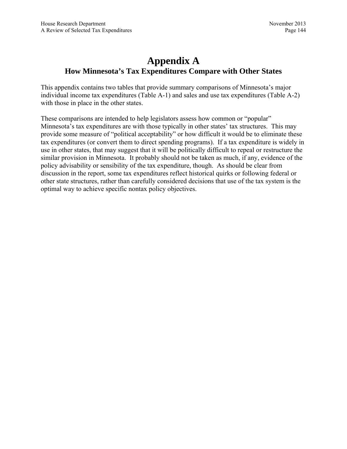# **Appendix A How Minnesota's Tax Expenditures Compare with Other States**

This appendix contains two tables that provide summary comparisons of Minnesota's major individual income tax expenditures (Table A-1) and sales and use tax expenditures (Table A-2) with those in place in the other states.

These comparisons are intended to help legislators assess how common or "popular" Minnesota's tax expenditures are with those typically in other states' tax structures. This may provide some measure of "political acceptability" or how difficult it would be to eliminate these tax expenditures (or convert them to direct spending programs). If a tax expenditure is widely in use in other states, that may suggest that it will be politically difficult to repeal or restructure the similar provision in Minnesota. It probably should not be taken as much, if any, evidence of the policy advisability or sensibility of the tax expenditure, though. As should be clear from discussion in the report, some tax expenditures reflect historical quirks or following federal or other state structures, rather than carefully considered decisions that use of the tax system is the optimal way to achieve specific nontax policy objectives.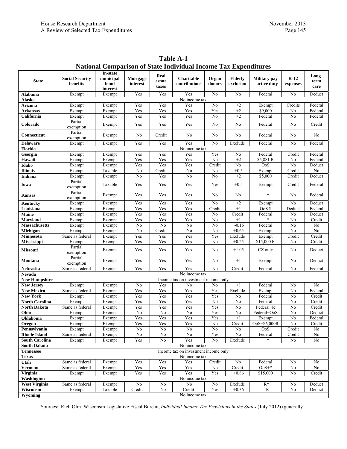|                       |                                      | In-state                      |                      |                         |                                      |                 |                      |                                      |                    |                       |
|-----------------------|--------------------------------------|-------------------------------|----------------------|-------------------------|--------------------------------------|-----------------|----------------------|--------------------------------------|--------------------|-----------------------|
| <b>State</b>          | <b>Social Security</b><br>benefits   | municipal<br>bond<br>interest | Mortgage<br>interest | Real<br>estate<br>taxes | Charitable<br>contributions          | Organ<br>donors | Elderly<br>exclusion | <b>Military</b> pay<br>– active duty | $K-12$<br>expenses | Long-<br>term<br>care |
| Alabama               | Exempt                               | Exempt                        | Yes                  | Yes                     | Yes                                  | No              | No                   | Federal                              | No                 | Deduct                |
| Alaska                |                                      |                               |                      |                         | No income tax                        |                 |                      |                                      |                    |                       |
| Arizona               | Exempt                               | Exempt                        | Yes                  | Yes                     | Yes                                  | N <sub>0</sub>  | $+2$                 | Exempt                               | Credits            | Federal               |
| <b>Arkansas</b>       | Exempt                               | Exempt                        | Yes                  | Yes                     | Yes                                  | Yes             | $+2$                 | \$9,000                              | No                 | Federal               |
| California            | Exempt                               | Exempt                        | Yes                  | Yes                     | Yes                                  | No              | $+2$                 | Federal                              | No                 | Federal               |
|                       | Partial                              |                               |                      |                         |                                      |                 |                      |                                      |                    |                       |
| Colorado              | exemption                            | Exempt                        | Yes                  | Yes                     | Yes                                  | No              | No                   | Federal                              | No                 | Credit                |
| Connecticut           | Partial<br>exemption                 | Exempt                        | No                   | Credit                  | No                                   | No              | No                   | Federal                              | No                 | No                    |
| <b>Delaware</b>       | Exempt                               | Exempt                        | Yes                  | Yes                     | Yes                                  | No              | Exclude              | Federal                              | No                 | Federal               |
| Florida               | No income tax                        |                               |                      |                         |                                      |                 |                      |                                      |                    |                       |
| Georgia               | Exempt                               | Exempt                        | Yes                  | Yes                     | Yes                                  | Yes             | No                   | Federal                              | Credit             | Federal               |
| Hawaii                | Exempt                               | Exempt                        | Yes                  | Yes                     | Yes                                  | No              | $+2$                 | \$5,881 R                            | No                 | Federal               |
| Idaho                 | Exempt                               | Exempt                        | Yes                  | Yes                     | Yes                                  | Credit          | No                   | OoS                                  | No                 | Deduct                |
| <b>Illinois</b>       | Exempt                               | Taxable                       | No                   | Credit                  | N <sub>0</sub>                       | No              | $+0.5$               | Exempt                               | Credit             | $\overline{No}$       |
| <b>Indiana</b>        | Exempt                               | Exempt                        | No                   | Yes                     | No                                   | No              | $+2$                 | \$5,000                              | Credit             | Deduct                |
| Iowa                  | Partial<br>exemption                 | Taxable                       | Yes                  | Yes                     | Yes                                  | Yes             | $+0.5$               | Exempt                               | Credit             | Federal               |
| <b>Kansas</b>         | Partial<br>exemption                 | Exempt                        | Yes                  | Yes                     | Yes                                  | No              | No                   | $\ast$                               | No                 | Federal               |
| Kentucky              | Exempt                               | Exempt                        | Yes                  | Yes                     | Yes                                  | No              | $+2$                 | Exempt                               | No                 | Deduct                |
| Louisiana             | Exempt                               | Exempt                        | Yes                  | Yes                     | Yes                                  | Credit          | $+1$                 | OoS \$                               | Deduct             | Federal               |
| Maine                 | Exempt                               | Exempt                        | Yes                  | Yes                     | Yes                                  | No              | Credit               | Federal                              | No                 | Deduct                |
| Marvland              | Exempt                               | Exempt                        | Yes                  | Yes                     | Yes                                  | No              | $+1$                 |                                      | No                 | Credit                |
| <b>Massachusetts</b>  | Exempt                               | Exempt                        | No                   | No                      | N <sub>0</sub>                       | No              | $+ -0.16$            | Federal                              | No                 | $\rm No$              |
| Michigan              | Exempt                               | Exempt                        | No                   | Credit                  | No                                   | No              | $+0.65$              | Exempt                               | $\rm No$           | $\overline{N_0}$      |
| <b>Minnesota</b>      | Same as federal                      | Exempt                        | Yes                  | Yes                     | Yes                                  | Yes             | Exclude              | Exempt                               | Credit             | Credit                |
| Mississippi           | Exempt                               | Exempt                        | Yes                  | Yes                     | Yes                                  | No              | $+0.25$              | \$15,000 R                           | No                 | Credit                |
| <b>Missouri</b>       | Partial<br>exemption                 | Exempt                        | Yes                  | Yes                     | Yes                                  | No              | $+1.05$              | CZ only                              | No                 | Deduct                |
| Montana               | Partial<br>exemption                 | Exempt                        | Yes                  | Yes                     | Yes                                  | No              | $+1$                 | Exempt                               | No                 | Deduct                |
| Nebraska              | Same as federal                      | Exempt                        | Yes                  | Yes                     | Yes                                  | No              | Credit               | Federal                              | No                 | Federal               |
| Nevada                | No income tax                        |                               |                      |                         |                                      |                 |                      |                                      |                    |                       |
| <b>New Hampshire</b>  | Income tax on investment income only |                               |                      |                         |                                      |                 |                      |                                      |                    |                       |
| <b>New Jersey</b>     | Exempt                               | Exempt                        | No                   | Yes                     | No                                   | No              | $+1$                 | Federal                              | No                 | No                    |
| <b>New Mexico</b>     | Same as federal                      | Exempt                        | Yes                  | Yes                     | Yes                                  | Yes             | Exclude              | Exempt                               | No                 | Federal               |
| <b>New York</b>       | Exempt                               | Exempt                        | Yes                  | Yes                     | Yes                                  | Yes             | No                   | Federal                              | No                 | Credit                |
| <b>North Carolina</b> | Exempt                               | Exempt                        | Yes                  | Yes                     | Yes                                  | No              | $\rm No$             | Federal                              | No                 | Credit                |
| <b>North Dakota</b>   | Same as federal                      | Exempt                        | Yes                  | Yes                     | Yes                                  | Yes             | No                   | Federal+R                            | No                 | Credit                |
| Ohio                  | Exempt                               | Exempt                        | No                   | No                      | No                                   | Yes             | No                   | Federal+OoS                          | No                 | Deduct                |
| Oklahoma              | Exempt                               | Exempt                        | Yes                  | Yes                     | Yes                                  | Yes             | $+1$                 | Exempt                               | No                 | Federal               |
| <b>Oregon</b>         | Exempt                               | Exempt                        | Yes                  | Yes                     | Yes                                  | No              | Credit               | OoS+\$6,000R                         | $\overline{No}$    | Credit                |
| Pennsylvania          | Exempt                               | Exempt                        | No                   | No                      | No                                   | No              | No                   | OoS                                  | Credit             | No                    |
| <b>Rhode Island</b>   | Same as federal                      | Exempt                        | No                   | No                      | No                                   | Yes             | No                   | Federal                              | Credit             | No                    |
| <b>South Carolina</b> | Exempt                               | Exempt                        | Yes                  | No                      | Yes                                  | No              | Exclude              | $\star$                              | No                 | No                    |
| <b>South Dakota</b>   |                                      |                               |                      |                         | No income tax                        |                 |                      |                                      |                    |                       |
| <b>Tennessee</b>      |                                      |                               |                      |                         | Income tax on investment income only |                 |                      |                                      |                    |                       |
| <b>Texas</b>          |                                      |                               |                      |                         | No income tax                        |                 |                      |                                      |                    |                       |
| Utah                  | Same as federal                      | Exempt                        | Yes                  | Yes                     | Yes                                  | Credit          | No                   | Federal                              | No                 | No                    |
| <b>Vermont</b>        | Same as federal                      | Exempt                        | Yes                  | Yes                     | Yes                                  | No              | Credit               | $OoS+*$                              | No                 | No                    |
| <b>Virginia</b>       | Exempt                               | Exempt                        | Yes                  | Yes                     | Yes                                  | Yes             | $+0.86$              | \$15,000                             | No                 | Credit                |
| Washington            |                                      |                               |                      |                         | No income tax                        |                 |                      |                                      |                    |                       |
| <b>West Virginia</b>  | Same as federal                      | Exempt                        | No                   | No                      | No                                   | No              | Exclude              | $R^*$                                | No                 | Deduct                |
| Wisconsin             |                                      |                               |                      |                         |                                      | Yes             | $+0.36$              |                                      |                    |                       |
|                       | Exempt                               | Taxable                       | Credit               | No                      | Credit                               |                 |                      | R                                    | No                 | Deduct                |
| Wyoming               |                                      |                               |                      |                         | No income tax                        |                 |                      |                                      |                    |                       |

**Table A-1 National Comparison of State Individual Income Tax Expenditures** 

Sources: Rich Olin, Wisconsin Legislative Fiscal Bureau, *Individual Income Tax Provisions in the States* (July 2012) (generally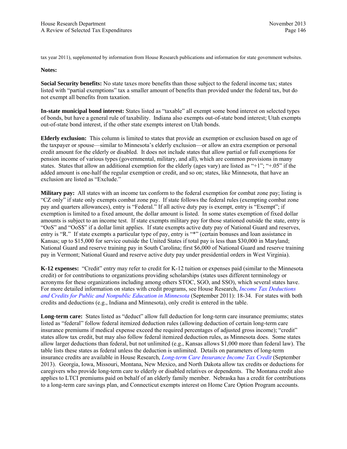tax year 2011), supplemented by information from House Research publications and information for state government websites.

#### **Notes:**

**Social Security benefits:** No state taxes more benefits than those subject to the federal income tax; states listed with "partial exemptions" tax a smaller amount of benefits than provided under the federal tax, but do not exempt all benefits from taxation.

**In-state municipal bond interest:** States listed as "taxable" all exempt some bond interest on selected types of bonds, but have a general rule of taxability. Indiana also exempts out-of-state bond interest; Utah exempts out-of-state bond interest, if the other state exempts interest on Utah bonds.

**Elderly exclusion:** This column is limited to states that provide an exemption or exclusion based on age of the taxpayer or spouse—similar to Minnesota's elderly exclusion—or allow an extra exemption or personal credit amount for the elderly or disabled. It does not include states that allow partial or full exemptions for pension income of various types (governmental, military, and all), which are common provisions in many states. States that allow an additional exemption for the elderly (ages vary) are listed as "+1"; "+.05" if the added amount is one-half the regular exemption or credit, and so on; states, like Minnesota, that have an exclusion are listed as "Exclude."

**Military pay:** All states with an income tax conform to the federal exemption for combat zone pay; listing is "CZ only" if state only exempts combat zone pay. If state follows the federal rules (exempting combat zone pay and quarters allowances), entry is "Federal." If all active duty pay is exempt, entry is "Exempt"; if exemption is limited to a fixed amount, the dollar amount is listed. In some states exemption of fixed dollar amounts is subject to an income test. If state exempts military pay for those stationed outside the state, entry is "OoS" and "OoS\$" if a dollar limit applies. If state exempts active duty pay of National Guard and reserves, entry is "R." If state exempts a particular type of pay, entry is "\*" (certain bonuses and loan assistance in Kansas; up to \$15,000 for service outside the United States if total pay is less than \$30,000 in Maryland; National Guard and reserve training pay in South Carolina; first \$6,000 of National Guard and reserve training pay in Vermont; National Guard and reserve active duty pay under presidential orders in West Virginia).

**K-12 expenses:** "Credit" entry may refer to credit for K-12 tuition or expenses paid (similar to the Minnesota credit) or for contributions to organizations providing scholarships (states uses different terminology or acronyms for these organizations including among others STOC, SGO, and SSO), which several states have. For more detailed information on states with credit programs, see House Research, *[Income Tax Deductions](http://www.house.leg.state.mn.us/hrd/pubs/educcred.pdf)  [and Credits for Public and Nonpublic Education in Minnesota](http://www.house.leg.state.mn.us/hrd/pubs/educcred.pdf)* (September 2011): 18-34. For states with both credits and deductions (e.g., Indiana and Minnesota), only credit is entered in the table.

**Long-term care:** States listed as "deduct" allow full deduction for long-term care insurance premiums; states listed as "federal" follow federal itemized deduction rules (allowing deduction of certain long-term care insurance premiums if medical expense exceed the required percentages of adjusted gross income); "credit" states allow tax credit, but may also follow federal itemized deduction rules, as Minnesota does. Some states allow larger deductions than federal, but not unlimited (e.g., Kansas allows \$1,000 more than federal law). The table lists these states as federal unless the deduction is unlimited. Details on parameters of long-term insurance credits are available in House Research, *[Long-term Care Insurance Income Tax Credit](http://www.house.leg.state.mn.us/hrd/pubs/ss/ssltcare.pdf)* (September 2013). Georgia, Iowa, Missouri, Montana, New Mexico, and North Dakota allow tax credits or deductions for caregivers who provide long-term care to elderly or disabled relatives or dependents. The Montana credit also applies to LTCI premiums paid on behalf of an elderly family member. Nebraska has a credit for contributions to a long-term care savings plan, and Connecticut exempts interest on Home Care Option Program accounts.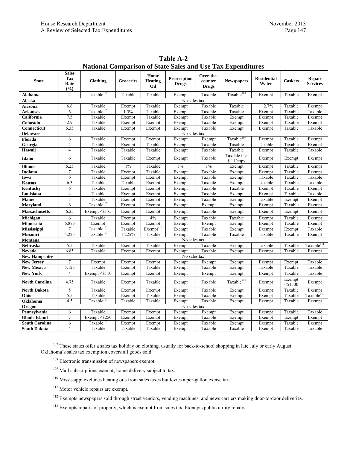| <b>State</b>          | <b>Sales</b><br><b>Tax</b> |                        | Groceries | Home                  | Prescription | Over-the-<br>counter |                            | <b>Residential</b> |                      | Repair                 |  |  |
|-----------------------|----------------------------|------------------------|-----------|-----------------------|--------------|----------------------|----------------------------|--------------------|----------------------|------------------------|--|--|
|                       | Rate<br>(%)                | <b>Clothing</b>        |           | <b>Heating</b><br>Oil | <b>Drugs</b> | <b>Drugs</b>         | <b>Newspapers</b>          | Water              | <b>Caskets</b>       | <b>Services</b>        |  |  |
| <b>Alabama</b>        | 4                          | Taxable <sup>107</sup> | Taxable   | Taxable               | Exempt       | Taxable              | Taxable <sup>108</sup>     | Exempt             | Taxable              | Exempt                 |  |  |
| Alaska                |                            | No sales tax           |           |                       |              |                      |                            |                    |                      |                        |  |  |
| <b>Arizona</b>        | 6.6                        | Taxable                | Exempt    | Taxable               | Exempt       | Taxable              | Taxable                    | 2.7%               | Taxable              | Exempt                 |  |  |
| Arkansas              | 6                          | Taxable <sup>107</sup> | 1.5%      | Taxable               | Exempt       | Taxable              | Taxable                    | Exempt             | Taxable              | Taxable                |  |  |
| California            | 7.5                        | Taxable                | Exempt    | Taxable               | Exempt       | Taxable              | Exempt                     | Exempt             | Taxable              | Exempt                 |  |  |
| Colorado              | 2.9                        | Taxable                | Exempt    | Exempt                | Exempt       | Taxable              | Exempt                     | Exempt             | Taxable              | Exempt                 |  |  |
| Connecticut           | 6.35                       | Taxable                | Exempt    | Exempt                | Exempt       | Taxable              | Exempt                     | Exempt             | Taxable              | Taxable                |  |  |
| <b>Delaware</b>       |                            |                        |           |                       | No sales tax |                      |                            |                    |                      |                        |  |  |
| Florida               | 6                          | Taxable                | Exempt    | Exempt                | Exempt       | Exempt               | Taxable <sup>109</sup>     | Exempt             | Taxable              | Exempt                 |  |  |
| Georgia               | $\overline{\mathbf{4}}$    | Taxable                | Exempt    | Taxable               | Exempt       | Taxable              | Taxable                    | Taxable            | Taxable              | Exempt                 |  |  |
| Hawaii                | $\overline{4}$             | Taxable                | Taxable   | Taxable               | Exempt       | Taxable              | Taxable                    | Exempt             | Taxable              | Taxable                |  |  |
| Idaho                 | 6                          | Taxable                | Taxable   | Exempt                | Exempt       | Taxable              | Taxable if ><br>\$.11/copy | Exempt             | Exempt               | Exempt                 |  |  |
| <b>Illinois</b>       | 6.25                       | Taxable                | $1\%$     | Taxable               | $1\%$        | $1\%$                | Exempt                     | Exempt             | Taxable              | Exempt                 |  |  |
| Indiana               | 7                          | Taxable                | Exempt    | Taxable               | Exempt       | Taxable              | Exempt                     | Exempt             | Taxable              | Exempt                 |  |  |
| Iowa                  | 6                          | Taxable                | Exempt    | Exempt                | Exempt       | Taxable              | Exempt                     | Taxable            | Taxable              | Taxable                |  |  |
| <b>Kansas</b>         | 6.3                        | Taxable                | Taxable   | Exempt                | Exempt       | Taxable              | Exempt                     | Taxable            | Taxable              | Taxable                |  |  |
| Kentucky              | 6                          | Taxable                | Exempt    | Exempt                | Exempt       | Taxable              | Taxable                    | Exempt             | Taxable              | Exempt                 |  |  |
| Louisiana             | $\overline{\mathbf{4}}$    | Taxable                | Exempt    | Exempt                | Exempt       | Taxable              | Exempt                     | Exempt             | Taxable              | Taxable                |  |  |
| <b>Maine</b>          | 5                          | Taxable                | Exempt    | Exempt                | Exempt       | Taxable              | Exempt                     | Taxable            | Exempt               | Exempt                 |  |  |
| <b>Maryland</b>       | 6                          | Taxable <sup>107</sup> | Exempt    | Exempt                | Exempt       | Exempt               | Exempt                     | Exempt             | Taxable              | Exempt                 |  |  |
| <b>Massachusetts</b>  | 6.25                       | Exempt <\$175          | Exempt    | Exempt                | Exempt       | Taxable              | Exempt                     | Exempt             | Exempt               | Exempt                 |  |  |
| Michigan              | 6                          | Taxable                | Exempt    | 4%                    | Exempt       | Taxable              | Taxable                    | Exempt             | Taxable              | Exempt                 |  |  |
| <b>Minnesota</b>      | 6.875                      | Exempt                 | Exempt    | Exempt                | Exempt       | Exempt               | Exempt                     | Exempt             | Taxable              | Exempt                 |  |  |
| <b>Mississippi</b>    | $\tau$                     | Taxable <sup>107</sup> | Taxable   | Exempt <sup>110</sup> | Exempt       | Taxable              | Exempt                     | Exempt             | Exempt               | Taxable                |  |  |
| <b>Missouri</b>       | 4.225                      | Taxable <sup>107</sup> | 1.225%    | Taxable               | Exempt       | Taxable              | Taxable                    | Taxable            | Taxable              | Exempt                 |  |  |
| Montana               |                            |                        |           |                       | No sales tax |                      |                            |                    |                      |                        |  |  |
| Nebraska              | 5.5                        | Taxable                | Exempt    | Taxable               | Exempt       | Taxable              | Exempt                     | Taxable            | Taxable              | Taxable <sup>111</sup> |  |  |
| Nevada                | 6.85                       | Taxable                | Exempt    | Exempt                | Exempt       | Taxable              | Exempt                     | Exempt             | Taxable              | Exempt                 |  |  |
| <b>New Hampshire</b>  | $\overline{7}$             |                        |           |                       | No sales tax |                      |                            |                    |                      | Taxable                |  |  |
| <b>New Jersey</b>     | 5.125                      | Exempt<br>Taxable      | Exempt    | Exempt<br>Taxable     | Exempt       | Exempt<br>Taxable    | Exempt                     | Exempt<br>Taxable  | Exempt<br>Taxable    | Taxable                |  |  |
| <b>New Mexico</b>     | 4                          |                        | Exempt    |                       | Exempt       |                      | Exempt                     |                    |                      |                        |  |  |
| <b>New York</b>       |                            | Exempt $\leq$ 110      | Exempt    | Exempt                | Exempt       | Exempt               | Exempt                     | Exempt             | Taxable              | Taxable                |  |  |
| <b>North Carolina</b> | 4.75                       | Taxable                | Exempt    | Taxable               | Exempt       | Taxable              | Taxable <sup>112</sup>     | Exempt             | Exempt<br>$<$ \$1500 | Exempt                 |  |  |
| <b>North Dakota</b>   | 5                          | Taxable                | Exempt    | Exempt                | Exempt       | Taxable              | Exempt                     | Exempt             | Taxable              | Exempt                 |  |  |
| Ohio                  | 5.5                        | Taxable                | Exempt    | Taxable               | Exempt       | Taxable              | Exempt                     | Exempt             | Taxable              | Taxable <sup>113</sup> |  |  |
| Oklahoma              | 4.5                        | Taxable <sup>107</sup> | Taxable   | Taxable               | Exempt       | Taxable              | Exempt                     | Exempt             | Taxable              | Exempt                 |  |  |
| Oregon                |                            |                        |           |                       | No sales tax |                      |                            |                    |                      |                        |  |  |
| Pennsylvania          | 6                          | Taxable                | Exempt    | Exempt                | Exempt       | Exempt               | Exempt                     | Exempt             | Taxable              | Taxable                |  |  |
| <b>Rhode Island</b>   | 7                          | Exempt <\$250          | Exempt    | Exempt                | Exempt       | Taxable              | Exempt                     | Exempt             | Exempt               | Exempt                 |  |  |
| <b>South Carolina</b> | 6                          | Taxable <sup>107</sup> | Exempt    | Exempt                | Exempt       | Taxable              | Exempt                     | Exempt             | Taxable              | Exempt                 |  |  |
| <b>South Dakota</b>   | $\overline{4}$             | Taxable                | Taxable   | Taxable               | Exempt       | Taxable              | Taxable                    | Exempt             | Taxable              | Taxable                |  |  |

**Table A-2 National Comparison of State Sales and Use Tax Expenditures** 

<sup>107</sup> These states offer a sales tax holiday on clothing, usually for back-to-school shopping in late July or early August. Oklahoma's sales tax exemption covers all goods sold.

- <sup>108</sup> Electronic transmission of newspapers exempt.
- <sup>109</sup> Mail subscriptions exempt; home delivery subject to tax.
- <sup>110</sup> Mississippi excludes heating oils from sales taxes but levies a per-gallon excise tax.
- <sup>111</sup> Motor vehicle repairs are exempt.
- <sup>112</sup> Exempts newspapers sold through street vendors, vending machines, and news carriers making door-to-door deliveries.
- <sup>113</sup> Exempts repairs of property, which is exempt from sales tax. Exempts public utility repairs.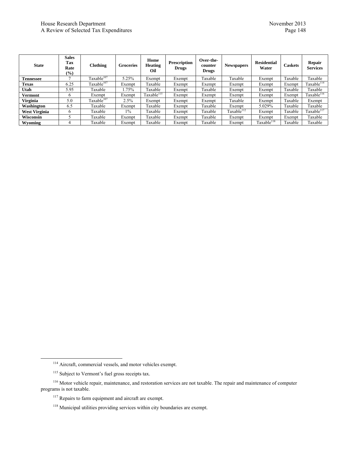#### House Research Department November 2013<br>
A Review of Selected Tax Expenditures Page 148 A Review of Selected Tax Expenditures

| <b>State</b>         | <b>Sales</b><br>Tax<br>Rate<br>$(\%)$ | <b>Clothing</b>        | <b>Groceries</b> | Home<br><b>Heating</b><br>Oil | <b>Prescription</b><br><b>Drugs</b> | Over-the-<br>counter<br><b>Drugs</b> | <b>Newspapers</b> | <b>Residential</b><br>Water | <b>Caskets</b> | Repair<br><b>Services</b> |
|----------------------|---------------------------------------|------------------------|------------------|-------------------------------|-------------------------------------|--------------------------------------|-------------------|-----------------------------|----------------|---------------------------|
| <b>Tennessee</b>     |                                       | Taxable <sup>107</sup> | 5.25%            | Exempt                        | Exempt                              | Taxable                              | Taxable           | Exempt                      | Taxable        | Taxable                   |
| <b>Texas</b>         | 6.25                                  | Taxable <sup>107</sup> | Exempt           | Taxable                       | Exempt                              | Exempt                               | Exempt            | Exempt                      | Exempt         | Taxable <sup>114</sup>    |
| Utah                 | 5.95                                  | Taxable                | .75%             | Taxable                       | Exempt                              | Taxable                              | Exempt            | Exempt                      | Taxable        | Taxable                   |
| Vermont              | $\circ$                               | Exempt                 | Exempt           | Taxable $^{115}$              | Exempt                              | Exempt                               | Exempt            | Exempt                      | Exempt         | Taxable <sup>116</sup>    |
| <b>Virginia</b>      | 5.0                                   | Taxable $107$          | 2.5%             | Exempt                        | Exempt                              | Exempt                               | Taxable           | Exempt                      | Taxable        | Exempt                    |
| Washington           | 6.5                                   | Taxable                | Exempt           | Taxable                       | Exempt                              | Taxable                              | Exempt            | 5.029%                      | Taxable        | Taxable                   |
| <b>West Virginia</b> | 6                                     | Taxable                | $1\%$            | Taxable                       | Exempt                              | Taxable                              | Taxable $112$     | Exempt                      | Taxable        | Taxable <sup>117</sup>    |
| <b>Wisconsin</b>     |                                       | Taxable                | Exempt           | Taxable                       | Exempt                              | Taxable                              | Exempt            | Exempt                      | Exempt         | Taxable                   |
| Wyoming              | 4                                     | Taxable                | Exempt           | Taxable                       | Exempt                              | Taxable                              | Exempt            | Taxable $^{118}$            | Taxable        | Taxable                   |

 <sup>114</sup> Aircraft, commercial vessels, and motor vehicles exempt.

<sup>&</sup>lt;sup>115</sup> Subject to Vermont's fuel gross receipts tax.

<sup>116</sup> Motor vehicle repair, maintenance, and restoration services are not taxable. The repair and maintenance of computer programs is not taxable.

<sup>&</sup>lt;sup>117</sup> Repairs to farm equipment and aircraft are exempt.

<sup>118</sup> Municipal utilities providing services within city boundaries are exempt.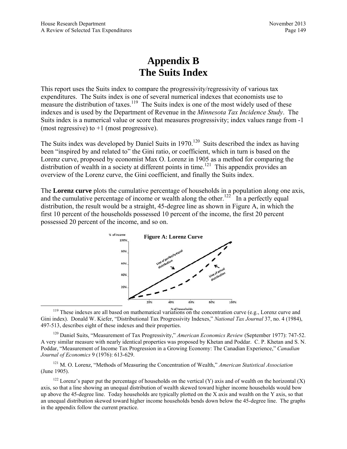# **Appendix B The Suits Index**

This report uses the Suits index to compare the progressivity/regressivity of various tax expenditures. The Suits index is one of several numerical indexes that economists use to measure the distribution of taxes.<sup>119</sup> The Suits index is one of the most widely used of these indexes and is used by the Department of Revenue in the *Minnesota Tax Incidence Study*. The Suits index is a numerical value or score that measures progressivity; index values range from -1 (most regressive) to  $+1$  (most progressive).

The Suits index was developed by Daniel Suits in  $1970$ .<sup>120</sup> Suits described the index as having been "inspired by and related to" the Gini ratio, or coefficient, which in turn is based on the Lorenz curve, proposed by economist Max O. Lorenz in 1905 as a method for comparing the distribution of wealth in a society at different points in time.<sup>121</sup> This appendix provides an overview of the Lorenz curve, the Gini coefficient, and finally the Suits index.

The **Lorenz curve** plots the cumulative percentage of households in a population along one axis, and the cumulative percentage of income or wealth along the other.<sup>122</sup> In a perfectly equal distribution, the result would be a straight, 45-degree line as shown in Figure A, in which the first 10 percent of the households possessed 10 percent of the income, the first 20 percent possessed 20 percent of the income, and so on.



<sup>2096</sup> <sup>2096</sup> <sup>2096</sup> <sup>4096</sup> <sup>6096</sup> <sup>8096</sup> <sup>8096</sup> <sup>8096</sup> <sup>8096</sup> <sup>8096</sup> <sup>8096</sup> <sup>8096</sup> <sup>8096</sup> <sup>8096</sup> <sup>8096</sup> <sup>8096</sup> <sup>8096</sup> <sup>8096</sup> <sup>119</sup> These indexes are all based on mathematical variations on the concentration curve (e.g., L Gini index). Donald W. Kiefer, "Distributional Tax Progressivity Indexes," *National Tax Journal* 37, no. 4 (1984), 497-513, describes eight of these indexes and their properties.

120 Daniel Suits, "Measurement of Tax Progressivity," *American Economics Review* (September 1977): 747-52. A very similar measure with nearly identical properties was proposed by Khetan and Poddar. C. P. Khetan and S. N. Poddar, "Measurement of Income Tax Progression in a Growing Economy: The Canadian Experience," *Canadian Journal of Economics* 9 (1976): 613-629.

121 M. O. Lorenz, "Methods of Measuring the Concentration of Wealth," *American Statistical Association* (June 1905).

<sup>122</sup> Lorenz's paper put the percentage of households on the vertical (Y) axis and of wealth on the horizontal (X) axis, so that a line showing an unequal distribution of wealth skewed toward higher income households would bow up above the 45-degree line. Today households are typically plotted on the X axis and wealth on the Y axis, so that an unequal distribution skewed toward higher income households bends down below the 45-degree line. The graphs in the appendix follow the current practice.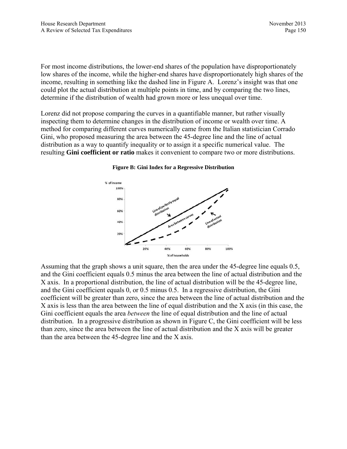For most income distributions, the lower-end shares of the population have disproportionately low shares of the income, while the higher-end shares have disproportionately high shares of the income, resulting in something like the dashed line in Figure A. Lorenz's insight was that one could plot the actual distribution at multiple points in time, and by comparing the two lines, determine if the distribution of wealth had grown more or less unequal over time.

Lorenz did not propose comparing the curves in a quantifiable manner, but rather visually inspecting them to determine changes in the distribution of income or wealth over time. A method for comparing different curves numerically came from the Italian statistician Corrado Gini, who proposed measuring the area between the 45-degree line and the line of actual distribution as a way to quantify inequality or to assign it a specific numerical value. The resulting **Gini coefficient or ratio** makes it convenient to compare two or more distributions.

#### **Figure B: Gini Index for a Regressive Distribution**



Assuming that the graph shows a unit square, then the area under the 45-degree line equals 0.5, and the Gini coefficient equals 0.5 minus the area between the line of actual distribution and the X axis. In a proportional distribution, the line of actual distribution will be the 45-degree line, and the Gini coefficient equals 0, or 0.5 minus 0.5. In a regressive distribution, the Gini coefficient will be greater than zero, since the area between the line of actual distribution and the X axis is less than the area between the line of equal distribution and the X axis (in this case, the Gini coefficient equals the area *between* the line of equal distribution and the line of actual distribution. In a progressive distribution as shown in Figure C, the Gini coefficient will be less than zero, since the area between the line of actual distribution and the X axis will be greater than the area between the 45-degree line and the X axis.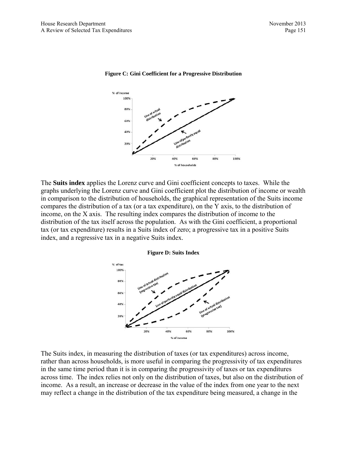

#### **Figure C: Gini Coefficient for a Progressive Distribution**

The **Suits index** applies the Lorenz curve and Gini coefficient concepts to taxes. While the graphs underlying the Lorenz curve and Gini coefficient plot the distribution of income or wealth in comparison to the distribution of households, the graphical representation of the Suits income compares the distribution of a tax (or a tax expenditure), on the Y axis, to the distribution of income, on the X axis. The resulting index compares the distribution of income to the distribution of the tax itself across the population. As with the Gini coefficient, a proportional tax (or tax expenditure) results in a Suits index of zero; a progressive tax in a positive Suits index, and a regressive tax in a negative Suits index.

#### **Figure D: Suits Index**



The Suits index, in measuring the distribution of taxes (or tax expenditures) across income, rather than across households, is more useful in comparing the progressivity of tax expenditures in the same time period than it is in comparing the progressivity of taxes or tax expenditures across time. The index relies not only on the distribution of taxes, but also on the distribution of income. As a result, an increase or decrease in the value of the index from one year to the next may reflect a change in the distribution of the tax expenditure being measured, a change in the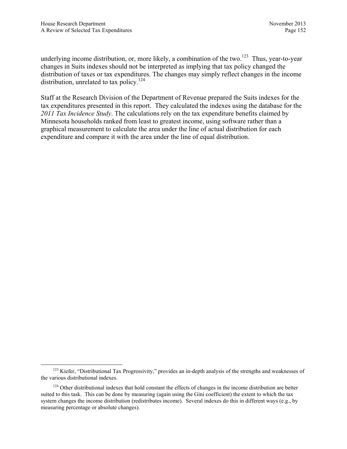underlying income distribution, or, more likely, a combination of the two.<sup>123</sup> Thus, year-to-year changes in Suits indexes should not be interpreted as implying that tax policy changed the distribution of taxes or tax expenditures. The changes may simply reflect changes in the income distribution, unrelated to tax policy.<sup>124</sup>

Staff at the Research Division of the Department of Revenue prepared the Suits indexes for the tax expenditures presented in this report. They calculated the indexes using the database for the *2011 Tax Incidence Study*. The calculations rely on the tax expenditure benefits claimed by Minnesota households ranked from least to greatest income, using software rather than a graphical measurement to calculate the area under the line of actual distribution for each expenditure and compare it with the area under the line of equal distribution.

<sup>&</sup>lt;sup>123</sup> Kiefer, "Distributional Tax Progressivity," provides an in-depth analysis of the strengths and weaknesses of the various distributional indexes.

<sup>&</sup>lt;sup>124</sup> Other distributional indexes that hold constant the effects of changes in the income distribution are better suited to this task. This can be done by measuring (again using the Gini coefficient) the extent to which the tax system changes the income distribution (redistributes income). Several indexes do this in different ways (e.g., by measuring percentage or absolute changes).